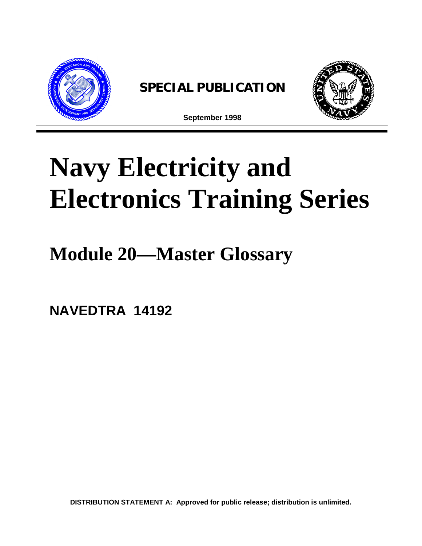

**SPECIAL PUBLICATION** 



**September 1998** 

# **Navy Electricity and Electronics Training Series**

**Module 20—Master Glossary** 

**NAVEDTRA 14192**

**DISTRIBUTION STATEMENT A: Approved for public release; distribution is unlimited.**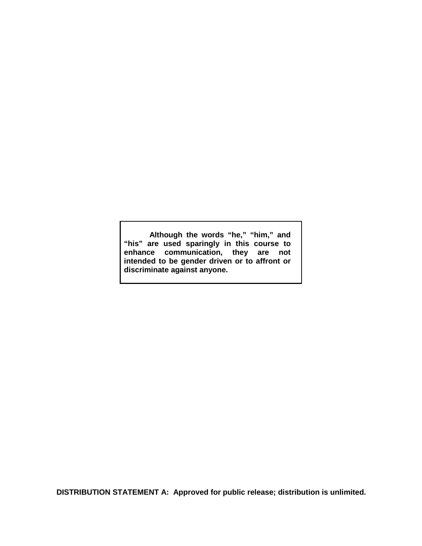**Although the words "he," "him," and "his" are used sparingly in this course to enhance communication, they are not intended to be gender driven or to affront or discriminate against anyone.** 

**DISTRIBUTION STATEMENT A: Approved for public release; distribution is unlimited.**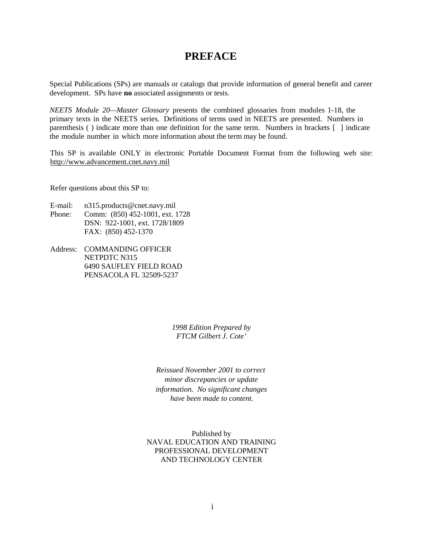## **PREFACE**

Special Publications (SPs) are manuals or catalogs that provide information of general benefit and career development. SPs have **no** associated assignments or tests.

*NEETS Module 20—Master Glossary* presents the combined glossaries from modules 1-18, the primary texts in the NEETS series. Definitions of terms used in NEETS are presented. Numbers in parenthesis ( ) indicate more than one definition for the same term. Numbers in brackets [ ] indicate the module number in which more information about the term may be found.

This SP is available ONLY in electronic Portable Document Format from the following web site: http://www.advancement.cnet.navy.mil

Refer questions about this SP to:

- E-mail: n315.products@cnet.navy.mil Phone: Comm: (850) 452-1001, ext. 1728 DSN: 922-1001, ext. 1728/1809 FAX: (850) 452-1370
- Address: COMMANDING OFFICER NETPDTC N315 6490 SAUFLEY FIELD ROAD PENSACOLA FL 32509-5237

*1998 Edition Prepared by FTCM Gilbert J. Cote'* 

*Reissued November 2001 to correct minor discrepancies or update information. No significant changes have been made to content.*

Published by NAVAL EDUCATION AND TRAINING PROFESSIONAL DEVELOPMENT AND TECHNOLOGY CENTER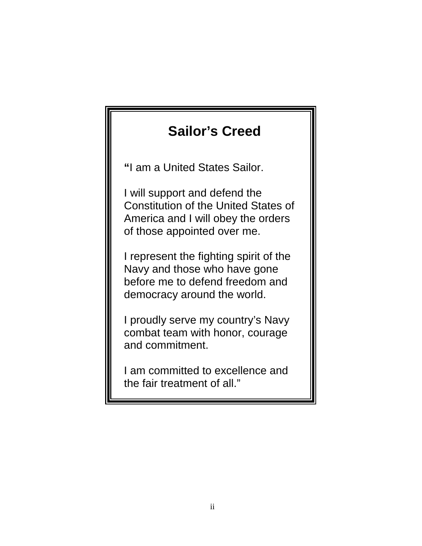# **Sailor's Creed**

**"**I am a United States Sailor.

I will support and defend the Constitution of the United States of America and I will obey the orders of those appointed over me.

I represent the fighting spirit of the Navy and those who have gone before me to defend freedom and democracy around the world.

I proudly serve my country's Navy combat team with honor, courage and commitment.

I am committed to excellence and the fair treatment of all."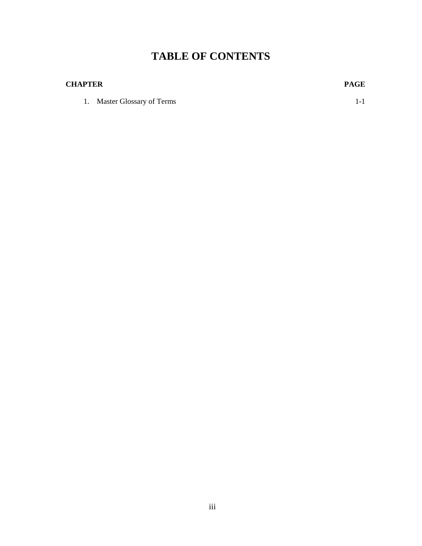# **TABLE OF CONTENTS**

### **CHAPTER PAGE**

| 1. Master Glossary of Terms |
|-----------------------------|
|-----------------------------|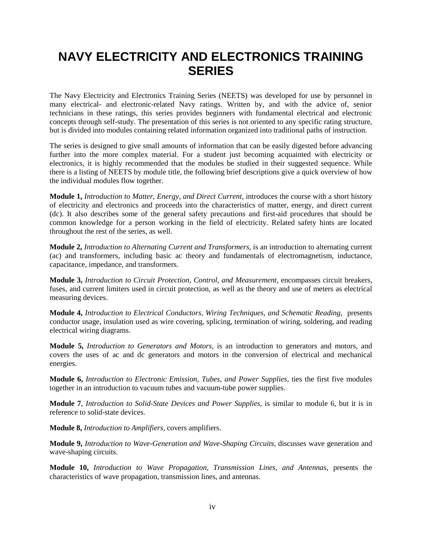# **NAVY ELECTRICITY AND ELECTRONICS TRAINING SERIES**

The Navy Electricity and Electronics Training Series (NEETS) was developed for use by personnel in many electrical- and electronic-related Navy ratings. Written by, and with the advice of, senior technicians in these ratings, this series provides beginners with fundamental electrical and electronic concepts through self-study. The presentation of this series is not oriented to any specific rating structure, but is divided into modules containing related information organized into traditional paths of instruction.

The series is designed to give small amounts of information that can be easily digested before advancing further into the more complex material. For a student just becoming acquainted with electricity or electronics, it is highly recommended that the modules be studied in their suggested sequence. While there is a listing of NEETS by module title, the following brief descriptions give a quick overview of how the individual modules flow together.

**Module 1,** *Introduction to Matter, Energy, and Direct Current*, introduces the course with a short history of electricity and electronics and proceeds into the characteristics of matter, energy, and direct current (dc). It also describes some of the general safety precautions and first-aid procedures that should be common knowledge for a person working in the field of electricity. Related safety hints are located throughout the rest of the series, as well.

**Module 2,** *Introduction to Alternating Current and Transformers,* is an introduction to alternating current (ac) and transformers, including basic ac theory and fundamentals of electromagnetism, inductance, capacitance, impedance, and transformers.

**Module 3,** *Introduction to Circuit Protection, Control, and Measurement,* encompasses circuit breakers, fuses, and current limiters used in circuit protection, as well as the theory and use of meters as electrical measuring devices.

**Module 4,** *Introduction to Electrical Conductors, Wiring Techniques, and Schematic Reading,* presents conductor usage, insulation used as wire covering, splicing, termination of wiring, soldering, and reading electrical wiring diagrams.

**Module 5,** *Introduction to Generators and Motors,* is an introduction to generators and motors, and covers the uses of ac and dc generators and motors in the conversion of electrical and mechanical energies.

**Module 6,** *Introduction to Electronic Emission, Tubes, and Power Supplies,* ties the first five modules together in an introduction to vacuum tubes and vacuum-tube power supplies.

**Module 7**, *Introduction to Solid-State Devices and Power Supplies,* is similar to module 6, but it is in reference to solid-state devices.

**Module 8,** *Introduction to Amplifiers,* covers amplifiers.

**Module 9,** *Introduction to Wave-Generation and Wave-Shaping Circuits,* discusses wave generation and wave-shaping circuits.

**Module 10,** *Introduction to Wave Propagation, Transmission Lines, and Antennas,* presents the characteristics of wave propagation, transmission lines, and antennas.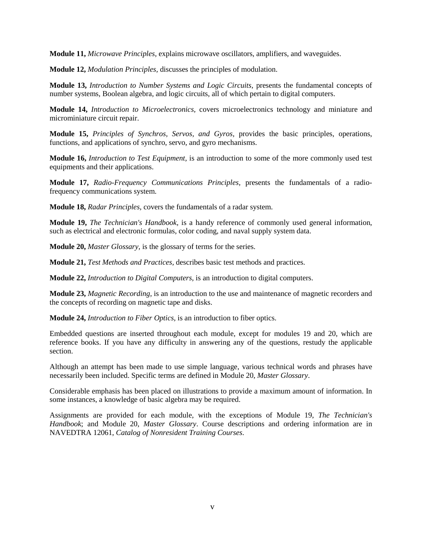**Module 11,** *Microwave Principles,* explains microwave oscillators, amplifiers, and waveguides.

**Module 12,** *Modulation Principles,* discusses the principles of modulation.

**Module 13,** *Introduction to Number Systems and Logic Circuits,* presents the fundamental concepts of number systems, Boolean algebra, and logic circuits, all of which pertain to digital computers.

**Module 14,** *Introduction to Microelectronics,* covers microelectronics technology and miniature and microminiature circuit repair.

**Module 15,** *Principles of Synchros, Servos, and Gyros,* provides the basic principles, operations, functions, and applications of synchro, servo, and gyro mechanisms.

**Module 16,** *Introduction to Test Equipment,* is an introduction to some of the more commonly used test equipments and their applications.

**Module 17,** *Radio-Frequency Communications Principles,* presents the fundamentals of a radiofrequency communications system.

**Module 18,** *Radar Principles,* covers the fundamentals of a radar system.

**Module 19,** *The Technician's Handbook,* is a handy reference of commonly used general information, such as electrical and electronic formulas, color coding, and naval supply system data.

**Module 20,** *Master Glossary,* is the glossary of terms for the series.

**Module 21,** *Test Methods and Practices,* describes basic test methods and practices.

**Module 22,** *Introduction to Digital Computers,* is an introduction to digital computers.

**Module 23,** *Magnetic Recording,* is an introduction to the use and maintenance of magnetic recorders and the concepts of recording on magnetic tape and disks.

**Module 24,** *Introduction to Fiber Optics,* is an introduction to fiber optics.

Embedded questions are inserted throughout each module, except for modules 19 and 20, which are reference books. If you have any difficulty in answering any of the questions, restudy the applicable section.

Although an attempt has been made to use simple language, various technical words and phrases have necessarily been included. Specific terms are defined in Module 20, *Master Glossary*.

Considerable emphasis has been placed on illustrations to provide a maximum amount of information. In some instances, a knowledge of basic algebra may be required.

Assignments are provided for each module, with the exceptions of Module 19, *The Technician's Handbook*; and Module 20, *Master Glossary*. Course descriptions and ordering information are in NAVEDTRA 12061, *Catalog of Nonresident Training Courses*.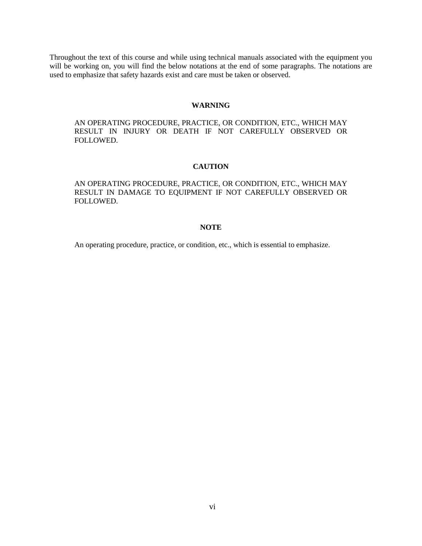Throughout the text of this course and while using technical manuals associated with the equipment you will be working on, you will find the below notations at the end of some paragraphs. The notations are used to emphasize that safety hazards exist and care must be taken or observed.

#### **WARNING**

AN OPERATING PROCEDURE, PRACTICE, OR CONDITION, ETC., WHICH MAY RESULT IN INJURY OR DEATH IF NOT CAREFULLY OBSERVED OR FOLLOWED.

#### **CAUTION**

AN OPERATING PROCEDURE, PRACTICE, OR CONDITION, ETC., WHICH MAY RESULT IN DAMAGE TO EQUIPMENT IF NOT CAREFULLY OBSERVED OR FOLLOWED.

#### **NOTE**

An operating procedure, practice, or condition, etc., which is essential to emphasize.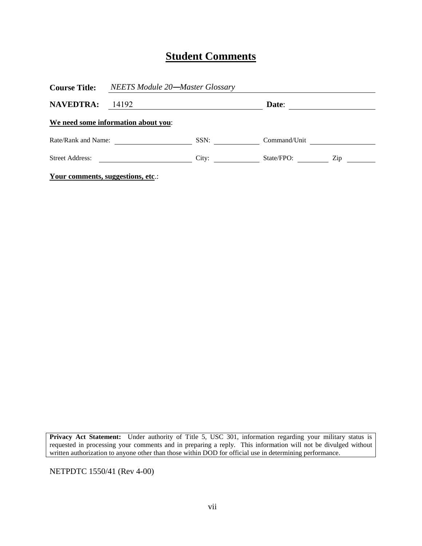## **Student Comments**

| <b>Course Title:</b>                                                                                                                          | <b>NEETS Module 20---Master Glossary</b> |       |              |     |
|-----------------------------------------------------------------------------------------------------------------------------------------------|------------------------------------------|-------|--------------|-----|
| <b>NAVEDTRA:</b>                                                                                                                              | 14192                                    |       | Date:        |     |
|                                                                                                                                               | We need some information about you:      |       |              |     |
| Rate/Rank and Name:<br><u> 1980 - Jan Barbara Barat, prima popular popular popular popular popular popular popular popular popular popula</u> |                                          | SSN:  | Command/Unit |     |
| <b>Street Address:</b>                                                                                                                        |                                          | City: | State/FPO:   | Zip |
|                                                                                                                                               |                                          |       |              |     |

**Your comments, suggestions, etc**.:

Privacy Act Statement: Under authority of Title 5, USC 301, information regarding your military status is requested in processing your comments and in preparing a reply. This information will not be divulged without written authorization to anyone other than those within DOD for official use in determining performance.

NETPDTC 1550/41 (Rev 4-00)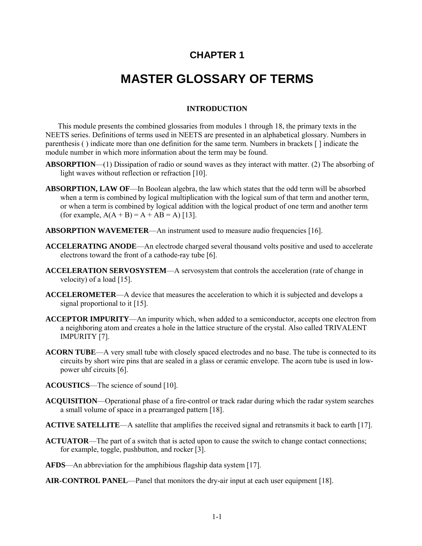## **CHAPTER 1**

## **MASTER GLOSSARY OF TERMS**

#### **INTRODUCTION**

This module presents the combined glossaries from modules 1 through 18, the primary texts in the NEETS series. Definitions of terms used in NEETS are presented in an alphabetical glossary. Numbers in parenthesis ( ) indicate more than one definition for the same term. Numbers in brackets [ ] indicate the module number in which more information about the term may be found.

- **ABSORPTION** $\rightarrow$ (1) Dissipation of radio or sound waves as they interact with matter. (2) The absorbing of light waves without reflection or refraction [10].
- **ABSORPTION, LAW OF**—In Boolean algebra, the law which states that the odd term will be absorbed when a term is combined by logical multiplication with the logical sum of that term and another term, or when a term is combined by logical addition with the logical product of one term and another term (for example,  $A(A + B) = A + AB = A$ ) [13].
- **ABSORPTION WAVEMETER—An instrument used to measure audio frequencies [16].**
- ACCELERATING ANODE—An electrode charged several thousand volts positive and used to accelerate electrons toward the front of a cathode-ray tube [6].
- **ACCELERATION SERVOSYSTEM—A** servosystem that controls the acceleration (rate of change in velocity) of a load [15].
- **ACCELEROMETER**—A device that measures the acceleration to which it is subjected and develops a signal proportional to it [15].
- **ACCEPTOR IMPURITY**—An impurity which, when added to a semiconductor, accepts one electron from a neighboring atom and creates a hole in the lattice structure of the crystal. Also called TRIVALENT IMPURITY [7].
- **ACORN TUBE**—A very small tube with closely spaced electrodes and no base. The tube is connected to its circuits by short wire pins that are sealed in a glass or ceramic envelope. The acorn tube is used in lowpower uhf circuits [6].
- **ACOUSTICS**—The science of sound [10].
- **ACQUISITION—Operational phase of a fire-control or track radar during which the radar system searches** a small volume of space in a prearranged pattern [18].
- **ACTIVE SATELLITE—A** satellite that amplifies the received signal and retransmits it back to earth [17].
- **ACTUATOR**—The part of a switch that is acted upon to cause the switch to change contact connections; for example, toggle, pushbutton, and rocker [3].
- **AFDS**—An abbreviation for the amphibious flagship data system [17].
- **AIR-CONTROL PANEL—Panel that monitors the dry-air input at each user equipment [18].**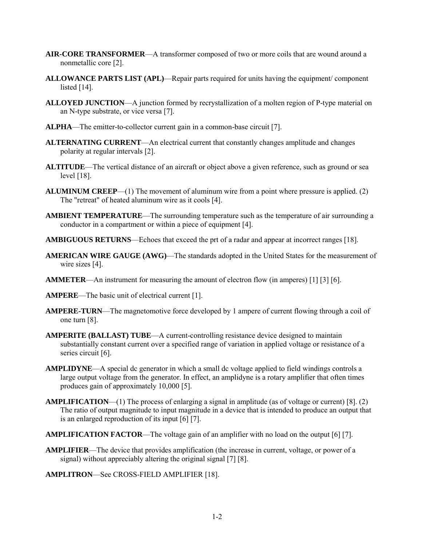- **AIR-CORE TRANSFORMER—A** transformer composed of two or more coils that are wound around a nonmetallic core [2].
- **ALLOWANCE PARTS LIST (APL)—Repair parts required for units having the equipment/ component** listed [14].
- **ALLOYED JUNCTION—A** junction formed by recrystallization of a molten region of P-type material on an N-type substrate, or vice versa [7].
- **ALPHA**—The emitter-to-collector current gain in a common-base circuit [7].
- **ALTERNATING CURRENT—An electrical current that constantly changes amplitude and changes** polarity at regular intervals [2].
- **ALTITUDE**—The vertical distance of an aircraft or object above a given reference, such as ground or sea level [18].
- **ALUMINUM CREEP** $(i)$  The movement of aluminum wire from a point where pressure is applied. (2) The "retreat" of heated aluminum wire as it cools [4].
- **AMBIENT TEMPERATURE**—The surrounding temperature such as the temperature of air surrounding a conductor in a compartment or within a piece of equipment [4].
- **AMBIGUOUS RETURNS**—Echoes that exceed the prt of a radar and appear at incorrect ranges [18].
- **AMERICAN WIRE GAUGE (AWG)—The standards adopted in the United States for the measurement of** wire sizes [4].
- **AMMETER**—An instrument for measuring the amount of electron flow (in amperes) [1] [3] [6].
- **AMPERE**—The basic unit of electrical current [1].
- **AMPERE-TURN—The magnetomotive force developed by 1 ampere of current flowing through a coil of** one turn [8].
- **AMPERITE (BALLAST) TUBE**—A current-controlling resistance device designed to maintain substantially constant current over a specified range of variation in applied voltage or resistance of a series circuit [6].
- **AMPLIDYNE**—A special dc generator in which a small dc voltage applied to field windings controls a large output voltage from the generator. In effect, an amplidyne is a rotary amplifier that often times produces gain of approximately 10,000 [5].
- **AMPLIFICATION** $(1)$  The process of enlarging a signal in amplitude (as of voltage or current) [8]. (2) The ratio of output magnitude to input magnitude in a device that is intended to produce an output that is an enlarged reproduction of its input [6] [7].
- **AMPLIFICATION FACTOR—The voltage gain of an amplifier with no load on the output [6] [7].**
- AMPLIFIER—The device that provides amplification (the increase in current, voltage, or power of a signal) without appreciably altering the original signal [7] [8].

AMPLITRON-See CROSS-FIELD AMPLIFIER [18].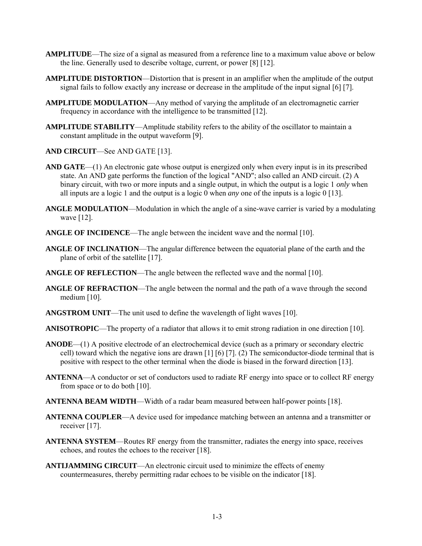- **AMPLITUDE**—The size of a signal as measured from a reference line to a maximum value above or below the line. Generally used to describe voltage, current, or power [8] [12].
- **AMPLITUDE DISTORTION—Distortion that is present in an amplifier when the amplitude of the output** signal fails to follow exactly any increase or decrease in the amplitude of the input signal [6] [7].
- **AMPLITUDE MODULATION—Any method of varying the amplitude of an electromagnetic carrier** frequency in accordance with the intelligence to be transmitted [12].
- **AMPLITUDE STABILITY—Amplitude stability refers to the ability of the oscillator to maintain a** constant amplitude in the output waveform [9].
- **AND CIRCUIT—See AND GATE [13].**
- **AND GATE** $(1)$  An electronic gate whose output is energized only when every input is in its prescribed state. An AND gate performs the function of the logical "AND"; also called an AND circuit. (2) A binary circuit, with two or more inputs and a single output, in which the output is a logic 1 *only* when all inputs are a logic 1 and the output is a logic 0 when *any* one of the inputs is a logic 0 [13].
- **ANGLE MODULATION—Modulation in which the angle of a sine-wave carrier is varied by a modulating** wave [12].
- **ANGLE OF INCIDENCE**—The angle between the incident wave and the normal [10].
- **ANGLE OF INCLINATION—The angular difference between the equatorial plane of the earth and the** plane of orbit of the satellite [17].
- **ANGLE OF REFLECTION—The angle between the reflected wave and the normal [10].**
- **ANGLE OF REFRACTION—The angle between the normal and the path of a wave through the second** medium [10].
- **ANGSTROM UNIT—The unit used to define the wavelength of light waves [10].**
- **ANISOTROPIC—The property of a radiator that allows it to emit strong radiation in one direction [10].**
- $(1)$  **A positive electrode of an electrochemical device (such as a primary or secondary electric** cell) toward which the negative ions are drawn [1] [6) [7]. (2) The semiconductor-diode terminal that is positive with respect to the other terminal when the diode is biased in the forward direction [13].
- **ANTENNA—A** conductor or set of conductors used to radiate RF energy into space or to collect RF energy from space or to do both [10].
- **ANTENNA BEAM WIDTH—Width of a radar beam measured between half-power points [18].**
- **ANTENNA COUPLER**—A device used for impedance matching between an antenna and a transmitter or receiver [17].
- **ANTENNA SYSTEM—Routes RF energy from the transmitter, radiates the energy into space, receives** echoes, and routes the echoes to the receiver [18].
- **ANTIJAMMING CIRCUIT**—An electronic circuit used to minimize the effects of enemy countermeasures, thereby permitting radar echoes to be visible on the indicator [18].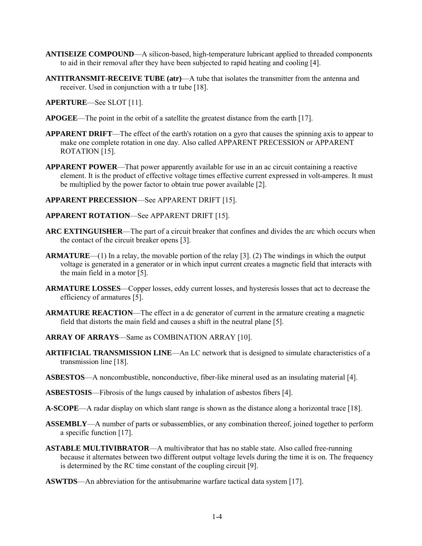- **ANTISEIZE COMPOUND—A** silicon-based, high-temperature lubricant applied to threaded components to aid in their removal after they have been subjected to rapid heating and cooling [4].
- **ANTITRANSMIT-RECEIVE TUBE (atr)—A tube that isolates the transmitter from the antenna and** receiver. Used in conjunction with a tr tube [18].

**APERTURE-See SLOT** [11].

- **APOGEE**—The point in the orbit of a satellite the greatest distance from the earth [17].
- **APPARENT DRIFT—The effect of the earth's rotation on a gyro that causes the spinning axis to appear to** make one complete rotation in one day. Also called APPARENT PRECESSION or APPARENT ROTATION [15].
- **APPARENT POWER—That power apparently available for use in an ac circuit containing a reactive** element. It is the product of effective voltage times effective current expressed in volt-amperes. It must be multiplied by the power factor to obtain true power available [2].
- **APPARENT PRECESSION—See APPARENT DRIFT [15].**
- **APPARENT ROTATION-See APPARENT DRIFT [15].**
- ARC EXTINGUISHER—The part of a circuit breaker that confines and divides the arc which occurs when the contact of the circuit breaker opens [3].
- **ARMATURE** $(1)$  In a relay, the movable portion of the relay [3]. (2) The windings in which the output voltage is generated in a generator or in which input current creates a magnetic field that interacts with the main field in a motor [5].
- **ARMATURE LOSSES—Copper losses, eddy current losses, and hysteresis losses that act to decrease the** efficiency of armatures [5].
- **ARMATURE REACTION—The effect in a dc generator of current in the armature creating a magnetic** field that distorts the main field and causes a shift in the neutral plane [5].
- **ARRAY OF ARRAYS**—Same as COMBINATION ARRAY [10].
- **ARTIFICIAL TRANSMISSION LINE—An LC network that is designed to simulate characteristics of a** transmission line [18].
- **ASBESTOS**—A noncombustible, nonconductive, fiber-like mineral used as an insulating material [4].
- **ASBESTOSIS**—Fibrosis of the lungs caused by inhalation of asbestos fibers [4].
- **A-SCOPE**—A radar display on which slant range is shown as the distance along a horizontal trace [18].
- **ASSEMBLY**—A number of parts or subassemblies, or any combination thereof, joined together to perform a specific function [17].
- **ASTABLE MULTIVIBRATOR—A** multivibrator that has no stable state. Also called free-running because it alternates between two different output voltage levels during the time it is on. The frequency is determined by the RC time constant of the coupling circuit [9].
- **ASWTDS**—An abbreviation for the antisubmarine warfare tactical data system [17].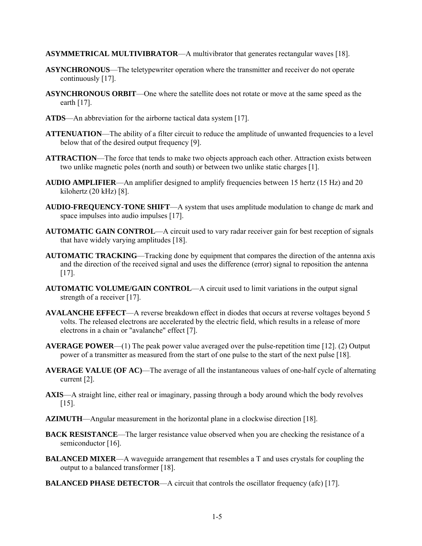- **ASYMMETRICAL MULTIVIBRATOR—A** multivibrator that generates rectangular waves [18].
- **ASYNCHRONOUS—The teletypewriter operation where the transmitter and receiver do not operate** continuously [17].
- **ASYNCHRONOUS ORBIT—One** where the satellite does not rotate or move at the same speed as the earth [17].
- **ATDS**—An abbreviation for the airborne tactical data system [17].
- **ATTENUATION—The ability of a filter circuit to reduce the amplitude of unwanted frequencies to a level** below that of the desired output frequency [9].
- **ATTRACTION—The force that tends to make two objects approach each other. Attraction exists between** two unlike magnetic poles (north and south) or between two unlike static charges [1].
- **AUDIO AMPLIFIER**—An amplifier designed to amplify frequencies between 15 hertz (15 Hz) and 20 kilohertz (20 kHz) [8].
- **AUDIO-FREQUENCY-TONE SHIFT**—A system that uses amplitude modulation to change dc mark and space impulses into audio impulses [17].
- **AUTOMATIC GAIN CONTROL—A** circuit used to vary radar receiver gain for best reception of signals that have widely varying amplitudes [18].
- **AUTOMATIC TRACKING—Tracking done by equipment that compares the direction of the antenna axis** and the direction of the received signal and uses the difference (error) signal to reposition the antenna [17].
- **AUTOMATIC VOLUME/GAIN CONTROL—A** circuit used to limit variations in the output signal strength of a receiver [17].
- **AVALANCHE EFFECT—A** reverse breakdown effect in diodes that occurs at reverse voltages beyond 5 volts. The released electrons are accelerated by the electric field, which results in a release of more electrons in a chain or "avalanche" effect [7].
- **AVERAGE POWER** $(1)$  The peak power value averaged over the pulse-repetition time [12]. (2) Output power of a transmitter as measured from the start of one pulse to the start of the next pulse [18].
- **AVERAGE VALUE (OF AC)—The average of all the instantaneous values of one-half cycle of alternating** current [2].
- **AXIS**—A straight line, either real or imaginary, passing through a body around which the body revolves  $[15]$ .
- **AZIMUTH—Angular measurement in the horizontal plane in a clockwise direction [18].**
- **BACK RESISTANCE—The larger resistance value observed when you are checking the resistance of a** semiconductor [16].
- **BALANCED MIXER**—A waveguide arrangement that resembles a T and uses crystals for coupling the output to a balanced transformer [18].
- **BALANCED PHASE DETECTOR—A** circuit that controls the oscillator frequency (afc) [17].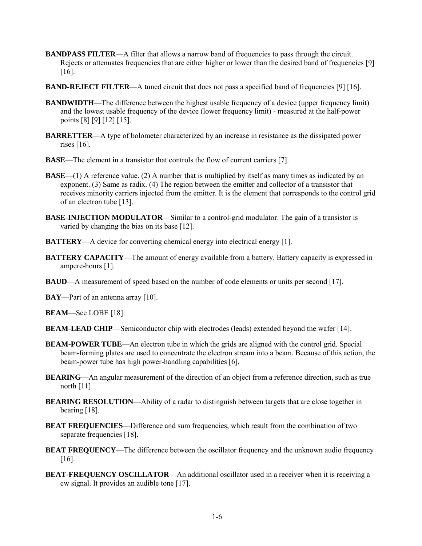- **BANDPASS FILTER—A** filter that allows a narrow band of frequencies to pass through the circuit. Rejects or attenuates frequencies that are either higher or lower than the desired band of frequencies [9] [16].
- **BAND-REJECT FILTER—A** tuned circuit that does not pass a specified band of frequencies [9] [16].
- **BANDWIDTH**—The difference between the highest usable frequency of a device (upper frequency limit) and the lowest usable frequency of the device (lower frequency limit) - measured at the half-power points [8] [9] [12] [15].
- **BARRETTER—A** type of bolometer characterized by an increase in resistance as the dissipated power rises [16].
- **BASE**—The element in a transistor that controls the flow of current carriers [7].
- **BASE** $\rightarrow$ (1) A reference value. (2) A number that is multiplied by itself as many times as indicated by an exponent. (3) Same as radix. (4) The region between the emitter and collector of a transistor that receives minority carriers injected from the emitter. It is the element that corresponds to the control grid of an electron tube [13].
- **BASE-INJECTION MODULATOR—Similar to a control-grid modulator. The gain of a transistor is** varied by changing the bias on its base [12].
- **BATTERY**—A device for converting chemical energy into electrical energy [1].
- **BATTERY CAPACITY**—The amount of energy available from a battery. Battery capacity is expressed in ampere-hours [1].
- **BAUD**—A measurement of speed based on the number of code elements or units per second [17].

**BAY—Part of an antenna array [10].** 

**BEAM**—See LOBE [18].

- **BEAM-LEAD CHIP—Semiconductor chip with electrodes (leads) extended beyond the wafer [14].**
- **BEAM-POWER TUBE—An electron tube in which the grids are aligned with the control grid. Special** beam-forming plates are used to concentrate the electron stream into a beam. Because of this action, the beam-power tube has high power-handling capabilities [6].
- **BEARING**—An angular measurement of the direction of an object from a reference direction, such as true north [11].
- **BEARING RESOLUTION—Ability of a radar to distinguish between targets that are close together in** bearing [18].
- **BEAT FREQUENCIES**—Difference and sum frequencies, which result from the combination of two separate frequencies [18].
- **BEAT FREQUENCY—The difference between the oscillator frequency and the unknown audio frequency** [16].
- **BEAT-FREQUENCY OSCILLATOR—An additional oscillator used in a receiver when it is receiving a** cw signal. It provides an audible tone [17].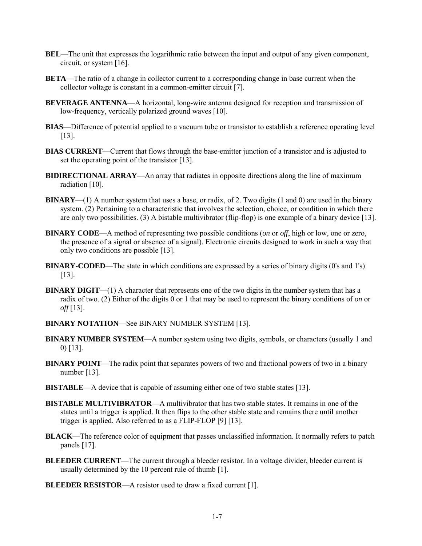- **BEL—The unit that expresses the logarithmic ratio between the input and output of any given component,** circuit, or system [16].
- **BETA**—The ratio of a change in collector current to a corresponding change in base current when the collector voltage is constant in a common-emitter circuit [7].
- **BEVERAGE ANTENNA—A** horizontal, long-wire antenna designed for reception and transmission of low-frequency, vertically polarized ground waves [10].
- **BIAS**—Difference of potential applied to a vacuum tube or transistor to establish a reference operating level [13].
- **BIAS CURRENT**—Current that flows through the base-emitter junction of a transistor and is adjusted to set the operating point of the transistor [13].
- **BIDIRECTIONAL ARRAY—An array that radiates in opposite directions along the line of maximum** radiation [10].
- **BINARY**—(1) A number system that uses a base, or radix, of 2. Two digits (1 and 0) are used in the binary system. (2) Pertaining to a characteristic that involves the selection, choice, or condition in which there are only two possibilities. (3) A bistable multivibrator (flip-flop) is one example of a binary device [13].
- **BINARY CODE**—A method of representing two possible conditions (*on* or *off*, high or low, one or zero, the presence of a signal or absence of a signal). Electronic circuits designed to work in such a way that only two conditions are possible [13].
- **BINARY-CODED**—The state in which conditions are expressed by a series of binary digits (0's and 1's) [13].
- **BINARY DIGIT—(1)** A character that represents one of the two digits in the number system that has a radix of two. (2) Either of the digits 0 or 1 that may be used to represent the binary conditions of *on* or *off* [13].
- **BINARY NOTATION—See BINARY NUMBER SYSTEM [13].**
- **BINARY NUMBER SYSTEM—A** number system using two digits, symbols, or characters (usually 1 and 0) [13].
- **BINARY POINT**—The radix point that separates powers of two and fractional powers of two in a binary number [13].
- **BISTABLE—A** device that is capable of assuming either one of two stable states [13].
- **BISTABLE MULTIVIBRATOR—A** multivibrator that has two stable states. It remains in one of the states until a trigger is applied. It then flips to the other stable state and remains there until another trigger is applied. Also referred to as a FLIP-FLOP [9] [13].
- **BLACK**—The reference color of equipment that passes unclassified information. It normally refers to patch panels [17].
- **BLEEDER CURRENT—The current through a bleeder resistor. In a voltage divider, bleeder current is** usually determined by the 10 percent rule of thumb [1].
- **BLEEDER RESISTOR**—A resistor used to draw a fixed current [1].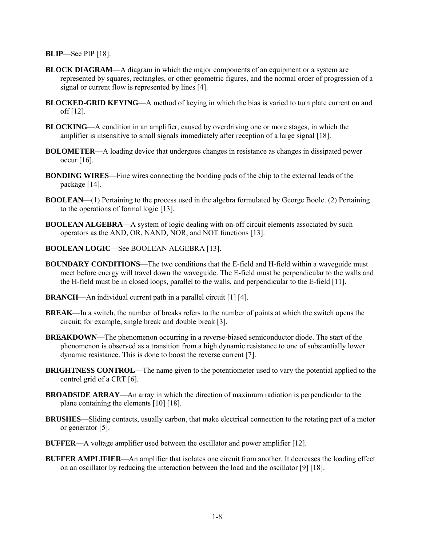#### **BLIP**—See PIP [18].

- **BLOCK DIAGRAM**—A diagram in which the major components of an equipment or a system are represented by squares, rectangles, or other geometric figures, and the normal order of progression of a signal or current flow is represented by lines [4].
- **BLOCKED-GRID KEYING—A** method of keying in which the bias is varied to turn plate current on and off [12].
- **BLOCKING**—A condition in an amplifier, caused by overdriving one or more stages, in which the amplifier is insensitive to small signals immediately after reception of a large signal [18].
- **BOLOMETER**—A loading device that undergoes changes in resistance as changes in dissipated power occur  $[16]$ .
- **BONDING WIRES**—Fine wires connecting the bonding pads of the chip to the external leads of the package [14].
- **BOOLEAN**—(1) Pertaining to the process used in the algebra formulated by George Boole. (2) Pertaining to the operations of formal logic [13].
- **BOOLEAN ALGEBRA—A** system of logic dealing with on-off circuit elements associated by such operators as the AND, OR, NAND, NOR, and NOT functions [13].
- **BOOLEAN LOGIC—See BOOLEAN ALGEBRA [13].**
- **BOUNDARY CONDITIONS—The two conditions that the E-field and H-field within a waveguide must** meet before energy will travel down the waveguide. The E-field must be perpendicular to the walls and the H-field must be in closed loops, parallel to the walls, and perpendicular to the E-field [11].
- **BRANCH**—An individual current path in a parallel circuit [1] [4].
- **BREAK**—In a switch, the number of breaks refers to the number of points at which the switch opens the circuit; for example, single break and double break [3].
- **BREAKDOWN**—The phenomenon occurring in a reverse-biased semiconductor diode. The start of the phenomenon is observed as a transition from a high dynamic resistance to one of substantially lower dynamic resistance. This is done to boost the reverse current [7].
- **BRIGHTNESS CONTROL—The name given to the potentiometer used to vary the potential applied to the** control grid of a CRT [6].
- **BROADSIDE ARRAY—An array in which the direction of maximum radiation is perpendicular to the** plane containing the elements [10] [18].
- **BRUSHES—Sliding contacts, usually carbon, that make electrical connection to the rotating part of a motor** or generator [5].
- **BUFFER**—A voltage amplifier used between the oscillator and power amplifier [12].
- **BUFFER AMPLIFIER—An amplifier that isolates one circuit from another. It decreases the loading effect** on an oscillator by reducing the interaction between the load and the oscillator [9] [18].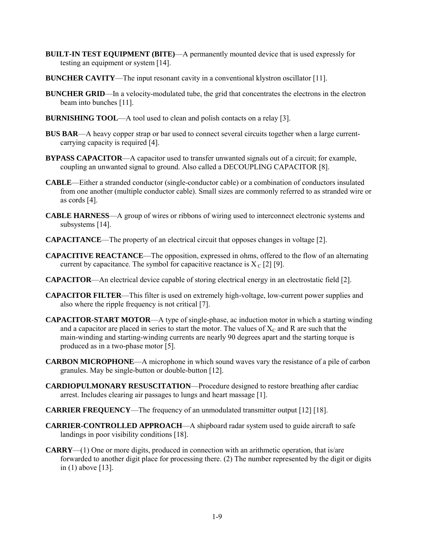- **BUILT-IN TEST EQUIPMENT (BITE)—A permanently mounted device that is used expressly for** testing an equipment or system [14].
- **BUNCHER CAVITY—The input resonant cavity in a conventional klystron oscillator [11].**
- **BUNCHER GRID—In a velocity-modulated tube, the grid that concentrates the electrons in the electron** beam into bunches [11].
- **BURNISHING TOOL—A** tool used to clean and polish contacts on a relay [3].
- **BUS BAR—A** heavy copper strap or bar used to connect several circuits together when a large currentcarrying capacity is required [4].
- **BYPASS CAPACITOR—A** capacitor used to transfer unwanted signals out of a circuit; for example, coupling an unwanted signal to ground. Also called a DECOUPLING CAPACITOR [8].
- **CABLE**—Either a stranded conductor (single-conductor cable) or a combination of conductors insulated from one another (multiple conductor cable). Small sizes are commonly referred to as stranded wire or as cords [4].
- **CABLE HARNESS**—A group of wires or ribbons of wiring used to interconnect electronic systems and subsystems [14].
- **CAPACITANCE**—The property of an electrical circuit that opposes changes in voltage [2].
- **CAPACITIVE REACTANCE**—The opposition, expressed in ohms, offered to the flow of an alternating current by capacitance. The symbol for capacitive reactance is  $X_C$  [2] [9].
- **CAPACITOR**—An electrical device capable of storing electrical energy in an electrostatic field [2].
- **CAPACITOR FILTER—This filter is used on extremely high-voltage, low-current power supplies and** also where the ripple frequency is not critical [7].
- **CAPACITOR-START MOTOR—A** type of single-phase, ac induction motor in which a starting winding and a capacitor are placed in series to start the motor. The values of  $X_c$  and R are such that the main-winding and starting-winding currents are nearly 90 degrees apart and the starting torque is produced as in a two-phase motor [5].
- **CARBON MICROPHONE—A** microphone in which sound waves vary the resistance of a pile of carbon granules. May be single-button or double-button [12].
- **CARDIOPULMONARY RESUSCITATION—Procedure designed to restore breathing after cardiac** arrest. Includes clearing air passages to lungs and heart massage [1].
- **CARRIER FREQUENCY—The frequency of an unmodulated transmitter output [12] [18].**
- **CARRIER-CONTROLLED APPROACH**—A shipboard radar system used to guide aircraft to safe landings in poor visibility conditions [18].
- **CARRY** $(1)$  One or more digits, produced in connection with an arithmetic operation, that is/are forwarded to another digit place for processing there. (2) The number represented by the digit or digits in (1) above [13].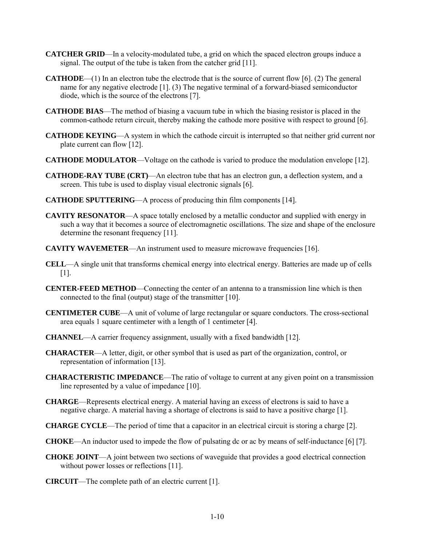- **CATCHER GRID—In a velocity-modulated tube, a grid on which the spaced electron groups induce a** signal. The output of the tube is taken from the catcher grid [11].
- **CATHODE** $(1)$  In an electron tube the electrode that is the source of current flow [6]. (2) The general name for any negative electrode [1]. (3) The negative terminal of a forward-biased semiconductor diode, which is the source of the electrons [7].
- **CATHODE BIAS**—The method of biasing a vacuum tube in which the biasing resistor is placed in the common-cathode return circuit, thereby making the cathode more positive with respect to ground [6].
- **CATHODE KEYING—A** system in which the cathode circuit is interrupted so that neither grid current nor plate current can flow [12].
- **CATHODE MODULATOR—Voltage on the cathode is varied to produce the modulation envelope [12].**
- **CATHODE-RAY TUBE (CRT)—An electron tube that has an electron gun, a deflection system, and a** screen. This tube is used to display visual electronic signals [6].
- **CATHODE SPUTTERING—A** process of producing thin film components [14].
- **CAVITY RESONATOR**—A space totally enclosed by a metallic conductor and supplied with energy in such a way that it becomes a source of electromagnetic oscillations. The size and shape of the enclosure determine the resonant frequency [11].
- **CAVITY WAVEMETER—An instrument used to measure microwave frequencies [16].**
- **CELL**—A single unit that transforms chemical energy into electrical energy. Batteries are made up of cells [1].
- **CENTER-FEED METHOD**—Connecting the center of an antenna to a transmission line which is then connected to the final (output) stage of the transmitter [10].
- **CENTIMETER CUBE—A** unit of volume of large rectangular or square conductors. The cross-sectional area equals 1 square centimeter with a length of 1 centimeter [4].
- **CHANNEL**—A carrier frequency assignment, usually with a fixed bandwidth [12].
- **CHARACTER**—A letter, digit, or other symbol that is used as part of the organization, control, or representation of information [13].
- **CHARACTERISTIC IMPEDANCE—The ratio of voltage to current at any given point on a transmission** line represented by a value of impedance [10].
- **CHARGE**—Represents electrical energy. A material having an excess of electrons is said to have a negative charge. A material having a shortage of electrons is said to have a positive charge [1].
- **CHARGE CYCLE—The period of time that a capacitor in an electrical circuit is storing a charge [2].**
- **CHOKE**—An inductor used to impede the flow of pulsating dc or ac by means of self-inductance [6] [7].
- **CHOKE JOINT**—A joint between two sections of waveguide that provides a good electrical connection without power losses or reflections [11].
- **CIRCUIT**—The complete path of an electric current [1].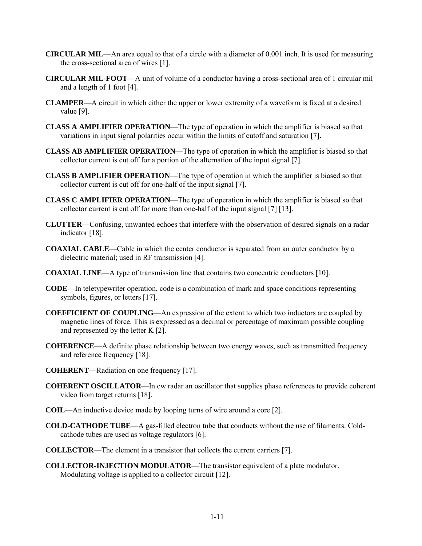- **CIRCULAR MIL—An area equal to that of a circle with a diameter of 0.001 inch. It is used for measuring** the cross-sectional area of wires [1].
- **CIRCULAR MIL-FOOT—A** unit of volume of a conductor having a cross-sectional area of 1 circular mil and a length of 1 foot [4].
- **CLAMPER—A** circuit in which either the upper or lower extremity of a waveform is fixed at a desired value [9].
- **CLASS A AMPLIFIER OPERATION—The type of operation in which the amplifier is biased so that** variations in input signal polarities occur within the limits of cutoff and saturation [7].
- **CLASS AB AMPLIFIER OPERATION—The type of operation in which the amplifier is biased so that** collector current is cut off for a portion of the alternation of the input signal [7].
- **CLASS B AMPLIFIER OPERATION—The type of operation in which the amplifier is biased so that** collector current is cut off for one-half of the input signal [7].
- **CLASS C AMPLIFIER OPERATION—The type of operation in which the amplifier is biased so that** collector current is cut off for more than one-half of the input signal [7] [13].
- **CLUTTER—Confusing, unwanted echoes that interfere with the observation of desired signals on a radar** indicator [18].
- **COAXIAL CABLE—Cable in which the center conductor is separated from an outer conductor by a** dielectric material; used in RF transmission [4].
- **COAXIAL LINE**—A type of transmission line that contains two concentric conductors [10].
- **CODE**—In teletypewriter operation, code is a combination of mark and space conditions representing symbols, figures, or letters [17].
- **COEFFICIENT OF COUPLING—An expression of the extent to which two inductors are coupled by** magnetic lines of force. This is expressed as a decimal or percentage of maximum possible coupling and represented by the letter K [2].
- **COHERENCE**—A definite phase relationship between two energy waves, such as transmitted frequency and reference frequency [18].
- **COHERENT—Radiation on one frequency [17].**
- **COHERENT OSCILLATOR—In cw radar an oscillator that supplies phase references to provide coherent** video from target returns [18].
- **COIL**—An inductive device made by looping turns of wire around a core [2].
- **COLD-CATHODE TUBE**—A gas-filled electron tube that conducts without the use of filaments. Coldcathode tubes are used as voltage regulators [6].
- **COLLECTOR**—The element in a transistor that collects the current carriers [7].
- **COLLECTOR-INJECTION MODULATOR—The transistor equivalent of a plate modulator.** Modulating voltage is applied to a collector circuit [12].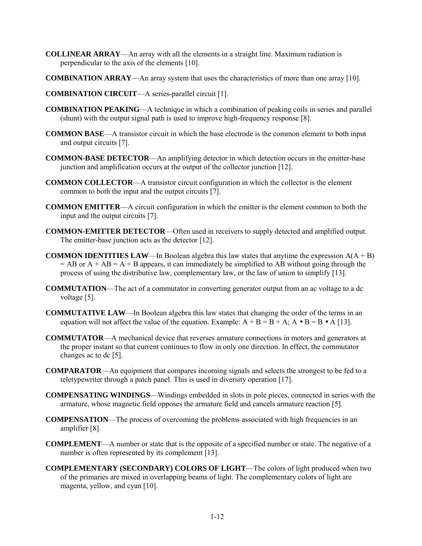- **COLLINEAR ARRAY—An array with all the elements in a straight line. Maximum radiation is** perpendicular to the axis of the elements [10].
- **COMBINATION ARRAY—An array system that uses the characteristics of more than one array [10].**
- **COMBINATION CIRCUIT**—A series-parallel circuit [1].
- **COMBINATION PEAKING**—A technique in which a combination of peaking coils in series and parallel (shunt) with the output signal path is used to improve high-frequency response [8].
- **COMMON BASE—A** transistor circuit in which the base electrode is the common element to both input and output circuits [7].
- **COMMON-BASE DETECTOR—An amplifying detector in which detection occurs in the emitter-base** junction and amplification occurs at the output of the collector junction [12].
- **COMMON COLLECTOR—A** transistor circuit configuration in which the collector is the element common to both the input and the output circuits [7].
- **COMMON EMITTER—A** circuit configuration in which the emitter is the element common to both the input and the output circuits [7].
- **COMMON-EMITTER DETECTOR**—Often used in receivers to supply detected and amplified output. The emitter-base junction acts as the detector [12].
- **COMMON IDENTITIES LAW**—In Boolean algebra this law states that anytime the expression  $A(A + B)$  $= AB$  or  $A + AB = A + B$  appears, it can immediately be simplified to AB without going through the process of using the distributive law, complementary law, or the law of union to simplify [13].
- **COMMUTATION—The act of a commutator in converting generator output from an ac voltage to a dc** voltage [5].
- **COMMUTATIVE LAW—In Boolean algebra this law states that changing the order of the terms in an** equation will not affect the value of the equation. Example:  $A + B = B + A$ ;  $A \bullet B = B \bullet A$  [13].
- **COMMUTATOR**—A mechanical device that reverses armature connections in motors and generators at the proper instant so that current continues to flow in only one direction. In effect, the commutator changes ac to dc [5].
- **COMPARATOR**—An equipment that compares incoming signals and selects the strongest to be fed to a teletypewriter through a patch panel. This is used in diversity operation [17].
- **COMPENSATING WINDINGS—Windings embedded in slots in pole pieces, connected in series with the** armature, whose magnetic field opposes the armature field and cancels armature reaction [5].
- **COMPENSATION**—The process of overcoming the problems associated with high frequencies in an amplifier [8].
- **COMPLEMENT**—A number or state that is the opposite of a specified number or state. The negative of a number is often represented by its complement [13].
- **COMPLEMENTARY (SECONDARY) COLORS OF LIGHT**—The colors of light produced when two of the primaries are mixed in overlapping beams of light. The complementary colors of light are magenta, yellow, and cyan [10].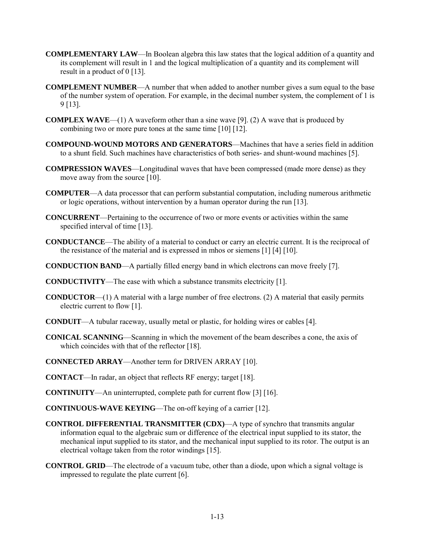- **COMPLEMENTARY LAW—In Boolean algebra this law states that the logical addition of a quantity and** its complement will result in 1 and the logical multiplication of a quantity and its complement will result in a product of 0 [13].
- **COMPLEMENT NUMBER**—A number that when added to another number gives a sum equal to the base of the number system of operation. For example, in the decimal number system, the complement of 1 is 9 [13].
- **COMPLEX WAVE**—(1) A waveform other than a sine wave [9]. (2) A wave that is produced by combining two or more pure tones at the same time [10] [12].
- **COMPOUND-WOUND MOTORS AND GENERATORS—Machines that have a series field in addition** to a shunt field. Such machines have characteristics of both series- and shunt-wound machines [5].
- **COMPRESSION WAVES—Longitudinal waves that have been compressed (made more dense) as they** move away from the source [10].
- **COMPUTER—A** data processor that can perform substantial computation, including numerous arithmetic or logic operations, without intervention by a human operator during the run [13].
- **CONCURRENT**—Pertaining to the occurrence of two or more events or activities within the same specified interval of time [13].
- **CONDUCTANCE—The ability of a material to conduct or carry an electric current. It is the reciprocal of** the resistance of the material and is expressed in mhos or siemens [1] [4] [10].
- **CONDUCTION BAND—A** partially filled energy band in which electrons can move freely [7].
- **CONDUCTIVITY—**The ease with which a substance transmits electricity [1].
- **CONDUCTOR** $\rightarrow$ (1) A material with a large number of free electrons. (2) A material that easily permits electric current to flow [1].
- **CONDUIT**—A tubular raceway, usually metal or plastic, for holding wires or cables [4].
- **CONICAL SCANNING**—Scanning in which the movement of the beam describes a cone, the axis of which coincides with that of the reflector [18].
- **CONNECTED ARRAY—Another term for DRIVEN ARRAY [10].**
- **CONTACT—In radar, an object that reflects RF energy; target [18].**
- **CONTINUITY—An uninterrupted, complete path for current flow [3] [16].**
- **CONTINUOUS-WAVE KEYING—The on-off keying of a carrier [12].**
- **CONTROL DIFFERENTIAL TRANSMITTER (CDX)—A type of synchro that transmits angular** information equal to the algebraic sum or difference of the electrical input supplied to its stator, the mechanical input supplied to its stator, and the mechanical input supplied to its rotor. The output is an electrical voltage taken from the rotor windings [15].
- **CONTROL GRID**—The electrode of a vacuum tube, other than a diode, upon which a signal voltage is impressed to regulate the plate current [6].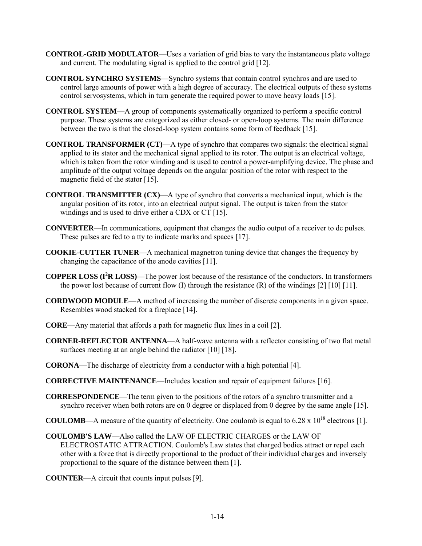- **CONTROL-GRID MODULATOR—Uses a variation of grid bias to vary the instantaneous plate voltage** and current. The modulating signal is applied to the control grid [12].
- **CONTROL SYNCHRO SYSTEMS**—Synchro systems that contain control synchros and are used to control large amounts of power with a high degree of accuracy. The electrical outputs of these systems control servosystems, which in turn generate the required power to move heavy loads [15].
- **CONTROL SYSTEM—A** group of components systematically organized to perform a specific control purpose. These systems are categorized as either closed- or open-loop systems. The main difference between the two is that the closed-loop system contains some form of feedback [15].
- **CONTROL TRANSFORMER (CT)—A** type of synchro that compares two signals: the electrical signal applied to its stator and the mechanical signal applied to its rotor. The output is an electrical voltage, which is taken from the rotor winding and is used to control a power-amplifying device. The phase and amplitude of the output voltage depends on the angular position of the rotor with respect to the magnetic field of the stator [15].
- **CONTROL TRANSMITTER (CX)—A** type of synchro that converts a mechanical input, which is the angular position of its rotor, into an electrical output signal. The output is taken from the stator windings and is used to drive either a CDX or CT [15].
- **CONVERTER—In communications, equipment that changes the audio output of a receiver to dc pulses.** These pulses are fed to a tty to indicate marks and spaces [17].
- **COOKIE-CUTTER TUNER—A** mechanical magnetron tuning device that changes the frequency by changing the capacitance of the anode cavities [11].
- **COPPER LOSS (** $I^2R$  **LOSS)—The power lost because of the resistance of the conductors. In transformers** the power lost because of current flow  $(I)$  through the resistance  $(R)$  of the windings  $[2]$   $[10]$   $[11]$ .
- **CORDWOOD MODULE**—A method of increasing the number of discrete components in a given space. Resembles wood stacked for a fireplace [14].
- **CORE**—Any material that affords a path for magnetic flux lines in a coil [2].
- **CORNER-REFLECTOR ANTENNA—A half-wave antenna with a reflector consisting of two flat metal** surfaces meeting at an angle behind the radiator [10] [18].
- **CORONA**—The discharge of electricity from a conductor with a high potential [4].
- **CORRECTIVE MAINTENANCE—Includes location and repair of equipment failures [16].**
- **CORRESPONDENCE**—The term given to the positions of the rotors of a synchro transmitter and a synchro receiver when both rotors are on 0 degree or displaced from 0 degree by the same angle [15].
- **COULOMB**—A measure of the quantity of electricity. One coulomb is equal to 6.28 x  $10^{18}$  electrons [1].
- **COULOMB'S LAW**—Also called the LAW OF ELECTRIC CHARGES or the LAW OF ELECTROSTATIC ATTRACTION. Coulomb's Law states that charged bodies attract or repel each other with a force that is directly proportional to the product of their individual charges and inversely proportional to the square of the distance between them [1].
- **COUNTER**—A circuit that counts input pulses [9].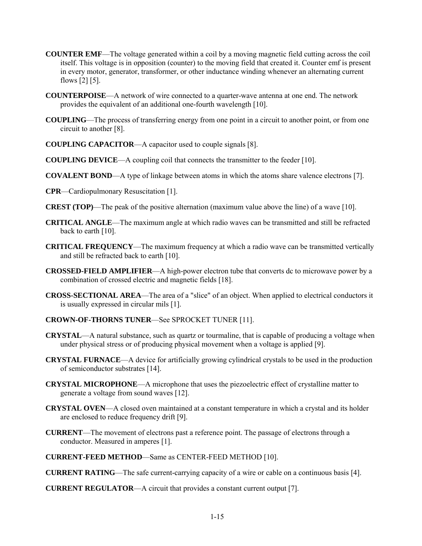- **COUNTER EMF**—The voltage generated within a coil by a moving magnetic field cutting across the coil itself. This voltage is in opposition (counter) to the moving field that created it. Counter emf is present in every motor, generator, transformer, or other inductance winding whenever an alternating current flows [2] [5].
- **COUNTERPOISE**—A network of wire connected to a quarter-wave antenna at one end. The network provides the equivalent of an additional one-fourth wavelength [10].
- **COUPLING**—The process of transferring energy from one point in a circuit to another point, or from one circuit to another [8].
- **COUPLING CAPACITOR—A** capacitor used to couple signals [8].
- **COUPLING DEVICE—A** coupling coil that connects the transmitter to the feeder [10].
- **COVALENT BOND—A** type of linkage between atoms in which the atoms share valence electrons [7].
- **CPR**—Cardiopulmonary Resuscitation [1].
- **CREST (TOP)**—The peak of the positive alternation (maximum value above the line) of a wave [10].
- **CRITICAL ANGLE**—The maximum angle at which radio waves can be transmitted and still be refracted back to earth [10].
- **CRITICAL FREQUENCY—The maximum frequency at which a radio wave can be transmitted vertically** and still be refracted back to earth [10].
- **CROSSED-FIELD AMPLIFIER—A** high-power electron tube that converts dc to microwave power by a combination of crossed electric and magnetic fields [18].
- **CROSS-SECTIONAL AREA—The area of a "slice" of an object. When applied to electrical conductors it** is usually expressed in circular mils [1].
- **CROWN-OF-THORNS TUNER—See SPROCKET TUNER [11].**
- **CRYSTAL**—A natural substance, such as quartz or tourmaline, that is capable of producing a voltage when under physical stress or of producing physical movement when a voltage is applied [9].
- **CRYSTAL FURNACE**—A device for artificially growing cylindrical crystals to be used in the production of semiconductor substrates [14].
- **CRYSTAL MICROPHONE—A** microphone that uses the piezoelectric effect of crystalline matter to generate a voltage from sound waves [12].
- **CRYSTAL OVEN—A** closed oven maintained at a constant temperature in which a crystal and its holder are enclosed to reduce frequency drift [9].
- **CURRENT**—The movement of electrons past a reference point. The passage of electrons through a conductor. Measured in amperes [1].
- **CURRENT-FEED METHOD—Same as CENTER-FEED METHOD [10].**
- **CURRENT RATING—The safe current-carrying capacity of a wire or cable on a continuous basis [4].**
- **CURRENT REGULATOR—A** circuit that provides a constant current output [7].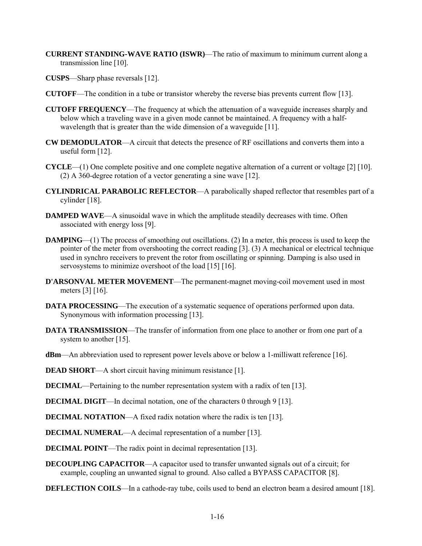- **CURRENT STANDING-WAVE RATIO (ISWR)—The ratio of maximum to minimum current along a** transmission line [10].
- **CUSPS**—Sharp phase reversals [12].
- **CUTOFF**—The condition in a tube or transistor whereby the reverse bias prevents current flow [13].
- **CUTOFF FREQUENCY—The frequency at which the attenuation of a waveguide increases sharply and** below which a traveling wave in a given mode cannot be maintained. A frequency with a halfwavelength that is greater than the wide dimension of a waveguide [11].
- **CW DEMODULATOR—A** circuit that detects the presence of RF oscillations and converts them into a useful form [12].
- **CYCLE** $(1)$  One complete positive and one complete negative alternation of a current or voltage [2] [10]. (2) A 360-degree rotation of a vector generating a sine wave [12].
- **CYLINDRICAL PARABOLIC REFLECTOR—A parabolically shaped reflector that resembles part of a** cylinder [18].
- **DAMPED WAVE**—A sinusoidal wave in which the amplitude steadily decreases with time. Often associated with energy loss [9].
- **DAMPING** $(1)$  The process of smoothing out oscillations. (2) In a meter, this process is used to keep the pointer of the meter from overshooting the correct reading [3]. (3) A mechanical or electrical technique used in synchro receivers to prevent the rotor from oscillating or spinning. Damping is also used in servosystems to minimize overshoot of the load [15] [16].
- **D'ARSONVAL METER MOVEMENT—The permanent-magnet moving-coil movement used in most** meters [3] [16].
- **DATA PROCESSING**—The execution of a systematic sequence of operations performed upon data. Synonymous with information processing [13].
- **DATA TRANSMISSION—The transfer of information from one place to another or from one part of a** system to another [15].
- **dBm—An abbreviation used to represent power levels above or below a 1-milliwatt reference [16].**
- **DEAD SHORT—A** short circuit having minimum resistance [1].
- **DECIMAL**—Pertaining to the number representation system with a radix of ten [13].
- **DECIMAL DIGIT**—In decimal notation, one of the characters 0 through 9 [13].
- **DECIMAL NOTATION—A** fixed radix notation where the radix is ten [13].
- **DECIMAL NUMERAL—A** decimal representation of a number [13].
- **DECIMAL POINT—The radix point in decimal representation [13].**
- **DECOUPLING CAPACITOR—A** capacitor used to transfer unwanted signals out of a circuit; for example, coupling an unwanted signal to ground. Also called a BYPASS CAPACITOR [8].

**DEFLECTION COILS—In a cathode-ray tube, coils used to bend an electron beam a desired amount [18].**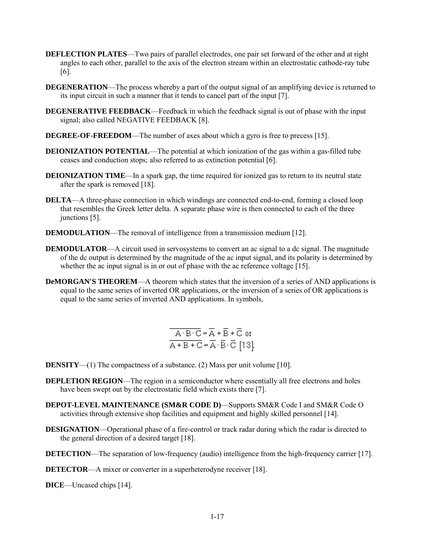- **DEFLECTION PLATES—Two pairs of parallel electrodes, one pair set forward of the other and at right** angles to each other, parallel to the axis of the electron stream within an electrostatic cathode-ray tube [6].
- **DEGENERATION—The process whereby a part of the output signal of an amplifying device is returned to** its input circuit in such a manner that it tends to cancel part of the input [7].
- **DEGENERATIVE FEEDBACK—Feedback in which the feedback signal is out of phase with the input** signal; also called NEGATIVE FEEDBACK [8].
- **DEGREE-OF-FREEDOM**—The number of axes about which a gyro is free to precess [15].
- **DEIONIZATION POTENTIAL—The potential at which ionization of the gas within a gas-filled tube** ceases and conduction stops; also referred to as extinction potential [6].
- **DEIONIZATION TIME**—In a spark gap, the time required for ionized gas to return to its neutral state after the spark is removed [18].
- **DELTA**—A three-phase connection in which windings are connected end-to-end, forming a closed loop that resembles the Greek letter delta. A separate phase wire is then connected to each of the three junctions [5].
- **DEMODULATION—The removal of intelligence from a transmission medium [12].**
- **DEMODULATOR**—A circuit used in servosystems to convert an ac signal to a dc signal. The magnitude of the dc output is determined by the magnitude of the ac input signal, and its polarity is determined by whether the ac input signal is in or out of phase with the ac reference voltage [15].
- **DeMORGAN'S THEOREM—A** theorem which states that the inversion of a series of AND applications is equal to the same series of inverted OR applications, or the inversion of a series of OR applications is equal to the same series of inverted AND applications. In symbols,

 $\overline{A \cdot B \cdot C} = \overline{A} + \overline{B} + \overline{C}$  or<br> $\overline{A + B + C} = \overline{A} \cdot \overline{B} \cdot \overline{C}$  [13].

- **DENSITY**—(1) The compactness of a substance. (2) Mass per unit volume [10].
- **DEPLETION REGION—**The region in a semiconductor where essentially all free electrons and holes have been swept out by the electrostatic field which exists there [7].
- **DEPOT-LEVEL MAINTENANCE (SM&R CODE D)—Supports SM&R Code I and SM&R Code O** activities through extensive shop facilities and equipment and highly skilled personnel [14].
- **DESIGNATION—Operational phase of a fire-control or track radar during which the radar is directed to** the general direction of a desired target [18].
- **DETECTION—The separation of low-frequency (audio) intelligence from the high-frequency carrier [17].**
- **DETECTOR**—A mixer or converter in a superheterodyne receiver [18].

**DICE**—Uncased chips [14].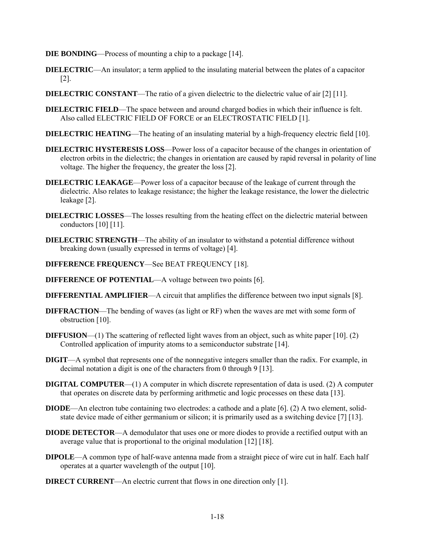**DIE BONDING—Process of mounting a chip to a package [14].** 

- **DIELECTRIC—An** insulator; a term applied to the insulating material between the plates of a capacitor [2].
- **DIELECTRIC CONSTANT—The ratio of a given dielectric to the dielectric value of air [2] [11].**
- **DIELECTRIC FIELD**—The space between and around charged bodies in which their influence is felt. Also called ELECTRIC FIELD OF FORCE or an ELECTROSTATIC FIELD [1].
- **DIELECTRIC HEATING—The heating of an insulating material by a high-frequency electric field [10].**
- **DIELECTRIC HYSTERESIS LOSS—Power loss of a capacitor because of the changes in orientation of** electron orbits in the dielectric; the changes in orientation are caused by rapid reversal in polarity of line voltage. The higher the frequency, the greater the loss [2].
- **DIELECTRIC LEAKAGE—Power loss of a capacitor because of the leakage of current through the** dielectric. Also relates to leakage resistance; the higher the leakage resistance, the lower the dielectric leakage [2].
- **DIELECTRIC LOSSES**—The losses resulting from the heating effect on the dielectric material between conductors [10] [11].
- **DIELECTRIC STRENGTH—The ability of an insulator to withstand a potential difference without** breaking down (usually expressed in terms of voltage) [4].
- **DIFFERENCE FREQUENCY—See BEAT FREQUENCY [18].**
- **DIFFERENCE OF POTENTIAL—A** voltage between two points [6].
- **DIFFERENTIAL AMPLIFIER—A** circuit that amplifies the difference between two input signals [8].
- **DIFFRACTION—**The bending of waves (as light or RF) when the waves are met with some form of obstruction [10].
- **DIFFUSION** $\rightarrow$ (1) The scattering of reflected light waves from an object, such as white paper [10]. (2) Controlled application of impurity atoms to a semiconductor substrate [14].
- **DIGIT**—A symbol that represents one of the nonnegative integers smaller than the radix. For example, in decimal notation a digit is one of the characters from 0 through 9 [13].
- **DIGITAL COMPUTER** $(1)$  A computer in which discrete representation of data is used. (2) A computer that operates on discrete data by performing arithmetic and logic processes on these data [13].
- **DIODE**—An electron tube containing two electrodes: a cathode and a plate [6]. (2) A two element, solidstate device made of either germanium or silicon; it is primarily used as a switching device [7] [13].
- **DIODE DETECTOR**—A demodulator that uses one or more diodes to provide a rectified output with an average value that is proportional to the original modulation [12] [18].
- **DIPOLE—A** common type of half-wave antenna made from a straight piece of wire cut in half. Each half operates at a quarter wavelength of the output [10].
- **DIRECT CURRENT**—An electric current that flows in one direction only [1].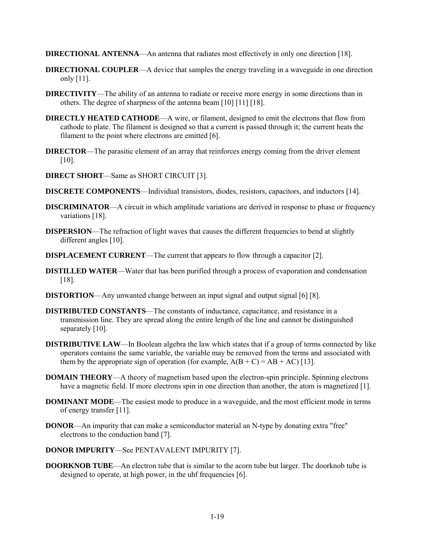**DIRECTIONAL ANTENNA—An antenna that radiates most effectively in only one direction [18].** 

- **DIRECTIONAL COUPLER—A** device that samples the energy traveling in a waveguide in one direction only [11].
- **DIRECTIVITY—The ability of an antenna to radiate or receive more energy in some directions than in** others. The degree of sharpness of the antenna beam [10] [11] [18].
- **DIRECTLY HEATED CATHODE—A** wire, or filament, designed to emit the electrons that flow from cathode to plate. The filament is designed so that a current is passed through it; the current heats the filament to the point where electrons are emitted [6].
- **DIRECTOR**—The parasitic element of an array that reinforces energy coming from the driver element [10].
- **DIRECT SHORT—Same as SHORT CIRCUIT [3].**
- **DISCRETE COMPONENTS—Individual transistors, diodes, resistors, capacitors, and inductors [14].**
- **DISCRIMINATOR**—A circuit in which amplitude variations are derived in response to phase or frequency variations [18].
- **DISPERSION—The refraction of light waves that causes the different frequencies to bend at slightly** different angles [10].
- **DISPLACEMENT CURRENT—The current that appears to flow through a capacitor [2].**
- **DISTILLED WATER—Water that has been purified through a process of evaporation and condensation** [18].
- **DISTORTION**—Any unwanted change between an input signal and output signal [6] [8].
- **DISTRIBUTED CONSTANTS—The constants of inductance, capacitance, and resistance in a** transmission line. They are spread along the entire length of the line and cannot be distinguished separately [10].
- **DISTRIBUTIVE LAW—In** Boolean algebra the law which states that if a group of terms connected by like operators contains the same variable, the variable may be removed from the terms and associated with them by the appropriate sign of operation (for example,  $A(B+C) = AB + AC$ ) [13].
- **DOMAIN THEORY—A** theory of magnetism based upon the electron-spin principle. Spinning electrons have a magnetic field. If more electrons spin in one direction than another, the atom is magnetized [1].
- **DOMINANT MODE—The easiest mode to produce in a waveguide, and the most efficient mode in terms** of energy transfer [11].
- **DONOR**—An impurity that can make a semiconductor material an N-type by donating extra "free" electrons to the conduction band [7].
- **DONOR IMPURITY—See PENTAVALENT IMPURITY [7].**
- **DOORKNOB TUBE—An electron tube that is similar to the acorn tube but larger. The doorknob tube is** designed to operate, at high power, in the uhf frequencies [6].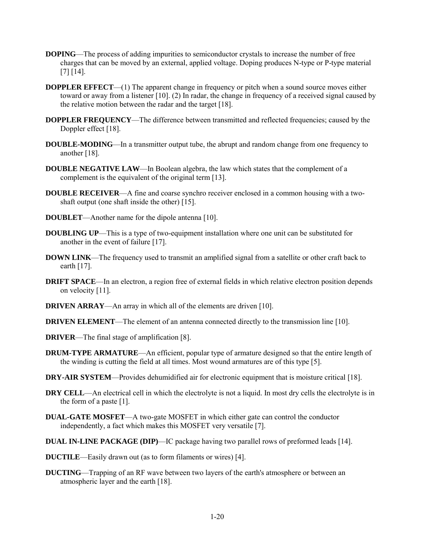- **DOPING**—The process of adding impurities to semiconductor crystals to increase the number of free charges that can be moved by an external, applied voltage. Doping produces N-type or P-type material [7] [14].
- **DOPPLER EFFECT**—(1) The apparent change in frequency or pitch when a sound source moves either toward or away from a listener [10]. (2) In radar, the change in frequency of a received signal caused by the relative motion between the radar and the target [18].
- **DOPPLER FREQUENCY**—The difference between transmitted and reflected frequencies; caused by the Doppler effect [18].
- **DOUBLE-MODING—In a transmitter output tube, the abrupt and random change from one frequency to** another [18].
- **DOUBLE NEGATIVE LAW—In Boolean algebra, the law which states that the complement of a** complement is the equivalent of the original term [13].
- **DOUBLE RECEIVER—A** fine and coarse synchro receiver enclosed in a common housing with a twoshaft output (one shaft inside the other) [15].
- **DOUBLET**—Another name for the dipole antenna [10].
- **DOUBLING UP—This is a type of two-equipment installation where one unit can be substituted for** another in the event of failure [17].
- **DOWN LINK**—The frequency used to transmit an amplified signal from a satellite or other craft back to earth [17].
- **DRIFT SPACE—In an electron, a region free of external fields in which relative electron position depends** on velocity [11].
- **DRIVEN ARRAY—An array in which all of the elements are driven [10].**
- **DRIVEN ELEMENT**—The element of an antenna connected directly to the transmission line [10].
- **DRIVER**—The final stage of amplification [8].
- **DRUM-TYPE ARMATURE—An efficient, popular type of armature designed so that the entire length of** the winding is cutting the field at all times. Most wound armatures are of this type [5].
- **DRY-AIR SYSTEM—Provides dehumidified air for electronic equipment that is moisture critical [18].**
- **DRY CELL**—An electrical cell in which the electrolyte is not a liquid. In most dry cells the electrolyte is in the form of a paste [1].
- **DUAL-GATE MOSFET**—A two-gate MOSFET in which either gate can control the conductor independently, a fact which makes this MOSFET very versatile [7].
- **DUAL IN-LINE PACKAGE (DIP)**—IC package having two parallel rows of preformed leads [14].
- **DUCTILE**—Easily drawn out (as to form filaments or wires) [4].
- **DUCTING**—Trapping of an RF wave between two layers of the earth's atmosphere or between an atmospheric layer and the earth [18].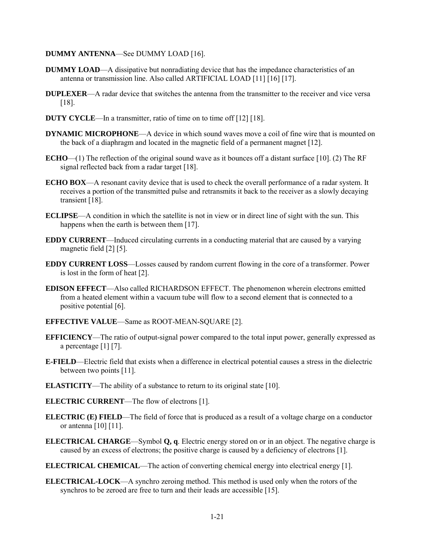**DUMMY ANTENNA—See DUMMY LOAD [16].** 

- **DUMMY LOAD**—A dissipative but nonradiating device that has the impedance characteristics of an antenna or transmission line. Also called ARTIFICIAL LOAD [11] [16] [17].
- **DUPLEXER**—A radar device that switches the antenna from the transmitter to the receiver and vice versa [18].
- **DUTY CYCLE—In a transmitter, ratio of time on to time off [12] [18].**
- **DYNAMIC MICROPHONE**—A device in which sound waves move a coil of fine wire that is mounted on the back of a diaphragm and located in the magnetic field of a permanent magnet [12].
- **ECHO** $-$ (1) The reflection of the original sound wave as it bounces off a distant surface [10]. (2) The RF signal reflected back from a radar target [18].
- **ECHO BOX—A** resonant cavity device that is used to check the overall performance of a radar system. It receives a portion of the transmitted pulse and retransmits it back to the receiver as a slowly decaying transient [18].
- **ECLIPSE**—A condition in which the satellite is not in view or in direct line of sight with the sun. This happens when the earth is between them [17].
- **EDDY CURRENT**—Induced circulating currents in a conducting material that are caused by a varying magnetic field [2] [5].
- **EDDY CURRENT LOSS—Losses caused by random current flowing in the core of a transformer. Power** is lost in the form of heat [2].
- **EDISON EFFECT—Also called RICHARDSON EFFECT. The phenomenon wherein electrons emitted** from a heated element within a vacuum tube will flow to a second element that is connected to a positive potential [6].
- **EFFECTIVE VALUE**—Same as ROOT-MEAN-SQUARE [2].
- **EFFICIENCY—The ratio of output-signal power compared to the total input power, generally expressed as** a percentage [1] [7].
- **E-FIELD**—Electric field that exists when a difference in electrical potential causes a stress in the dielectric between two points [11].
- **ELASTICITY**—The ability of a substance to return to its original state [10].
- **ELECTRIC CURRENT—The flow of electrons [1].**
- **ELECTRIC (E) FIELD—The field of force that is produced as a result of a voltage charge on a conductor** or antenna [10] [11].
- **ELECTRICAL CHARGE**—Symbol **Q, q**. Electric energy stored on or in an object. The negative charge is caused by an excess of electrons; the positive charge is caused by a deficiency of electrons [1].
- **ELECTRICAL CHEMICAL**—The action of converting chemical energy into electrical energy [1].
- **ELECTRICAL-LOCK**—A synchro zeroing method. This method is used only when the rotors of the synchros to be zeroed are free to turn and their leads are accessible [15].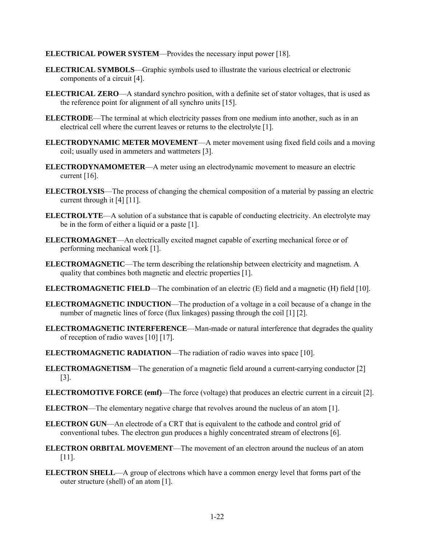#### **ELECTRICAL POWER SYSTEM—Provides the necessary input power [18].**

- **ELECTRICAL SYMBOLS—Graphic symbols used to illustrate the various electrical or electronic** components of a circuit [4].
- **ELECTRICAL ZERO—A** standard synchro position, with a definite set of stator voltages, that is used as the reference point for alignment of all synchro units [15].
- **ELECTRODE**—The terminal at which electricity passes from one medium into another, such as in an electrical cell where the current leaves or returns to the electrolyte [1].
- **ELECTRODYNAMIC METER MOVEMENT—A** meter movement using fixed field coils and a moving coil; usually used in ammeters and wattmeters [3].
- **ELECTRODYNAMOMETER—A** meter using an electrodynamic movement to measure an electric current  $[16]$ .
- **ELECTROLYSIS**—The process of changing the chemical composition of a material by passing an electric current through it [4] [11].
- **ELECTROLYTE**—A solution of a substance that is capable of conducting electricity. An electrolyte may be in the form of either a liquid or a paste [1].
- **ELECTROMAGNET—An electrically excited magnet capable of exerting mechanical force or of** performing mechanical work [1].
- **ELECTROMAGNETIC—**The term describing the relationship between electricity and magnetism. A quality that combines both magnetic and electric properties [1].
- **ELECTROMAGNETIC FIELD—The combination of an electric (E) field and a magnetic (H) field [10].**
- **ELECTROMAGNETIC INDUCTION—The production of a voltage in a coil because of a change in the** number of magnetic lines of force (flux linkages) passing through the coil [1] [2].
- **ELECTROMAGNETIC INTERFERENCE**—Man-made or natural interference that degrades the quality of reception of radio waves [10] [17].
- **ELECTROMAGNETIC RADIATION—The radiation of radio waves into space [10].**
- **ELECTROMAGNETISM**—The generation of a magnetic field around a current-carrying conductor  $[2]$ [3].
- **ELECTROMOTIVE FORCE (emf)—The force (voltage) that produces an electric current in a circuit [2].**
- **ELECTRON**—The elementary negative charge that revolves around the nucleus of an atom [1].
- **ELECTRON GUN—An electrode of a CRT that is equivalent to the cathode and control grid of** conventional tubes. The electron gun produces a highly concentrated stream of electrons [6].
- **ELECTRON ORBITAL MOVEMENT—The movement of an electron around the nucleus of an atom** [11].
- **ELECTRON SHELL**—A group of electrons which have a common energy level that forms part of the outer structure (shell) of an atom [1].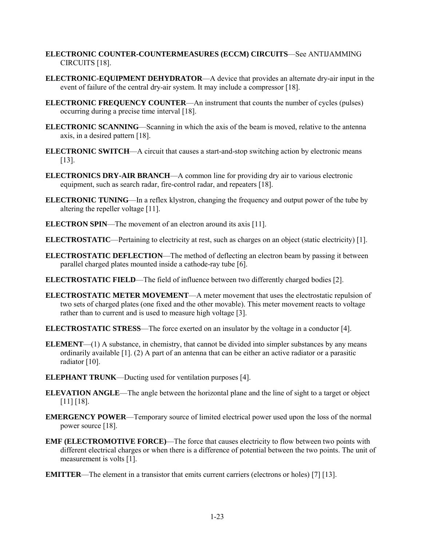#### **ELECTRONIC COUNTER-COUNTERMEASURES (ECCM) CIRCUITS—See ANTIJAMMING** CIRCUITS [18].

- **ELECTRONIC-EQUIPMENT DEHYDRATOR—A** device that provides an alternate dry-air input in the event of failure of the central dry-air system. It may include a compressor [18].
- **ELECTRONIC FREQUENCY COUNTER—An instrument that counts the number of cycles (pulses)** occurring during a precise time interval [18].
- **ELECTRONIC SCANNING—Scanning in which the axis of the beam is moved, relative to the antenna** axis, in a desired pattern [18].
- **ELECTRONIC SWITCH**—A circuit that causes a start-and-stop switching action by electronic means [13].
- **ELECTRONICS DRY-AIR BRANCH—A** common line for providing dry air to various electronic equipment, such as search radar, fire-control radar, and repeaters [18].
- **ELECTRONIC TUNING—In a reflex klystron, changing the frequency and output power of the tube by** altering the repeller voltage [11].
- **ELECTRON SPIN—The movement of an electron around its axis [11].**
- **ELECTROSTATIC—Pertaining to electricity at rest, such as charges on an object (static electricity) [1].**
- **ELECTROSTATIC DEFLECTION—The method of deflecting an electron beam by passing it between** parallel charged plates mounted inside a cathode-ray tube [6].
- **ELECTROSTATIC FIELD—The field of influence between two differently charged bodies [2].**
- **ELECTROSTATIC METER MOVEMENT—A** meter movement that uses the electrostatic repulsion of two sets of charged plates (one fixed and the other movable). This meter movement reacts to voltage rather than to current and is used to measure high voltage [3].
- **ELECTROSTATIC STRESS—** The force exerted on an insulator by the voltage in a conductor [4].
- **ELEMENT** $(1)$  A substance, in chemistry, that cannot be divided into simpler substances by any means ordinarily available [1]. (2) A part of an antenna that can be either an active radiator or a parasitic radiator [10].
- **ELEPHANT TRUNK—Ducting used for ventilation purposes [4].**
- **ELEVATION ANGLE**—The angle between the horizontal plane and the line of sight to a target or object [11] [18].
- **EMERGENCY POWER**—Temporary source of limited electrical power used upon the loss of the normal power source [18].
- **EMF (ELECTROMOTIVE FORCE)—The force that causes electricity to flow between two points with** different electrical charges or when there is a difference of potential between the two points. The unit of measurement is volts [1].
- **EMITTER**—The element in a transistor that emits current carriers (electrons or holes) [7] [13].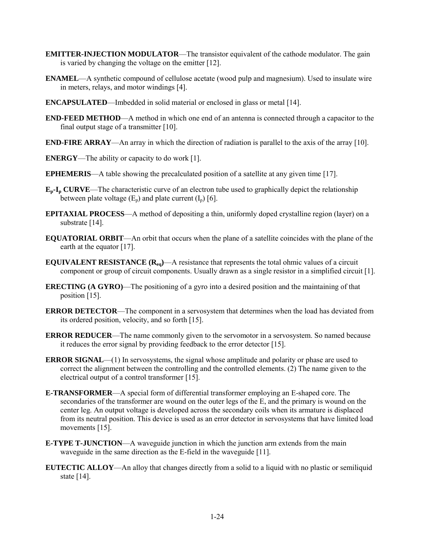- **EMITTER-INJECTION MODULATOR—The transistor equivalent of the cathode modulator. The gain** is varied by changing the voltage on the emitter [12].
- **ENAMEL**—A synthetic compound of cellulose acetate (wood pulp and magnesium). Used to insulate wire in meters, relays, and motor windings [4].
- **ENCAPSULATED**—Imbedded in solid material or enclosed in glass or metal [14].
- **END-FEED METHOD—A** method in which one end of an antenna is connected through a capacitor to the final output stage of a transmitter [10].
- **END-FIRE ARRAY—An array in which the direction of radiation is parallel to the axis of the array [10].**
- **ENERGY**—The ability or capacity to do work [1].
- **EPHEMERIS**—A table showing the precalculated position of a satellite at any given time [17].
- $\mathbf{E_p-I_p}$  **CURVE**—The characteristic curve of an electron tube used to graphically depict the relationship between plate voltage  $(E_p)$  and plate current  $(I_p)$  [6].
- **EPITAXIAL PROCESS—A** method of depositing a thin, uniformly doped crystalline region (layer) on a substrate [14].
- **EQUATORIAL ORBIT—An** orbit that occurs when the plane of a satellite coincides with the plane of the earth at the equator [17].
- **EQUIVALENT RESISTANCE**  $(R_{eq})$ —A resistance that represents the total ohmic values of a circuit component or group of circuit components. Usually drawn as a single resistor in a simplified circuit [1].
- **ERECTING (A GYRO)—The positioning of a gyro into a desired position and the maintaining of that** position [15].
- **ERROR DETECTOR—**The component in a servosystem that determines when the load has deviated from its ordered position, velocity, and so forth [15].
- **ERROR REDUCER—**The name commonly given to the servomotor in a servosystem. So named because it reduces the error signal by providing feedback to the error detector [15].
- **ERROR SIGNAL**—(1) In servosystems, the signal whose amplitude and polarity or phase are used to correct the alignment between the controlling and the controlled elements. (2) The name given to the electrical output of a control transformer [15].
- **E-TRANSFORMER—A** special form of differential transformer employing an E-shaped core. The secondaries of the transformer are wound on the outer legs of the E, and the primary is wound on the center leg. An output voltage is developed across the secondary coils when its armature is displaced from its neutral position. This device is used as an error detector in servosystems that have limited load movements [15].
- **E-TYPE T-JUNCTION—A** waveguide junction in which the junction arm extends from the main waveguide in the same direction as the E-field in the waveguide [11].
- **EUTECTIC ALLOY—An alloy that changes directly from a solid to a liquid with no plastic or semiliquid** state [14].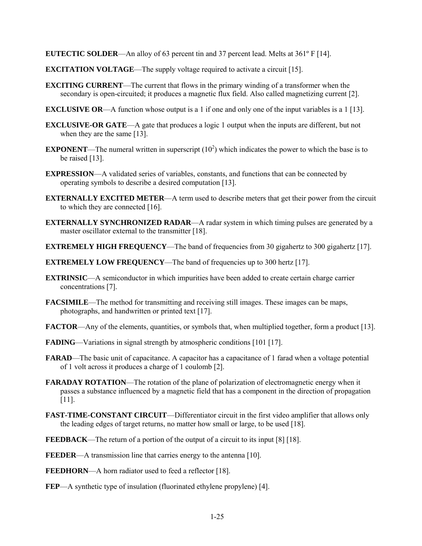- **EUTECTIC SOLDER—An alloy of 63 percent tin and 37 percent lead. Melts at**  $361^\circ$  **F [14].**
- **EXCITATION VOLTAGE—The supply voltage required to activate a circuit [15].**
- **EXCITING CURRENT**—The current that flows in the primary winding of a transformer when the secondary is open-circuited; it produces a magnetic flux field. Also called magnetizing current [2].
- **EXCLUSIVE OR—A** function whose output is a 1 if one and only one of the input variables is a 1 [13].
- **EXCLUSIVE-OR GATE**—A gate that produces a logic 1 output when the inputs are different, but not when they are the same [13].
- **EXPONENT**—The numeral written in superscript  $(10^2)$  which indicates the power to which the base is to be raised [13].
- **EXPRESSION**—A validated series of variables, constants, and functions that can be connected by operating symbols to describe a desired computation [13].
- **EXTERNALLY EXCITED METER—A** term used to describe meters that get their power from the circuit to which they are connected [16].
- **EXTERNALLY SYNCHRONIZED RADAR—A** radar system in which timing pulses are generated by a master oscillator external to the transmitter [18].
- **EXTREMELY HIGH FREQUENCY—The band of frequencies from 30 gigahertz to 300 gigahertz [17].**
- **EXTREMELY LOW FREQUENCY—The band of frequencies up to 300 hertz [17].**
- **EXTRINSIC**—A semiconductor in which impurities have been added to create certain charge carrier concentrations [7].
- **FACSIMILE**—The method for transmitting and receiving still images. These images can be maps, photographs, and handwritten or printed text [17].
- **FACTOR**—Any of the elements, quantities, or symbols that, when multiplied together, form a product [13].
- **FADING—Variations in signal strength by atmospheric conditions [101 [17].**
- **FARAD**—The basic unit of capacitance. A capacitor has a capacitance of 1 farad when a voltage potential of 1 volt across it produces a charge of 1 coulomb [2].
- **FARADAY ROTATION—The rotation of the plane of polarization of electromagnetic energy when it** passes a substance influenced by a magnetic field that has a component in the direction of propagation [11].
- FAST-TIME-CONSTANT CIRCUIT—Differentiator circuit in the first video amplifier that allows only the leading edges of target returns, no matter how small or large, to be used [18].
- **FEEDBACK**—The return of a portion of the output of a circuit to its input [8] [18].
- **FEEDER**—A transmission line that carries energy to the antenna [10].
- **FEEDHORN—A** horn radiator used to feed a reflector [18].
- **FEP**—A synthetic type of insulation (fluorinated ethylene propylene) [4].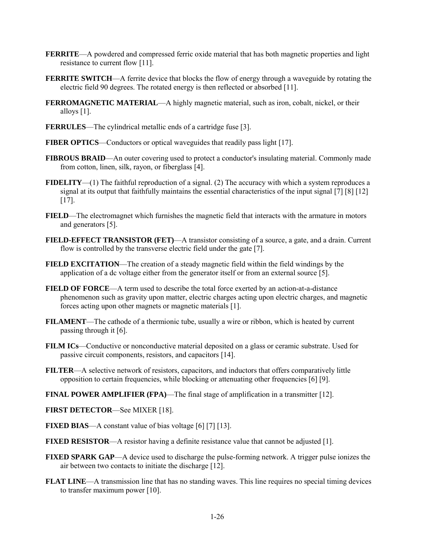- **FERRITE**—A powdered and compressed ferric oxide material that has both magnetic properties and light resistance to current flow [11].
- **FERRITE SWITCH**—A ferrite device that blocks the flow of energy through a waveguide by rotating the electric field 90 degrees. The rotated energy is then reflected or absorbed [11].
- **FERROMAGNETIC MATERIAL—A** highly magnetic material, such as iron, cobalt, nickel, or their alloys [1].
- **FERRULES**—The cylindrical metallic ends of a cartridge fuse [3].
- **FIBER OPTICS**—Conductors or optical waveguides that readily pass light [17].
- **FIBROUS BRAID**—An outer covering used to protect a conductor's insulating material. Commonly made from cotton, linen, silk, rayon, or fiberglass [4].
- **FIDELITY**—(1) The faithful reproduction of a signal. (2) The accuracy with which a system reproduces a signal at its output that faithfully maintains the essential characteristics of the input signal [7] [8] [12] [17].
- **FIELD**—The electromagnet which furnishes the magnetic field that interacts with the armature in motors and generators [5].
- **FIELD-EFFECT TRANSISTOR (FET)—A transistor consisting of a source, a gate, and a drain. Current** flow is controlled by the transverse electric field under the gate [7].
- FIELD EXCITATION—The creation of a steady magnetic field within the field windings by the application of a dc voltage either from the generator itself or from an external source [5].
- **FIELD OF FORCE**—A term used to describe the total force exerted by an action-at-a-distance phenomenon such as gravity upon matter, electric charges acting upon electric charges, and magnetic forces acting upon other magnets or magnetic materials [1].
- **FILAMENT**—The cathode of a thermionic tube, usually a wire or ribbon, which is heated by current passing through it [6].
- **FILM ICs—Conductive or nonconductive material deposited on a glass or ceramic substrate. Used for** passive circuit components, resistors, and capacitors [14].
- **FILTER**—A selective network of resistors, capacitors, and inductors that offers comparatively little opposition to certain frequencies, while blocking or attenuating other frequencies [6] [9].
- **FINAL POWER AMPLIFIER (FPA)—The final stage of amplification in a transmitter [12].**
- **FIRST DETECTOR—See MIXER [18].**
- **FIXED BIAS—A** constant value of bias voltage [6] [7] [13].
- **FIXED RESISTOR—A** resistor having a definite resistance value that cannot be adjusted [1].
- **FIXED SPARK GAP—A** device used to discharge the pulse-forming network. A trigger pulse ionizes the air between two contacts to initiate the discharge [12].
- **FLAT LINE—A** transmission line that has no standing waves. This line requires no special timing devices to transfer maximum power [10].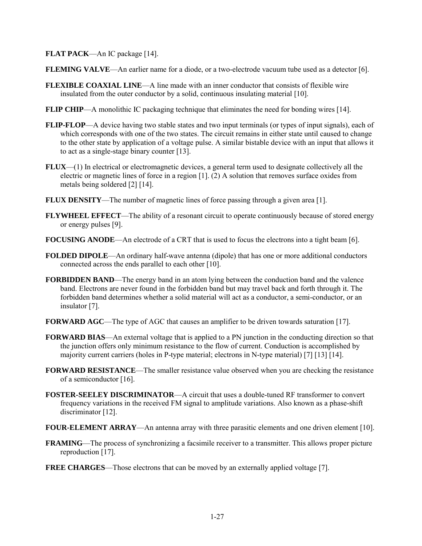- **FLAT PACK—An IC package [14].**
- **FLEMING VALVE**—An earlier name for a diode, or a two-electrode vacuum tube used as a detector [6].
- **FLEXIBLE COAXIAL LINE—A** line made with an inner conductor that consists of flexible wire insulated from the outer conductor by a solid, continuous insulating material [10].
- **FLIP CHIP—A** monolithic IC packaging technique that eliminates the need for bonding wires [14].
- **FLIP-FLOP—A** device having two stable states and two input terminals (or types of input signals), each of which corresponds with one of the two states. The circuit remains in either state until caused to change to the other state by application of a voltage pulse. A similar bistable device with an input that allows it to act as a single-stage binary counter [13].
- **FLUX**—(1) In electrical or electromagnetic devices, a general term used to designate collectively all the electric or magnetic lines of force in a region [1]. (2) A solution that removes surface oxides from metals being soldered [2] [14].
- **FLUX DENSITY**—The number of magnetic lines of force passing through a given area [1].
- **FLYWHEEL EFFECT—The ability of a resonant circuit to operate continuously because of stored energy** or energy pulses [9].
- **FOCUSING ANODE**—An electrode of a CRT that is used to focus the electrons into a tight beam [6].
- **FOLDED DIPOLE**—An ordinary half-wave antenna (dipole) that has one or more additional conductors connected across the ends parallel to each other [10].
- **FORBIDDEN BAND—The energy band in an atom lying between the conduction band and the valence** band. Electrons are never found in the forbidden band but may travel back and forth through it. The forbidden band determines whether a solid material will act as a conductor, a semi-conductor, or an insulator [7].
- **FORWARD AGC—The type of AGC that causes an amplifier to be driven towards saturation [17].**
- **FORWARD BIAS—An external voltage that is applied to a PN junction in the conducting direction so that** the junction offers only minimum resistance to the flow of current. Conduction is accomplished by majority current carriers (holes in P-type material; electrons in N-type material) [7] [13] [14].
- **FORWARD RESISTANCE—The smaller resistance value observed when you are checking the resistance** of a semiconductor [16].
- **FOSTER-SEELEY DISCRIMINATOR—A circuit that uses a double-tuned RF transformer to convert** frequency variations in the received FM signal to amplitude variations. Also known as a phase-shift discriminator [12].
- **FOUR-ELEMENT ARRAY—An antenna array with three parasitic elements and one driven element [10].**
- **FRAMING**—The process of synchronizing a facsimile receiver to a transmitter. This allows proper picture reproduction [17].
- **FREE CHARGES**—Those electrons that can be moved by an externally applied voltage [7].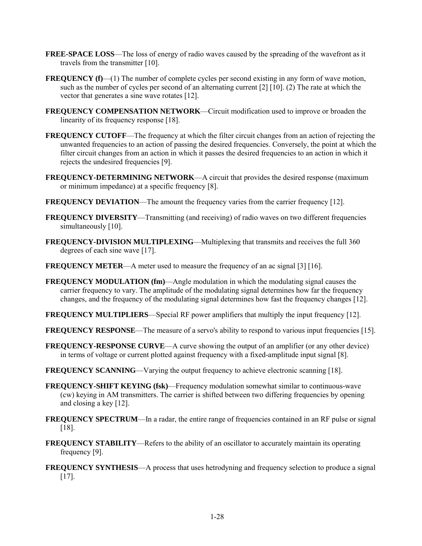- **FREE-SPACE LOSS—The loss of energy of radio waves caused by the spreading of the wavefront as it** travels from the transmitter [10].
- **FREQUENCY** (f)—(1) The number of complete cycles per second existing in any form of wave motion, such as the number of cycles per second of an alternating current [2] [10]. (2) The rate at which the vector that generates a sine wave rotates [12].
- **FREQUENCY COMPENSATION NETWORK—Circuit modification used to improve or broaden the** linearity of its frequency response [18].
- **FREQUENCY CUTOFF**—The frequency at which the filter circuit changes from an action of rejecting the unwanted frequencies to an action of passing the desired frequencies. Conversely, the point at which the filter circuit changes from an action in which it passes the desired frequencies to an action in which it rejects the undesired frequencies [9].
- **FREQUENCY-DETERMINING NETWORK—A circuit that provides the desired response (maximum** or minimum impedance) at a specific frequency [8].
- **FREQUENCY DEVIATION—The amount the frequency varies from the carrier frequency [12].**
- **FREQUENCY DIVERSITY—Transmitting (and receiving) of radio waves on two different frequencies** simultaneously [10].
- **FREQUENCY-DIVISION MULTIPLEXING—Multiplexing that transmits and receives the full 360** degrees of each sine wave [17].
- **FREQUENCY METER—A** meter used to measure the frequency of an ac signal [3] [16].
- **FREQUENCY MODULATION (fm)—Angle modulation in which the modulating signal causes the** carrier frequency to vary. The amplitude of the modulating signal determines how far the frequency changes, and the frequency of the modulating signal determines how fast the frequency changes [12].
- **FREQUENCY MULTIPLIERS—Special RF power amplifiers that multiply the input frequency [12].**
- **FREQUENCY RESPONSE**—The measure of a servo's ability to respond to various input frequencies [15].
- **FREQUENCY-RESPONSE CURVE—A** curve showing the output of an amplifier (or any other device) in terms of voltage or current plotted against frequency with a fixed-amplitude input signal [8].
- **FREQUENCY SCANNING—Varying the output frequency to achieve electronic scanning [18].**
- **FREQUENCY-SHIFT KEYING (fsk)—Frequency modulation somewhat similar to continuous-wave** (cw) keying in AM transmitters. The carrier is shifted between two differing frequencies by opening and closing a key [12].
- **FREQUENCY SPECTRUM—In a radar, the entire range of frequencies contained in an RF pulse or signal** [18].
- **FREQUENCY STABILITY—Refers to the ability of an oscillator to accurately maintain its operating** frequency [9].
- **FREQUENCY SYNTHESIS**—A process that uses hetrodyning and frequency selection to produce a signal [17].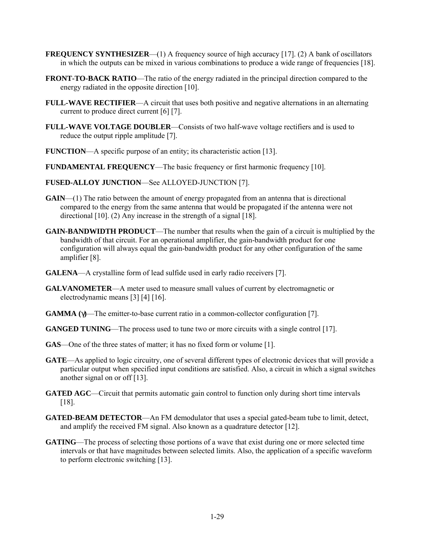- **FREQUENCY SYNTHESIZER—(1)** A frequency source of high accuracy [17]. (2) A bank of oscillators in which the outputs can be mixed in various combinations to produce a wide range of frequencies [18].
- **FRONT-TO-BACK RATIO—The ratio of the energy radiated in the principal direction compared to the** energy radiated in the opposite direction [10].
- **FULL-WAVE RECTIFIER—A** circuit that uses both positive and negative alternations in an alternating current to produce direct current [6] [7].
- FULL-WAVE VOLTAGE DOUBLER—Consists of two half-wave voltage rectifiers and is used to reduce the output ripple amplitude [7].
- **FUNCTION—A** specific purpose of an entity; its characteristic action [13].
- **FUNDAMENTAL FREQUENCY—The basic frequency or first harmonic frequency [10].**
- FUSED-ALLOY JUNCTION-See ALLOYED-JUNCTION [7].
- **GAIN** $\rightarrow$ (1) The ratio between the amount of energy propagated from an antenna that is directional compared to the energy from the same antenna that would be propagated if the antenna were not directional [10]. (2) Any increase in the strength of a signal [18].
- **GAIN-BANDWIDTH PRODUCT—** The number that results when the gain of a circuit is multiplied by the bandwidth of that circuit. For an operational amplifier, the gain-bandwidth product for one configuration will always equal the gain-bandwidth product for any other configuration of the same amplifier [8].
- **GALENA**—A crystalline form of lead sulfide used in early radio receivers [7].
- **GALVANOMETER**—A meter used to measure small values of current by electromagnetic or electrodynamic means [3] [4] [16].
- **GAMMA** ( $\gamma$ )—The emitter-to-base current ratio in a common-collector configuration [7].
- **GANGED TUNING—** The process used to tune two or more circuits with a single control [17].
- GAS—One of the three states of matter; it has no fixed form or volume [1].
- **GATE**—As applied to logic circuitry, one of several different types of electronic devices that will provide a particular output when specified input conditions are satisfied. Also, a circuit in which a signal switches another signal on or off [13].
- **GATED AGC—Circuit that permits automatic gain control to function only during short time intervals** [18].
- **GATED-BEAM DETECTOR—An FM demodulator that uses a special gated-beam tube to limit, detect,** and amplify the received FM signal. Also known as a quadrature detector [12].
- **GATING**—The process of selecting those portions of a wave that exist during one or more selected time intervals or that have magnitudes between selected limits. Also, the application of a specific waveform to perform electronic switching [13].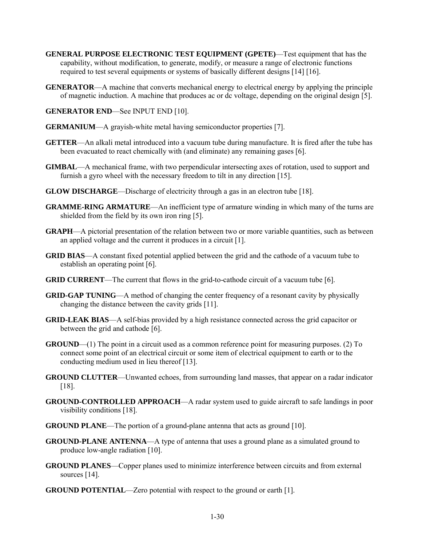- **GENERAL PURPOSE ELECTRONIC TEST EQUIPMENT (GPETE)—Test equipment that has the** capability, without modification, to generate, modify, or measure a range of electronic functions required to test several equipments or systems of basically different designs [14] [16].
- **GENERATOR**—A machine that converts mechanical energy to electrical energy by applying the principle of magnetic induction. A machine that produces ac or dc voltage, depending on the original design [5].
- **GENERATOR END**—See INPUT END [10].
- **GERMANIUM**—A gravish-white metal having semiconductor properties [7].
- **GETTER**—An alkali metal introduced into a vacuum tube during manufacture. It is fired after the tube has been evacuated to react chemically with (and eliminate) any remaining gases [6].
- **GIMBAL**—A mechanical frame, with two perpendicular intersecting axes of rotation, used to support and furnish a gyro wheel with the necessary freedom to tilt in any direction [15].
- **GLOW DISCHARGE—Discharge of electricity through a gas in an electron tube [18].**
- **GRAMME-RING ARMATURE**—An inefficient type of armature winding in which many of the turns are shielded from the field by its own iron ring [5].
- **GRAPH**—A pictorial presentation of the relation between two or more variable quantities, such as between an applied voltage and the current it produces in a circuit [1].
- **GRID BIAS**—A constant fixed potential applied between the grid and the cathode of a vacuum tube to establish an operating point [6].
- **GRID CURRENT**—The current that flows in the grid-to-cathode circuit of a vacuum tube [6].
- **GRID-GAP TUNING—A** method of changing the center frequency of a resonant cavity by physically changing the distance between the cavity grids [11].
- **GRID-LEAK BIAS—A** self-bias provided by a high resistance connected across the grid capacitor or between the grid and cathode [6].
- **GROUND** $(1)$  The point in a circuit used as a common reference point for measuring purposes. (2) To connect some point of an electrical circuit or some item of electrical equipment to earth or to the conducting medium used in lieu thereof [13].
- **GROUND CLUTTER—Unwanted echoes, from surrounding land masses, that appear on a radar indicator** [18].
- **GROUND-CONTROLLED APPROACH**—A radar system used to guide aircraft to safe landings in poor visibility conditions [18].
- **GROUND PLANE**—The portion of a ground-plane antenna that acts as ground [10].
- **GROUND-PLANE ANTENNA—A** type of antenna that uses a ground plane as a simulated ground to produce low-angle radiation [10].
- **GROUND PLANES**—Copper planes used to minimize interference between circuits and from external sources [14].
- **GROUND POTENTIAL—Zero potential with respect to the ground or earth [1].**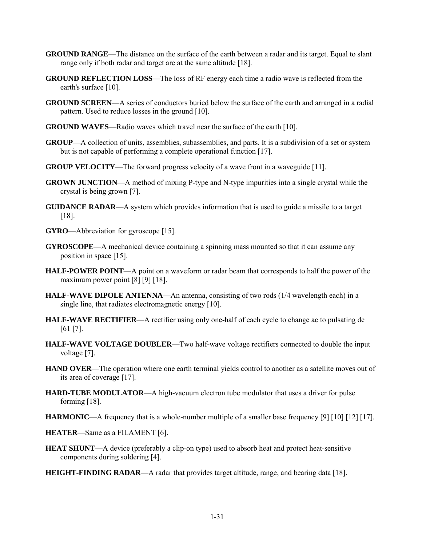- **GROUND RANGE**—The distance on the surface of the earth between a radar and its target. Equal to slant range only if both radar and target are at the same altitude [18].
- **GROUND REFLECTION LOSS—The loss of RF energy each time a radio wave is reflected from the** earth's surface [10].
- **GROUND SCREEN—A** series of conductors buried below the surface of the earth and arranged in a radial pattern. Used to reduce losses in the ground [10].
- **GROUND WAVES—Radio waves which travel near the surface of the earth [10].**
- **GROUP**—A collection of units, assemblies, subassemblies, and parts. It is a subdivision of a set or system but is not capable of performing a complete operational function [17].
- **GROUP VELOCITY**—The forward progress velocity of a wave front in a waveguide [11].
- **GROWN JUNCTION—A** method of mixing P-type and N-type impurities into a single crystal while the crystal is being grown [7].
- **GUIDANCE RADAR—A** system which provides information that is used to guide a missile to a target [18].
- **GYRO**—Abbreviation for gyroscope [15].
- **GYROSCOPE**—A mechanical device containing a spinning mass mounted so that it can assume any position in space [15].
- **HALF-POWER POINT—A** point on a waveform or radar beam that corresponds to half the power of the maximum power point [8] [9] [18].
- **HALF-WAVE DIPOLE ANTENNA—An antenna, consisting of two rods (1/4 wavelength each) in a** single line, that radiates electromagnetic energy [10].
- **HALF-WAVE RECTIFIER—A** rectifier using only one-half of each cycle to change ac to pulsating dc [61 [7].
- **HALF-WAVE VOLTAGE DOUBLER—Two half-wave voltage rectifiers connected to double the input** voltage [7].
- **HAND OVER—The operation where one earth terminal yields control to another as a satellite moves out of** its area of coverage [17].
- **HARD-TUBE MODULATOR—A** high-vacuum electron tube modulator that uses a driver for pulse forming [18].
- **HARMONIC**—A frequency that is a whole-number multiple of a smaller base frequency [9] [10] [12] [17].
- **HEATER—Same as a FILAMENT [6].**
- **HEAT SHUNT—A** device (preferably a clip-on type) used to absorb heat and protect heat-sensitive components during soldering [4].
- **HEIGHT-FINDING RADAR—A** radar that provides target altitude, range, and bearing data [18].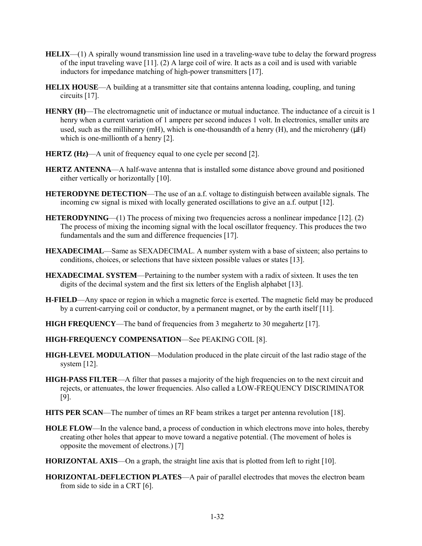- **HELIX**—(1) A spirally wound transmission line used in a traveling-wave tube to delay the forward progress of the input traveling wave [11]. (2) A large coil of wire. It acts as a coil and is used with variable inductors for impedance matching of high-power transmitters [17].
- **HELIX HOUSE**—A building at a transmitter site that contains antenna loading, coupling, and tuning circuits [17].
- **HENRY (H)—The electromagnetic unit of inductance or mutual inductance. The inductance of a circuit is 1** henry when a current variation of 1 ampere per second induces 1 volt. In electronics, smaller units are used, such as the millihenry (mH), which is one-thousandth of a henry  $(H)$ , and the microhenry ( $\mu$ H) which is one-millionth of a henry [2].
- **HERTZ (Hz)** $-A$  unit of frequency equal to one cycle per second [2].
- **HERTZ ANTENNA—A** half-wave antenna that is installed some distance above ground and positioned either vertically or horizontally [10].
- **HETERODYNE DETECTION—The use of an a.f. voltage to distinguish between available signals. The** incoming cw signal is mixed with locally generated oscillations to give an a.f. output [12].
- **HETERODYNING** $(1)$  The process of mixing two frequencies across a nonlinear impedance [12]. (2) The process of mixing the incoming signal with the local oscillator frequency. This produces the two fundamentals and the sum and difference frequencies [17].
- **HEXADECIMAL**—Same as SEXADECIMAL. A number system with a base of sixteen; also pertains to conditions, choices, or selections that have sixteen possible values or states [13].
- **HEXADECIMAL SYSTEM—Pertaining to the number system with a radix of sixteen. It uses the ten** digits of the decimal system and the first six letters of the English alphabet [13].
- **H-FIELD**—Any space or region in which a magnetic force is exerted. The magnetic field may be produced by a current-carrying coil or conductor, by a permanent magnet, or by the earth itself [11].
- **HIGH FREQUENCY—The band of frequencies from 3 megahertz to 30 megahertz [17].**
- **HIGH-FREQUENCY COMPENSATION—See PEAKING COIL [8].**
- **HIGH-LEVEL MODULATION—Modulation produced in the plate circuit of the last radio stage of the** system [12].
- **HIGH-PASS FILTER—A** filter that passes a majority of the high frequencies on to the next circuit and rejects, or attenuates, the lower frequencies. Also called a LOW-FREQUENCY DISCRIMINATOR [9].
- **HITS PER SCAN—**The number of times an RF beam strikes a target per antenna revolution [18].
- **HOLE FLOW**—In the valence band, a process of conduction in which electrons move into holes, thereby creating other holes that appear to move toward a negative potential. (The movement of holes is opposite the movement of electrons.) [7]
- **HORIZONTAL AXIS—On a graph, the straight line axis that is plotted from left to right [10].**
- **HORIZONTAL-DEFLECTION PLATES—A** pair of parallel electrodes that moves the electron beam from side to side in a CRT [6].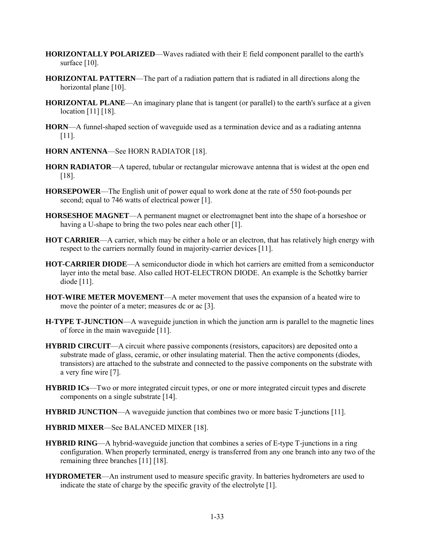- **HORIZONTALLY POLARIZED—Waves radiated with their E field component parallel to the earth's** surface [10].
- **HORIZONTAL PATTERN—The part of a radiation pattern that is radiated in all directions along the** horizontal plane [10].
- **HORIZONTAL PLANE—An** imaginary plane that is tangent (or parallel) to the earth's surface at a given location [11] [18].
- **HORN**—A funnel-shaped section of waveguide used as a termination device and as a radiating antenna [11].
- **HORN ANTENNA**—See HORN RADIATOR [18].
- **HORN RADIATOR—A** tapered, tubular or rectangular microwave antenna that is widest at the open end [18].
- **HORSEPOWER—**The English unit of power equal to work done at the rate of 550 foot-pounds per second; equal to 746 watts of electrical power [1].
- **HORSESHOE MAGNET—A permanent magnet or electromagnet bent into the shape of a horseshoe or** having a U-shape to bring the two poles near each other [1].
- **HOT CARRIER—**A carrier, which may be either a hole or an electron, that has relatively high energy with respect to the carriers normally found in majority-carrier devices [11].
- **HOT-CARRIER DIODE—A** semiconductor diode in which hot carriers are emitted from a semiconductor layer into the metal base. Also called HOT-ELECTRON DIODE. An example is the Schottky barrier diode [11].
- **HOT-WIRE METER MOVEMENT—A** meter movement that uses the expansion of a heated wire to move the pointer of a meter; measures dc or ac [3].
- **H-TYPE T-JUNCTION—A** waveguide junction in which the junction arm is parallel to the magnetic lines of force in the main waveguide [11].
- **HYBRID CIRCUIT—A** circuit where passive components (resistors, capacitors) are deposited onto a substrate made of glass, ceramic, or other insulating material. Then the active components (diodes, transistors) are attached to the substrate and connected to the passive components on the substrate with a very fine wire [7].
- **HYBRID ICs—Two or more integrated circuit types, or one or more integrated circuit types and discrete** components on a single substrate [14].
- **HYBRID JUNCTION—A** waveguide junction that combines two or more basic T-junctions [11].
- **HYBRID MIXER—See BALANCED MIXER [18].**
- **HYBRID RING—A** hybrid-waveguide junction that combines a series of E-type T-junctions in a ring configuration. When properly terminated, energy is transferred from any one branch into any two of the remaining three branches [11] [18].
- **HYDROMETER**—An instrument used to measure specific gravity. In batteries hydrometers are used to indicate the state of charge by the specific gravity of the electrolyte [1].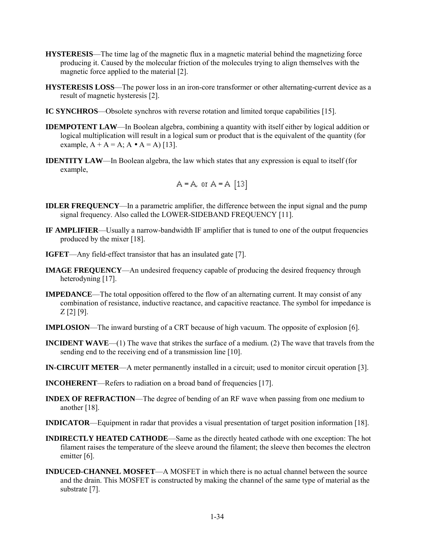- **HYSTERESIS**—The time lag of the magnetic flux in a magnetic material behind the magnetizing force producing it. Caused by the molecular friction of the molecules trying to align themselves with the magnetic force applied to the material [2].
- **HYSTERESIS LOSS**—The power loss in an iron-core transformer or other alternating-current device as a result of magnetic hysteresis [2].
- **IC SYNCHROS**—Obsolete synchros with reverse rotation and limited torque capabilities [15].
- **IDEMPOTENT LAW—In Boolean algebra, combining a quantity with itself either by logical addition or** logical multiplication will result in a logical sum or product that is the equivalent of the quantity (for example,  $A + A = A$ ;  $A \bullet A = A$  [13].
- **IDENTITY LAW—In Boolean algebra, the law which states that any expression is equal to itself (for** example,

$$
A = A, \text{ or } A = A [13].
$$

- **IDLER FREQUENCY—In a parametric amplifier, the difference between the input signal and the pump** signal frequency. Also called the LOWER-SIDEBAND FREQUENCY [11].
- **IF AMPLIFIER—Usually a narrow-bandwidth IF amplifier that is tuned to one of the output frequencies** produced by the mixer [18].
- **IGFET**—Any field-effect transistor that has an insulated gate [7].
- **IMAGE FREQUENCY—An undesired frequency capable of producing the desired frequency through** heterodyning [17].
- **IMPEDANCE**—The total opposition offered to the flow of an alternating current. It may consist of any combination of resistance, inductive reactance, and capacitive reactance. The symbol for impedance is Z [2] [9].
- **IMPLOSION—The inward bursting of a CRT because of high vacuum. The opposite of explosion [6].**
- **INCIDENT WAVE—(1)** The wave that strikes the surface of a medium. (2) The wave that travels from the sending end to the receiving end of a transmission line [10].
- **IN-CIRCUIT METER—A** meter permanently installed in a circuit; used to monitor circuit operation [3].
- **INCOHERENT**—Refers to radiation on a broad band of frequencies [17].
- **INDEX OF REFRACTION—The degree of bending of an RF wave when passing from one medium to** another [18].
- **INDICATOR—Equipment in radar that provides a visual presentation of target position information [18].**
- **INDIRECTLY HEATED CATHODE—Same as the directly heated cathode with one exception: The hot** filament raises the temperature of the sleeve around the filament; the sleeve then becomes the electron emitter [6].
- **INDUCED-CHANNEL MOSFET**—A MOSFET in which there is no actual channel between the source and the drain. This MOSFET is constructed by making the channel of the same type of material as the substrate [7].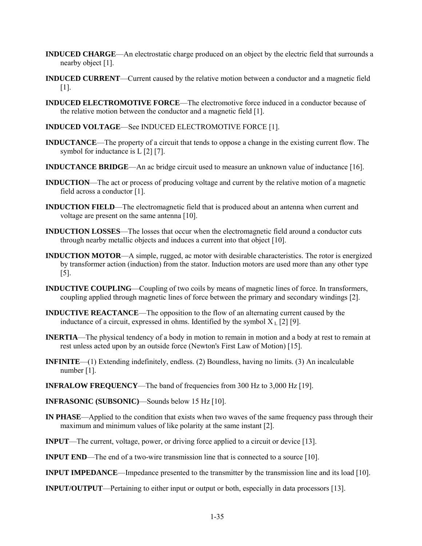- **INDUCED CHARGE**—An electrostatic charge produced on an object by the electric field that surrounds a nearby object [1].
- **INDUCED CURRENT—Current caused by the relative motion between a conductor and a magnetic field** [1].
- **INDUCED ELECTROMOTIVE FORCE**—The electromotive force induced in a conductor because of the relative motion between the conductor and a magnetic field [1].
- **INDUCED VOLTAGE—See INDUCED ELECTROMOTIVE FORCE [1].**
- **INDUCTANCE**—The property of a circuit that tends to oppose a change in the existing current flow. The symbol for inductance is L [2] [7].
- **INDUCTANCE BRIDGE**—An ac bridge circuit used to measure an unknown value of inductance [16].
- **INDUCTION—The act or process of producing voltage and current by the relative motion of a magnetic** field across a conductor [1].
- **INDUCTION FIELD—The electromagnetic field that is produced about an antenna when current and** voltage are present on the same antenna [10].
- **INDUCTION LOSSES—The losses that occur when the electromagnetic field around a conductor cuts** through nearby metallic objects and induces a current into that object [10].
- **INDUCTION MOTOR—A** simple, rugged, ac motor with desirable characteristics. The rotor is energized by transformer action (induction) from the stator. Induction motors are used more than any other type [5].
- **INDUCTIVE COUPLING—Coupling of two coils by means of magnetic lines of force. In transformers,** coupling applied through magnetic lines of force between the primary and secondary windings [2].
- **INDUCTIVE REACTANCE—**The opposition to the flow of an alternating current caused by the inductance of a circuit, expressed in ohms. Identified by the symbol  $X_L$  [2] [9].
- **INERTIA**—The physical tendency of a body in motion to remain in motion and a body at rest to remain at rest unless acted upon by an outside force (Newton's First Law of Motion) [15].
- **INFINITE** $(1)$  Extending indefinitely, endless. (2) Boundless, having no limits. (3) An incalculable number [1].
- **INFRALOW FREQUENCY—The band of frequencies from 300 Hz to 3,000 Hz [19].**
- **INFRASONIC (SUBSONIC)—Sounds below 15 Hz [10].**
- **IN PHASE**—Applied to the condition that exists when two waves of the same frequency pass through their maximum and minimum values of like polarity at the same instant [2].
- **INPUT**—The current, voltage, power, or driving force applied to a circuit or device [13].
- **INPUT END**—The end of a two-wire transmission line that is connected to a source [10].
- **INPUT IMPEDANCE—Impedance presented to the transmitter by the transmission line and its load [10].**
- **INPUT/OUTPUT—Pertaining to either input or output or both, especially in data processors [13].**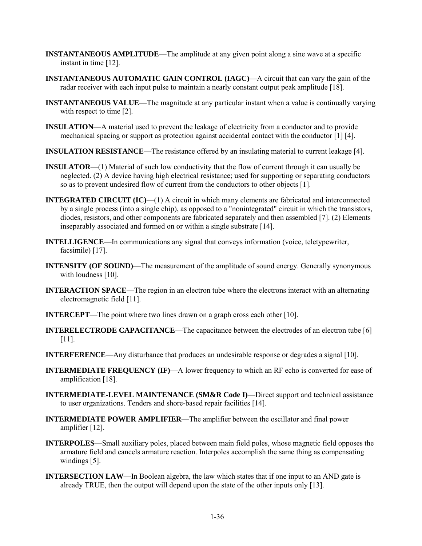- **INSTANTANEOUS AMPLITUDE—**The amplitude at any given point along a sine wave at a specific instant in time [12].
- **INSTANTANEOUS AUTOMATIC GAIN CONTROL (IAGC)—A circuit that can vary the gain of the** radar receiver with each input pulse to maintain a nearly constant output peak amplitude [18].
- **INSTANTANEOUS VALUE**—The magnitude at any particular instant when a value is continually varying with respect to time [2].
- **INSULATION**—A material used to prevent the leakage of electricity from a conductor and to provide mechanical spacing or support as protection against accidental contact with the conductor [1] [4].
- **INSULATION RESISTANCE**—The resistance offered by an insulating material to current leakage [4].
- **INSULATOR**<sup>(1)</sup> Material of such low conductivity that the flow of current through it can usually be neglected. (2) A device having high electrical resistance; used for supporting or separating conductors so as to prevent undesired flow of current from the conductors to other objects [1].
- **INTEGRATED CIRCUIT**  $(IC)$  $(1)$  A circuit in which many elements are fabricated and interconnected by a single process (into a single chip), as opposed to a "nonintegrated" circuit in which the transistors, diodes, resistors, and other components are fabricated separately and then assembled [7]. (2) Elements inseparably associated and formed on or within a single substrate [14].
- **INTELLIGENCE**—In communications any signal that conveys information (voice, teletypewriter, facsimile) [17].
- **INTENSITY (OF SOUND)—The measurement of the amplitude of sound energy. Generally synonymous** with loudness [10].
- **INTERACTION SPACE—The region in an electron tube where the electrons interact with an alternating** electromagnetic field [11].
- **INTERCEPT**—The point where two lines drawn on a graph cross each other [10].
- **INTERELECTRODE CAPACITANCE—The capacitance between the electrodes of an electron tube [6]** [11].
- **INTERFERENCE**—Any disturbance that produces an undesirable response or degrades a signal [10].
- **INTERMEDIATE FREQUENCY (IF)—A** lower frequency to which an RF echo is converted for ease of amplification [18].
- **INTERMEDIATE-LEVEL MAINTENANCE (SM&R Code I)—Direct support and technical assistance** to user organizations. Tenders and shore-based repair facilities [14].
- **INTERMEDIATE POWER AMPLIFIER—The amplifier between the oscillator and final power** amplifier [12].
- **INTERPOLES**—Small auxiliary poles, placed between main field poles, whose magnetic field opposes the armature field and cancels armature reaction. Interpoles accomplish the same thing as compensating windings [5].
- **INTERSECTION LAW—In Boolean algebra, the law which states that if one input to an AND gate is** already TRUE, then the output will depend upon the state of the other inputs only [13].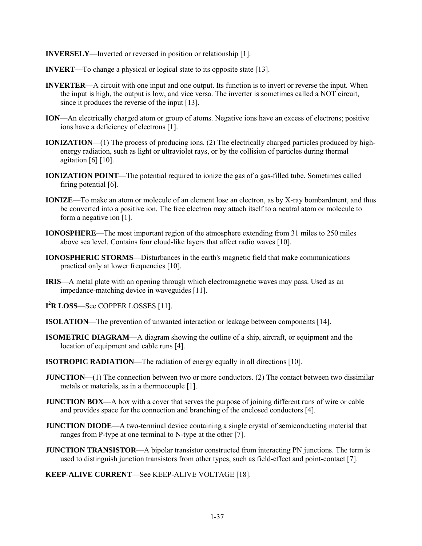**INVERSELY**—Inverted or reversed in position or relationship [1].

- **INVERT**—To change a physical or logical state to its opposite state [13].
- **INVERTER—A** circuit with one input and one output. Its function is to invert or reverse the input. When the input is high, the output is low, and vice versa. The inverter is sometimes called a NOT circuit, since it produces the reverse of the input [13].
- **ION**—An electrically charged atom or group of atoms. Negative ions have an excess of electrons; positive ions have a deficiency of electrons [1].
- **IONIZATION** $(1)$  The process of producing ions. (2) The electrically charged particles produced by highenergy radiation, such as light or ultraviolet rays, or by the collision of particles during thermal agitation [6] [10].
- **IONIZATION POINT—The potential required to ionize the gas of a gas-filled tube. Sometimes called** firing potential [6].
- **IONIZE**—To make an atom or molecule of an element lose an electron, as by X-ray bombardment, and thus be converted into a positive ion. The free electron may attach itself to a neutral atom or molecule to form a negative ion [1].
- **IONOSPHERE**—The most important region of the atmosphere extending from 31 miles to 250 miles above sea level. Contains four cloud-like layers that affect radio waves [10].
- **IONOSPHERIC STORMS**—Disturbances in the earth's magnetic field that make communications practical only at lower frequencies [10].
- **IRIS**—A metal plate with an opening through which electromagnetic waves may pass. Used as an impedance-matching device in waveguides [11].
- **I<sup>2</sup>R LOSS**—See COPPER LOSSES [11].
- **ISOLATION**—The prevention of unwanted interaction or leakage between components [14].
- **ISOMETRIC DIAGRAM**—A diagram showing the outline of a ship, aircraft, or equipment and the location of equipment and cable runs [4].
- **ISOTROPIC RADIATION—The radiation of energy equally in all directions [10].**
- **JUNCTION**—(1) The connection between two or more conductors. (2) The contact between two dissimilar metals or materials, as in a thermocouple [1].
- **JUNCTION BOX—A** box with a cover that serves the purpose of joining different runs of wire or cable and provides space for the connection and branching of the enclosed conductors [4].
- **JUNCTION DIODE—A** two-terminal device containing a single crystal of semiconducting material that ranges from P-type at one terminal to N-type at the other [7].
- **JUNCTION TRANSISTOR—A** bipolar transistor constructed from interacting PN junctions. The term is used to distinguish junction transistors from other types, such as field-effect and point-contact [7].

**KEEP-ALIVE CURRENT—See KEEP-ALIVE VOLTAGE [18].**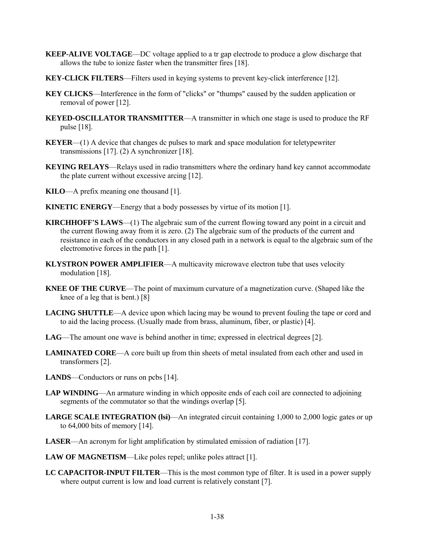- **KEEP-ALIVE VOLTAGE—DC** voltage applied to a tr gap electrode to produce a glow discharge that allows the tube to ionize faster when the transmitter fires [18].
- **KEY-CLICK FILTERS**—Filters used in keying systems to prevent key-click interference [12].
- **KEY CLICKS**—Interference in the form of "clicks" or "thumps" caused by the sudden application or removal of power [12].
- **KEYED-OSCILLATOR TRANSMITTER—A transmitter in which one stage is used to produce the RF** pulse [18].
- **KEYER** $(1)$  A device that changes dc pulses to mark and space modulation for teletypewriter transmissions [17]. (2) A synchronizer [18].
- **KEYING RELAYS**—Relays used in radio transmitters where the ordinary hand key cannot accommodate the plate current without excessive arcing [12].
- **KILO**—A prefix meaning one thousand [1].
- **KINETIC ENERGY—Energy that a body possesses by virtue of its motion [1].**
- **KIRCHHOFF'S LAWS**—(1) The algebraic sum of the current flowing toward any point in a circuit and the current flowing away from it is zero. (2) The algebraic sum of the products of the current and resistance in each of the conductors in any closed path in a network is equal to the algebraic sum of the electromotive forces in the path [1].
- **KLYSTRON POWER AMPLIFIER—A multicavity microwave electron tube that uses velocity** modulation [18].
- **KNEE OF THE CURVE—**The point of maximum curvature of a magnetization curve. (Shaped like the knee of a leg that is bent.) [8]
- **LACING SHUTTLE—A** device upon which lacing may be wound to prevent fouling the tape or cord and to aid the lacing process. (Usually made from brass, aluminum, fiber, or plastic) [4].
- **LAG**—The amount one wave is behind another in time; expressed in electrical degrees [2].
- **LAMINATED CORE**—A core built up from thin sheets of metal insulated from each other and used in transformers [2].
- **LANDS**—Conductors or runs on pcbs [14].
- **LAP WINDING—An armature winding in which opposite ends of each coil are connected to adjoining** segments of the commutator so that the windings overlap [5].
- **LARGE SCALE INTEGRATION (lsi)—An integrated circuit containing 1,000 to 2,000 logic gates or up** to 64,000 bits of memory [14].
- **LASER**—An acronym for light amplification by stimulated emission of radiation [17].
- **LAW OF MAGNETISM—Like poles repel; unlike poles attract [1].**
- **LC CAPACITOR-INPUT FILTER—This is the most common type of filter. It is used in a power supply** where output current is low and load current is relatively constant [7].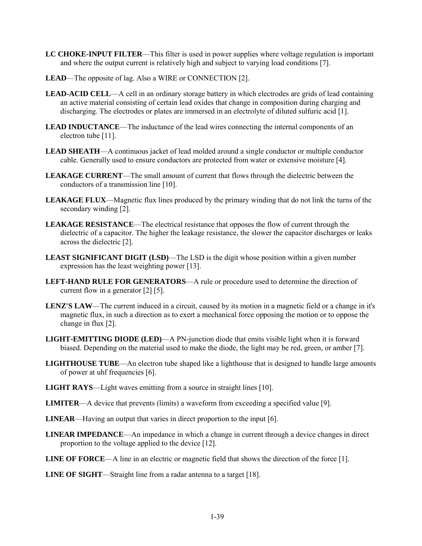- **LC CHOKE-INPUT FILTER—This filter is used in power supplies where voltage regulation is important** and where the output current is relatively high and subject to varying load conditions [7].
- **LEAD**—The opposite of lag. Also a WIRE or CONNECTION [2].
- **LEAD-ACID CELL—A cell in an ordinary storage battery in which electrodes are grids of lead containing** an active material consisting of certain lead oxides that change in composition during charging and discharging. The electrodes or plates are immersed in an electrolyte of diluted sulfuric acid [1].
- **LEAD INDUCTANCE**—The inductance of the lead wires connecting the internal components of an electron tube [11].
- **LEAD SHEATH**—A continuous jacket of lead molded around a single conductor or multiple conductor cable. Generally used to ensure conductors are protected from water or extensive moisture [4].
- **LEAKAGE CURRENT**—The small amount of current that flows through the dielectric between the conductors of a transmission line [10].
- **LEAKAGE FLUX—Magnetic flux lines produced by the primary winding that do not link the turns of the** secondary winding [2].
- **LEAKAGE RESISTANCE—The electrical resistance that opposes the flow of current through the** dielectric of a capacitor. The higher the leakage resistance, the slower the capacitor discharges or leaks across the dielectric [2].
- **LEAST SIGNIFICANT DIGIT (LSD)—The LSD is the digit whose position within a given number** expression has the least weighting power [13].
- **LEFT-HAND RULE FOR GENERATORS—A** rule or procedure used to determine the direction of current flow in a generator [2] [5].
- **LENZ'S LAW—The current induced in a circuit, caused by its motion in a magnetic field or a change in it's** magnetic flux, in such a direction as to exert a mechanical force opposing the motion or to oppose the change in flux [2].
- **LIGHT-EMITTING DIODE (LED)—A PN-junction diode that emits visible light when it is forward** biased. Depending on the material used to make the diode, the light may be red, green, or amber [7].
- **LIGHTHOUSE TUBE**—An electron tube shaped like a lighthouse that is designed to handle large amounts of power at uhf frequencies [6].
- **LIGHT RAYS—Light waves emitting from a source in straight lines [10].**
- **LIMITER**—A device that prevents (limits) a waveform from exceeding a specified value [9].
- **LINEAR**—Having an output that varies in direct proportion to the input [6].
- **LINEAR IMPEDANCE**—An impedance in which a change in current through a device changes in direct proportion to the voltage applied to the device [12].
- **LINE OF FORCE**—A line in an electric or magnetic field that shows the direction of the force [1].
- **LINE OF SIGHT**—Straight line from a radar antenna to a target [18].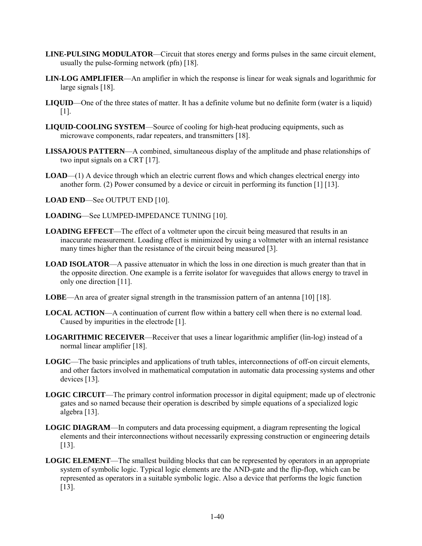- **LINE-PULSING MODULATOR—Circuit that stores energy and forms pulses in the same circuit element,** usually the pulse-forming network (pfn) [18].
- **LIN-LOG AMPLIFIER**—An amplifier in which the response is linear for weak signals and logarithmic for large signals [18].
- **LIQUID**—One of the three states of matter. It has a definite volume but no definite form (water is a liquid)  $[1]$ .
- LIQUID-COOLING SYSTEM—Source of cooling for high-heat producing equipments, such as microwave components, radar repeaters, and transmitters [18].
- **LISSAJOUS PATTERN**—A combined, simultaneous display of the amplitude and phase relationships of two input signals on a CRT [17].
- **LOAD** $-(1)$  A device through which an electric current flows and which changes electrical energy into another form. (2) Power consumed by a device or circuit in performing its function [1] [13].
- **LOAD END**—See OUTPUT END [10].
- LOADING-See LUMPED-IMPEDANCE TUNING [10].
- **LOADING EFFECT**—The effect of a voltmeter upon the circuit being measured that results in an inaccurate measurement. Loading effect is minimized by using a voltmeter with an internal resistance many times higher than the resistance of the circuit being measured [3].
- **LOAD ISOLATOR**—A passive attenuator in which the loss in one direction is much greater than that in the opposite direction. One example is a ferrite isolator for waveguides that allows energy to travel in only one direction [11].
- **LOBE**—An area of greater signal strength in the transmission pattern of an antenna  $[10]$  [18].
- **LOCAL ACTION—A** continuation of current flow within a battery cell when there is no external load. Caused by impurities in the electrode [1].
- **LOGARITHMIC RECEIVER—Receiver that uses a linear logarithmic amplifier (lin-log) instead of a** normal linear amplifier [18].
- **LOGIC**—The basic principles and applications of truth tables, interconnections of off-on circuit elements, and other factors involved in mathematical computation in automatic data processing systems and other devices [13].
- **LOGIC CIRCUIT**—The primary control information processor in digital equipment; made up of electronic gates and so named because their operation is described by simple equations of a specialized logic algebra [13].
- **LOGIC DIAGRAM**—In computers and data processing equipment, a diagram representing the logical elements and their interconnections without necessarily expressing construction or engineering details [13].
- **LOGIC ELEMENT—The smallest building blocks that can be represented by operators in an appropriate** system of symbolic logic. Typical logic elements are the AND-gate and the flip-flop, which can be represented as operators in a suitable symbolic logic. Also a device that performs the logic function [13].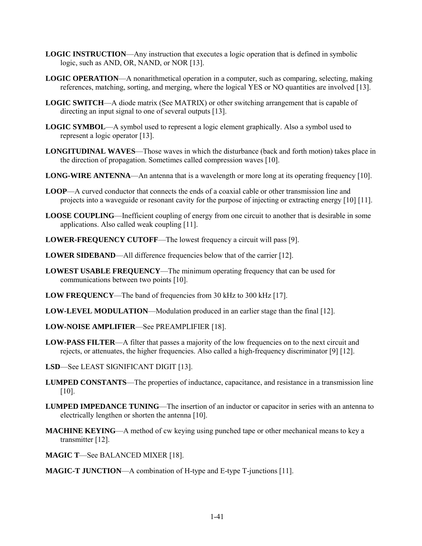- **LOGIC INSTRUCTION—Any instruction that executes a logic operation that is defined in symbolic** logic, such as AND, OR, NAND, or NOR [13].
- **LOGIC OPERATION—A** nonarithmetical operation in a computer, such as comparing, selecting, making references, matching, sorting, and merging, where the logical YES or NO quantities are involved [13].
- **LOGIC SWITCH—A** diode matrix (See MATRIX) or other switching arrangement that is capable of directing an input signal to one of several outputs [13].
- **LOGIC SYMBOL**—A symbol used to represent a logic element graphically. Also a symbol used to represent a logic operator [13].
- **LONGITUDINAL WAVES—Those waves in which the disturbance (back and forth motion) takes place in** the direction of propagation. Sometimes called compression waves [10].
- **LONG-WIRE ANTENNA—An antenna that is a wavelength or more long at its operating frequency [10].**
- **LOOP**—A curved conductor that connects the ends of a coaxial cable or other transmission line and projects into a waveguide or resonant cavity for the purpose of injecting or extracting energy [10] [11].
- **LOOSE COUPLING—Inefficient coupling of energy from one circuit to another that is desirable in some** applications. Also called weak coupling [11].
- **LOWER-FREQUENCY CUTOFF**—The lowest frequency a circuit will pass [9].
- **LOWER SIDEBAND—All difference frequencies below that of the carrier [12].**
- **LOWEST USABLE FREQUENCY—The minimum operating frequency that can be used for** communications between two points [10].
- **LOW FREQUENCY—The band of frequencies from 30 kHz to 300 kHz [17].**
- **LOW-LEVEL MODULATION—Modulation produced in an earlier stage than the final [12].**
- LOW-NOISE AMPLIFIER—See PREAMPLIFIER [18].
- **LOW-PASS FILTER—A** filter that passes a majority of the low frequencies on to the next circuit and rejects, or attenuates, the higher frequencies. Also called a high-frequency discriminator [9] [12].
- LSD-See LEAST SIGNIFICANT DIGIT [13].
- **LUMPED CONSTANTS**—The properties of inductance, capacitance, and resistance in a transmission line [10].
- **LUMPED IMPEDANCE TUNING—The insertion of an inductor or capacitor in series with an antenna to** electrically lengthen or shorten the antenna [10].
- **MACHINE KEYING—A** method of cw keying using punched tape or other mechanical means to key a transmitter [12].
- **MAGIC T**—See BALANCED MIXER [18].
- **MAGIC-T JUNCTION—A** combination of H-type and E-type T-junctions [11].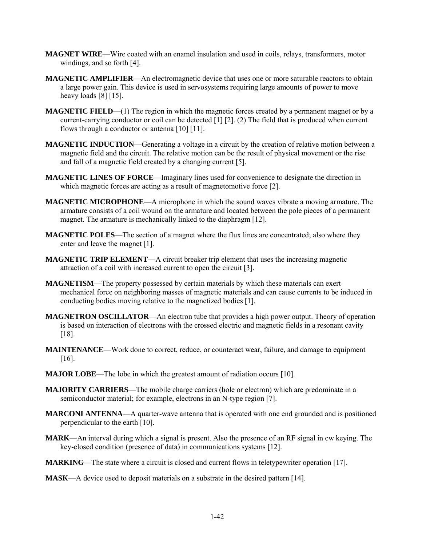- **MAGNET WIRE—Wire coated with an enamel insulation and used in coils, relays, transformers, motor** windings, and so forth [4].
- **MAGNETIC AMPLIFIER—An electromagnetic device that uses one or more saturable reactors to obtain** a large power gain. This device is used in servosystems requiring large amounts of power to move heavy loads [8] [15].
- **MAGNETIC FIELD**—(1) The region in which the magnetic forces created by a permanent magnet or by a current-carrying conductor or coil can be detected [1] [2]. (2) The field that is produced when current flows through a conductor or antenna [10] [11].
- **MAGNETIC INDUCTION—Generating a voltage in a circuit by the creation of relative motion between a** magnetic field and the circuit. The relative motion can be the result of physical movement or the rise and fall of a magnetic field created by a changing current [5].
- **MAGNETIC LINES OF FORCE—Imaginary lines used for convenience to designate the direction in** which magnetic forces are acting as a result of magnetomotive force [2].
- **MAGNETIC MICROPHONE—A** microphone in which the sound waves vibrate a moving armature. The armature consists of a coil wound on the armature and located between the pole pieces of a permanent magnet. The armature is mechanically linked to the diaphragm [12].
- **MAGNETIC POLES—The section of a magnet where the flux lines are concentrated; also where they** enter and leave the magnet [1].
- **MAGNETIC TRIP ELEMENT—A** circuit breaker trip element that uses the increasing magnetic attraction of a coil with increased current to open the circuit [3].
- **MAGNETISM**—The property possessed by certain materials by which these materials can exert mechanical force on neighboring masses of magnetic materials and can cause currents to be induced in conducting bodies moving relative to the magnetized bodies [1].
- **MAGNETRON OSCILLATOR—An electron tube that provides a high power output. Theory of operation** is based on interaction of electrons with the crossed electric and magnetic fields in a resonant cavity [18].
- **MAINTENANCE—Work done to correct, reduce, or counteract wear, failure, and damage to equipment** [16].
- **MAJOR LOBE**—The lobe in which the greatest amount of radiation occurs [10].
- **MAJORITY CARRIERS**—The mobile charge carriers (hole or electron) which are predominate in a semiconductor material; for example, electrons in an N-type region [7].
- **MARCONI ANTENNA**—A quarter-wave antenna that is operated with one end grounded and is positioned perpendicular to the earth [10].
- **MARK**—An interval during which a signal is present. Also the presence of an RF signal in cw keying. The key-closed condition (presence of data) in communications systems [12].
- **MARKING—The state where a circuit is closed and current flows in teletypewriter operation [17].**
- **MASK**—A device used to deposit materials on a substrate in the desired pattern [14].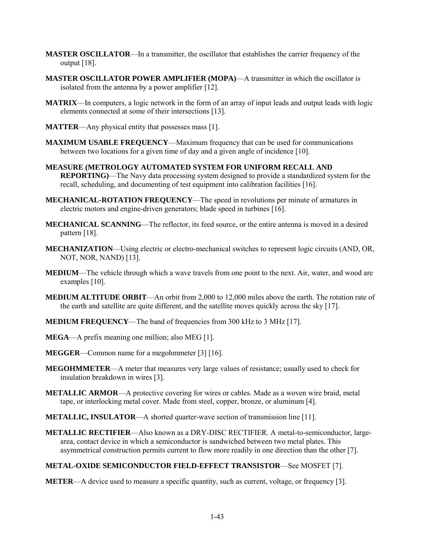- **MASTER OSCILLATOR—In a transmitter, the oscillator that establishes the carrier frequency of the** output [18].
- **MASTER OSCILLATOR POWER AMPLIFIER (MOPA)—A transmitter in which the oscillator is** isolated from the antenna by a power amplifier [12].
- **MATRIX**—In computers, a logic network in the form of an array of input leads and output leads with logic elements connected at some of their intersections [13].
- **MATTER**—Any physical entity that possesses mass [1].
- **MAXIMUM USABLE FREQUENCY—Maximum frequency that can be used for communications** between two locations for a given time of day and a given angle of incidence [10].
- **MEASURE (METROLOGY AUTOMATED SYSTEM FOR UNIFORM RECALL AND REPORTING**)—The Navy data processing system designed to provide a standardized system for the recall, scheduling, and documenting of test equipment into calibration facilities [16].
- **MECHANICAL-ROTATION FREQUENCY—The speed in revolutions per minute of armatures in** electric motors and engine-driven generators; blade speed in turbines [16].
- **MECHANICAL SCANNING—The reflector, its feed source, or the entire antenna is moved in a desired** pattern [18].
- **MECHANIZATION—Using electric or electro-mechanical switches to represent logic circuits (AND, OR,** NOT, NOR, NAND) [13].
- **MEDIUM**—The vehicle through which a wave travels from one point to the next. Air, water, and wood are examples [10].
- **MEDIUM ALTITUDE ORBIT—An orbit from 2,000 to 12,000 miles above the earth. The rotation rate of** the earth and satellite are quite different, and the satellite moves quickly across the sky [17].
- **MEDIUM FREQUENCY—The band of frequencies from 300 kHz to 3 MHz [17].**
- **MEGA**—A prefix meaning one million; also MEG [1].
- **MEGGER**—Common name for a megohmmeter [3] [16].
- **MEGOHMMETER**—A meter that measures very large values of resistance; usually used to check for insulation breakdown in wires [3].
- **METALLIC ARMOR—A** protective covering for wires or cables. Made as a woven wire braid, metal tape, or interlocking metal cover. Made from steel, copper, bronze, or aluminum [4].
- **METALLIC, INSULATOR—A** shorted quarter-wave section of transmission line [11].
- **METALLIC RECTIFIER—Also known as a DRY-DISC RECTIFIER. A metal-to-semiconductor, large**area, contact device in which a semiconductor is sandwiched between two metal plates. This asymmetrical construction permits current to flow more readily in one direction than the other [7].

## **METAL-OXIDE SEMICONDUCTOR FIELD-EFFECT TRANSISTOR—See MOSFET [7].**

**METER**—A device used to measure a specific quantity, such as current, voltage, or frequency [3].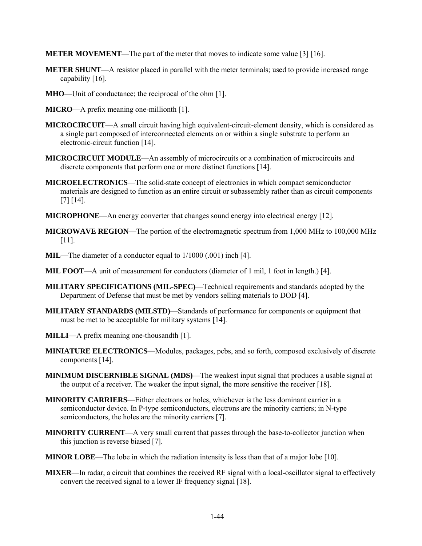**METER MOVEMENT—The part of the meter that moves to indicate some value [3] [16].** 

- **METER SHUNT**—A resistor placed in parallel with the meter terminals; used to provide increased range capability [16].
- **MHO**—Unit of conductance; the reciprocal of the ohm [1].
- **MICRO**—A prefix meaning one-millionth [1].
- **MICROCIRCUIT—A** small circuit having high equivalent-circuit-element density, which is considered as a single part composed of interconnected elements on or within a single substrate to perform an electronic-circuit function [14].
- **MICROCIRCUIT MODULE**—An assembly of microcircuits or a combination of microcircuits and discrete components that perform one or more distinct functions [14].
- **MICROELECTRONICS**—The solid-state concept of electronics in which compact semiconductor materials are designed to function as an entire circuit or subassembly rather than as circuit components [7] [14].
- **MICROPHONE**—An energy converter that changes sound energy into electrical energy [12].
- **MICROWAVE REGION—The portion of the electromagnetic spectrum from 1,000 MHz to 100,000 MHz** [11].
- **MIL**—The diameter of a conductor equal to  $1/1000$  (.001) inch [4].
- **MIL FOOT—A** unit of measurement for conductors (diameter of 1 mil, 1 foot in length.) [4].
- **MILITARY SPECIFICATIONS (MIL-SPEC)—Technical requirements and standards adopted by the** Department of Defense that must be met by vendors selling materials to DOD [4].
- **MILITARY STANDARDS (MILSTD)—Standards of performance for components or equipment that** must be met to be acceptable for military systems [14].
- **MILLI**—A prefix meaning one-thousandth [1].
- **MINIATURE ELECTRONICS—Modules, packages, pcbs, and so forth, composed exclusively of discrete** components [14].
- **MINIMUM DISCERNIBLE SIGNAL (MDS)—The weakest input signal that produces a usable signal at** the output of a receiver. The weaker the input signal, the more sensitive the receiver [18].
- **MINORITY CARRIERS**—Either electrons or holes, whichever is the less dominant carrier in a semiconductor device. In P-type semiconductors, electrons are the minority carriers; in N-type semiconductors, the holes are the minority carriers [7].
- **MINORITY CURRENT—A** very small current that passes through the base-to-collector junction when this junction is reverse biased [7].
- **MINOR LOBE**—The lobe in which the radiation intensity is less than that of a major lobe  $[10]$ .
- **MIXER**—In radar, a circuit that combines the received RF signal with a local-oscillator signal to effectively convert the received signal to a lower IF frequency signal [18].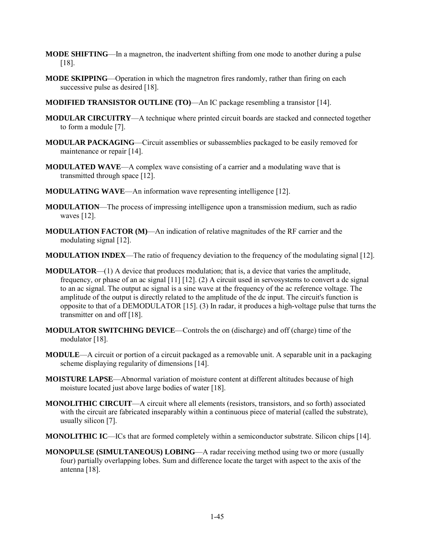- **MODE SHIFTING—In a magnetron, the inadvertent shifting from one mode to another during a pulse** [18].
- **MODE SKIPPING—Operation in which the magnetron fires randomly, rather than firing on each** successive pulse as desired [18].
- **MODIFIED TRANSISTOR OUTLINE (TO)—An IC package resembling a transistor [14].**
- **MODULAR CIRCUITRY—A** technique where printed circuit boards are stacked and connected together to form a module [7].
- **MODULAR PACKAGING—Circuit assemblies or subassemblies packaged to be easily removed for** maintenance or repair [14].
- **MODULATED WAVE—A** complex wave consisting of a carrier and a modulating wave that is transmitted through space [12].
- **MODULATING WAVE—An information wave representing intelligence [12].**
- **MODULATION—**The process of impressing intelligence upon a transmission medium, such as radio waves [12].
- **MODULATION FACTOR (M)—An indication of relative magnitudes of the RF carrier and the** modulating signal [12].
- **MODULATION INDEX—The ratio of frequency deviation to the frequency of the modulating signal [12].**
- **MODULATOR**<sup>(1)</sup> A device that produces modulation; that is, a device that varies the amplitude, frequency, or phase of an ac signal [11] [12]. (2) A circuit used in servosystems to convert a dc signal to an ac signal. The output ac signal is a sine wave at the frequency of the ac reference voltage. The amplitude of the output is directly related to the amplitude of the dc input. The circuit's function is opposite to that of a DEMODULATOR [15]. (3) In radar, it produces a high-voltage pulse that turns the transmitter on and off [18].
- **MODULATOR SWITCHING DEVICE—Controls the on (discharge) and off (charge) time of the** modulator [18].
- **MODULE**—A circuit or portion of a circuit packaged as a removable unit. A separable unit in a packaging scheme displaying regularity of dimensions [14].
- **MOISTURE LAPSE**—Abnormal variation of moisture content at different altitudes because of high moisture located just above large bodies of water [18].
- **MONOLITHIC CIRCUIT—A** circuit where all elements (resistors, transistors, and so forth) associated with the circuit are fabricated inseparably within a continuous piece of material (called the substrate), usually silicon [7].
- **MONOLITHIC IC—ICs that are formed completely within a semiconductor substrate. Silicon chips [14].**
- **MONOPULSE (SIMULTANEOUS) LOBING—A** radar receiving method using two or more (usually four) partially overlapping lobes. Sum and difference locate the target with aspect to the axis of the antenna [18].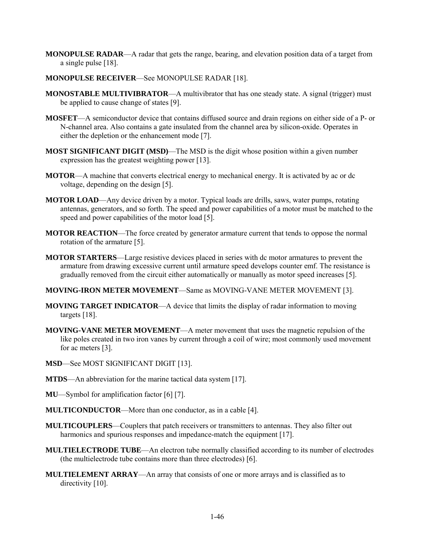- **MONOPULSE RADAR—A** radar that gets the range, bearing, and elevation position data of a target from a single pulse [18].
- **MONOPULSE RECEIVER—See MONOPULSE RADAR [18].**
- **MONOSTABLE MULTIVIBRATOR—A** multivibrator that has one steady state. A signal (trigger) must be applied to cause change of states [9].
- **MOSFET**—A semiconductor device that contains diffused source and drain regions on either side of a P- or N-channel area. Also contains a gate insulated from the channel area by silicon-oxide. Operates in either the depletion or the enhancement mode [7].
- **MOST SIGNIFICANT DIGIT (MSD)—The MSD is the digit whose position within a given number** expression has the greatest weighting power [13].
- **MOTOR—A** machine that converts electrical energy to mechanical energy. It is activated by ac or dc voltage, depending on the design [5].
- **MOTOR LOAD**—Any device driven by a motor. Typical loads are drills, saws, water pumps, rotating antennas, generators, and so forth. The speed and power capabilities of a motor must be matched to the speed and power capabilities of the motor load [5].
- **MOTOR REACTION—The force created by generator armature current that tends to oppose the normal** rotation of the armature [5].
- **MOTOR STARTERS**—Large resistive devices placed in series with dc motor armatures to prevent the armature from drawing excessive current until armature speed develops counter emf. The resistance is gradually removed from the circuit either automatically or manually as motor speed increases [5].
- **MOVING-IRON METER MOVEMENT—Same as MOVING-VANE METER MOVEMENT [3].**
- **MOVING TARGET INDICATOR—A** device that limits the display of radar information to moving targets [18].
- **MOVING-VANE METER MOVEMENT—A** meter movement that uses the magnetic repulsion of the like poles created in two iron vanes by current through a coil of wire; most commonly used movement for ac meters [3].
- **MSD**—See MOST SIGNIFICANT DIGIT [13].
- **MTDS**—An abbreviation for the marine tactical data system [17].
- **MU**—Symbol for amplification factor [6] [7].
- **MULTICONDUCTOR—More than one conductor, as in a cable [4].**
- **MULTICOUPLERS**—Couplers that patch receivers or transmitters to antennas. They also filter out harmonics and spurious responses and impedance-match the equipment [17].
- **MULTIELECTRODE TUBE—An electron tube normally classified according to its number of electrodes** (the multielectrode tube contains more than three electrodes) [6].
- **MULTIELEMENT ARRAY—An array that consists of one or more arrays and is classified as to** directivity [10].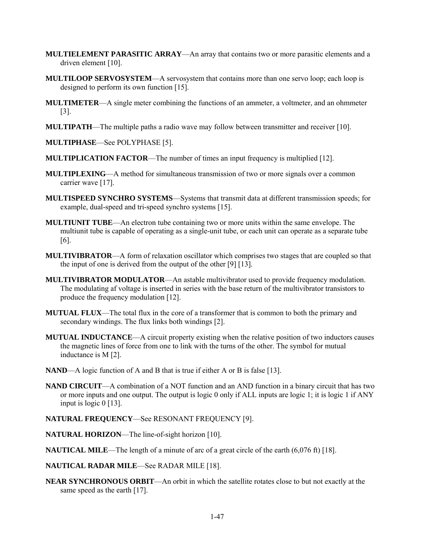- **MULTIELEMENT PARASITIC ARRAY—An array that contains two or more parasitic elements and a** driven element [10].
- **MULTILOOP SERVOSYSTEM—A** servosystem that contains more than one servo loop; each loop is designed to perform its own function [15].
- **MULTIMETER**—A single meter combining the functions of an ammeter, a voltmeter, and an ohmmeter [3].
- **MULTIPATH—**The multiple paths a radio wave may follow between transmitter and receiver [10].
- **MULTIPHASE**—See POLYPHASE [5].
- **MULTIPLICATION FACTOR—The number of times an input frequency is multiplied [12].**
- **MULTIPLEXING**—A method for simultaneous transmission of two or more signals over a common carrier wave [17].
- **MULTISPEED SYNCHRO SYSTEMS**—Systems that transmit data at different transmission speeds; for example, dual-speed and tri-speed synchro systems [15].
- **MULTIUNIT TUBE—An electron tube containing two or more units within the same envelope. The** multiunit tube is capable of operating as a single-unit tube, or each unit can operate as a separate tube [6].
- MULTIVIBRATOR-A form of relaxation oscillator which comprises two stages that are coupled so that the input of one is derived from the output of the other [9] [13].
- **MULTIVIBRATOR MODULATOR—An astable multivibrator used to provide frequency modulation.** The modulating af voltage is inserted in series with the base return of the multivibrator transistors to produce the frequency modulation [12].
- **MUTUAL FLUX—The total flux in the core of a transformer that is common to both the primary and** secondary windings. The flux links both windings [2].
- **MUTUAL INDUCTANCE**—A circuit property existing when the relative position of two inductors causes the magnetic lines of force from one to link with the turns of the other. The symbol for mutual inductance is M [2].
- **NAND**—A logic function of A and B that is true if either A or B is false [13].
- **NAND CIRCUIT**—A combination of a NOT function and an AND function in a binary circuit that has two or more inputs and one output. The output is logic 0 only if ALL inputs are logic 1; it is logic 1 if ANY input is logic 0 [13].
- **NATURAL FREQUENCY—See RESONANT FREQUENCY [9].**
- **NATURAL HORIZON—The line-of-sight horizon [10].**
- **NAUTICAL MILE**—The length of a minute of arc of a great circle of the earth  $(6,076 \text{ ft})$  [18].
- **NAUTICAL RADAR MILE—See RADAR MILE [18].**
- **NEAR SYNCHRONOUS ORBIT—An** orbit in which the satellite rotates close to but not exactly at the same speed as the earth [17].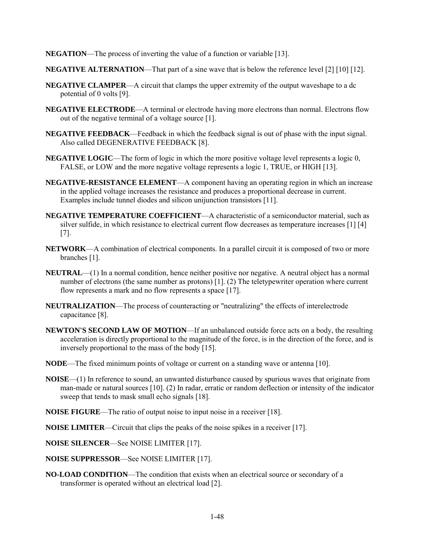**NEGATION**—The process of inverting the value of a function or variable [13].

- **NEGATIVE ALTERNATION—That part of a sine wave that is below the reference level [2] [10] [12].**
- **NEGATIVE CLAMPER—A** circuit that clamps the upper extremity of the output waveshape to a dc potential of 0 volts [9].
- **NEGATIVE ELECTRODE—A** terminal or electrode having more electrons than normal. Electrons flow out of the negative terminal of a voltage source [1].
- **NEGATIVE FEEDBACK—Feedback in which the feedback signal is out of phase with the input signal.** Also called DEGENERATIVE FEEDBACK [8].
- **NEGATIVE LOGIC—The form of logic in which the more positive voltage level represents a logic 0,** FALSE, or LOW and the more negative voltage represents a logic 1, TRUE, or HIGH [13].
- **NEGATIVE-RESISTANCE ELEMENT—A** component having an operating region in which an increase in the applied voltage increases the resistance and produces a proportional decrease in current. Examples include tunnel diodes and silicon unijunction transistors [11].
- **NEGATIVE TEMPERATURE COEFFICIENT—A characteristic of a semiconductor material, such as** silver sulfide, in which resistance to electrical current flow decreases as temperature increases [1] [4] [7].
- **NETWORK**—A combination of electrical components. In a parallel circuit it is composed of two or more branches [1].
- **NEUTRAL**—(1) In a normal condition, hence neither positive nor negative. A neutral object has a normal number of electrons (the same number as protons) [1]. (2) The teletypewriter operation where current flow represents a mark and no flow represents a space [17].
- **NEUTRALIZATION—The process of counteracting or "neutralizing" the effects of interelectrode** capacitance [8].
- **NEWTON'S SECOND LAW OF MOTION—If an unbalanced outside force acts on a body, the resulting** acceleration is directly proportional to the magnitude of the force, is in the direction of the force, and is inversely proportional to the mass of the body [15].
- **NODE**—The fixed minimum points of voltage or current on a standing wave or antenna [10].
- **NOISE**—(1) In reference to sound, an unwanted disturbance caused by spurious waves that originate from man-made or natural sources [10]. (2) In radar, erratic or random deflection or intensity of the indicator sweep that tends to mask small echo signals [18].
- **NOISE FIGURE**—The ratio of output noise to input noise in a receiver [18].
- **NOISE LIMITER—Circuit that clips the peaks of the noise spikes in a receiver [17].**
- **NOISE SILENCER**—See NOISE LIMITER [17].
- **NOISE SUPPRESSOR-See NOISE LIMITER [17].**
- NO-LOAD CONDITION—The condition that exists when an electrical source or secondary of a transformer is operated without an electrical load [2].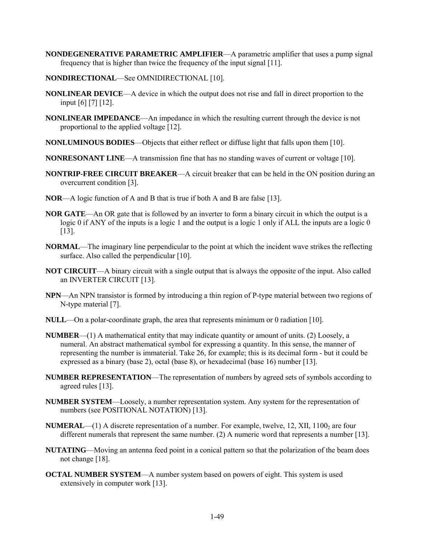- **NONDEGENERATIVE PARAMETRIC AMPLIFIER—A** parametric amplifier that uses a pump signal frequency that is higher than twice the frequency of the input signal [11].
- **NONDIRECTIONAL—See OMNIDIRECTIONAL [10].**
- **NONLINEAR DEVICE—A** device in which the output does not rise and fall in direct proportion to the input [6] [7] [12].
- **NONLINEAR IMPEDANCE—An** impedance in which the resulting current through the device is not proportional to the applied voltage [12].
- **NONLUMINOUS BODIES—Objects that either reflect or diffuse light that falls upon them [10].**
- **NONRESONANT LINE—A** transmission fine that has no standing waves of current or voltage [10].
- **NONTRIP-FREE CIRCUIT BREAKER—A** circuit breaker that can be held in the ON position during an overcurrent condition [3].
- **NOR**—A logic function of A and B that is true if both A and B are false [13].
- **NOR GATE—An** OR gate that is followed by an inverter to form a binary circuit in which the output is a logic 0 if ANY of the inputs is a logic 1 and the output is a logic 1 only if ALL the inputs are a logic 0 [13].
- **NORMAL—The imaginary line perpendicular to the point at which the incident wave strikes the reflecting** surface. Also called the perpendicular [10].
- **NOT CIRCUIT—A** binary circuit with a single output that is always the opposite of the input. Also called an INVERTER CIRCUIT [13].
- **NPN**—An NPN transistor is formed by introducing a thin region of P-type material between two regions of N-type material [7].
- **NULL**—On a polar-coordinate graph, the area that represents minimum or 0 radiation [10].
- **NUMBER** $(1)$  A mathematical entity that may indicate quantity or amount of units. (2) Loosely, a numeral. An abstract mathematical symbol for expressing a quantity. In this sense, the manner of representing the number is immaterial. Take 26, for example; this is its decimal form - but it could be expressed as a binary (base 2), octal (base 8), or hexadecimal (base 16) number [13].
- NUMBER REPRESENTATION—The representation of numbers by agreed sets of symbols according to agreed rules [13].
- NUMBER SYSTEM—Loosely, a number representation system. Any system for the representation of numbers (see POSITIONAL NOTATION) [13].
- **NUMERAL**—(1) A discrete representation of a number. For example, twelve, 12, XII, 1100<sub>2</sub> are four different numerals that represent the same number. (2) A numeric word that represents a number [13].
- **NUTATING—Moving an antenna feed point in a conical pattern so that the polarization of the beam does** not change [18].
- **OCTAL NUMBER SYSTEM—A** number system based on powers of eight. This system is used extensively in computer work [13].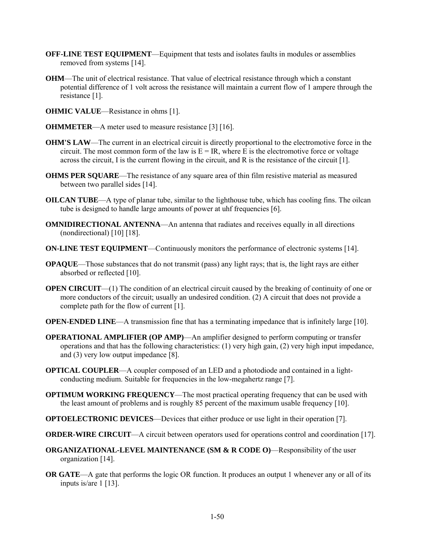- **OFF-LINE TEST EQUIPMENT—Equipment that tests and isolates faults in modules or assemblies** removed from systems [14].
- **OHM—The unit of electrical resistance. That value of electrical resistance through which a constant** potential difference of 1 volt across the resistance will maintain a current flow of 1 ampere through the resistance [1].
- **OHMIC VALUE—Resistance in ohms [1].**
- **OHMMETER**—A meter used to measure resistance [3] [16].
- **OHM'S LAW—The current in an electrical circuit is directly proportional to the electromotive force in the** circuit. The most common form of the law is  $E = IR$ , where E is the electromotive force or voltage across the circuit, I is the current flowing in the circuit, and R is the resistance of the circuit [1].
- **OHMS PER SQUARE**—The resistance of any square area of thin film resistive material as measured between two parallel sides [14].
- **OILCAN TUBE—A** type of planar tube, similar to the lighthouse tube, which has cooling fins. The oilcan tube is designed to handle large amounts of power at uhf frequencies [6].
- **OMNIDIRECTIONAL ANTENNA—An antenna that radiates and receives equally in all directions** (nondirectional) [10] [18].
- **ON-LINE TEST EQUIPMENT**—Continuously monitors the performance of electronic systems [14].
- **OPAQUE**—Those substances that do not transmit (pass) any light rays; that is, the light rays are either absorbed or reflected [10].
- **OPEN CIRCUIT** $(1)$  The condition of an electrical circuit caused by the breaking of continuity of one or more conductors of the circuit; usually an undesired condition. (2) A circuit that does not provide a complete path for the flow of current [1].
- **OPEN-ENDED LINE—A** transmission fine that has a terminating impedance that is infinitely large [10].
- **OPERATIONAL AMPLIFIER (OP AMP)—An amplifier designed to perform computing or transfer** operations and that has the following characteristics: (1) very high gain, (2) very high input impedance, and (3) very low output impedance [8].
- **OPTICAL COUPLER—A** coupler composed of an LED and a photodiode and contained in a lightconducting medium. Suitable for frequencies in the low-megahertz range [7].
- **OPTIMUM WORKING FREQUENCY—The most practical operating frequency that can be used with** the least amount of problems and is roughly 85 percent of the maximum usable frequency [10].
- **OPTOELECTRONIC DEVICES—Devices that either produce or use light in their operation [7].**
- **ORDER-WIRE CIRCUIT—A** circuit between operators used for operations control and coordination [17].
- **ORGANIZATIONAL-LEVEL MAINTENANCE (SM & R CODE O)—Responsibility of the user** organization [14].
- **OR GATE**—A gate that performs the logic OR function. It produces an output 1 whenever any or all of its inputs is/are 1 [13].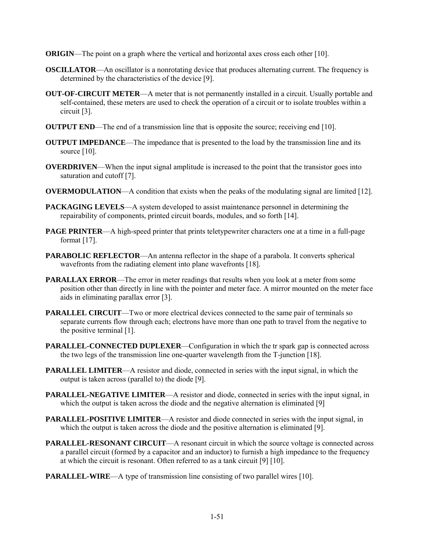**ORIGIN**—The point on a graph where the vertical and horizontal axes cross each other [10].

- **OSCILLATOR**—An oscillator is a nonrotating device that produces alternating current. The frequency is determined by the characteristics of the device [9].
- **OUT-OF-CIRCUIT METER—A** meter that is not permanently installed in a circuit. Usually portable and self-contained, these meters are used to check the operation of a circuit or to isolate troubles within a circuit [3].
- **OUTPUT END**—The end of a transmission line that is opposite the source; receiving end [10].
- **OUTPUT IMPEDANCE**—The impedance that is presented to the load by the transmission line and its source [10].
- **OVERDRIVEN—When the input signal amplitude is increased to the point that the transistor goes into** saturation and cutoff [7].
- **OVERMODULATION—A** condition that exists when the peaks of the modulating signal are limited [12].
- **PACKAGING LEVELS—A** system developed to assist maintenance personnel in determining the repairability of components, printed circuit boards, modules, and so forth [14].
- **PAGE PRINTER**—A high-speed printer that prints teletypewriter characters one at a time in a full-page format [17].
- **PARABOLIC REFLECTOR—An antenna reflector in the shape of a parabola. It converts spherical** wavefronts from the radiating element into plane wavefronts [18].
- **PARALLAX ERROR—**The error in meter readings that results when you look at a meter from some position other than directly in line with the pointer and meter face. A mirror mounted on the meter face aids in eliminating parallax error [3].
- **PARALLEL CIRCUIT—Two or more electrical devices connected to the same pair of terminals so** separate currents flow through each; electrons have more than one path to travel from the negative to the positive terminal [1].
- **PARALLEL-CONNECTED DUPLEXER—Configuration in which the tr spark gap is connected across** the two legs of the transmission line one-quarter wavelength from the T-junction [18].
- **PARALLEL LIMITER—A** resistor and diode, connected in series with the input signal, in which the output is taken across (parallel to) the diode [9].
- **PARALLEL-NEGATIVE LIMITER—A** resistor and diode, connected in series with the input signal, in which the output is taken across the diode and the negative alternation is eliminated [9]
- **PARALLEL-POSITIVE LIMITER—A** resistor and diode connected in series with the input signal, in which the output is taken across the diode and the positive alternation is eliminated [9].
- **PARALLEL-RESONANT CIRCUIT—A resonant circuit in which the source voltage is connected across** a parallel circuit (formed by a capacitor and an inductor) to furnish a high impedance to the frequency at which the circuit is resonant. Often referred to as a tank circuit [9] [10].
- **PARALLEL-WIRE—A** type of transmission line consisting of two parallel wires [10].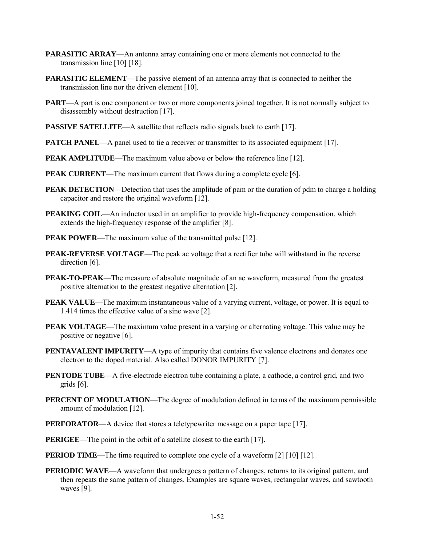- **PARASITIC ARRAY—An antenna array containing one or more elements not connected to the** transmission line [10] [18].
- **PARASITIC ELEMENT—**The passive element of an antenna array that is connected to neither the transmission line nor the driven element [10].
- **PART**—A part is one component or two or more components joined together. It is not normally subject to disassembly without destruction [17].
- **PASSIVE SATELLITE—A** satellite that reflects radio signals back to earth [17].
- **PATCH PANEL—A** panel used to tie a receiver or transmitter to its associated equipment [17].
- **PEAK AMPLITUDE—The maximum value above or below the reference line [12].**
- **PEAK CURRENT—The maximum current that flows during a complete cycle [6].**
- **PEAK DETECTION—Detection that uses the amplitude of pam or the duration of pdm to charge a holding** capacitor and restore the original waveform [12].
- **PEAKING COIL**—An inductor used in an amplifier to provide high-frequency compensation, which extends the high-frequency response of the amplifier [8].
- **PEAK POWER—The maximum value of the transmitted pulse [12].**
- **PEAK-REVERSE VOLTAGE—The peak ac voltage that a rectifier tube will withstand in the reverse** direction [6].
- **PEAK-TO-PEAK—The measure of absolute magnitude of an ac waveform, measured from the greatest** positive alternation to the greatest negative alternation [2].
- **PEAK VALUE**—The maximum instantaneous value of a varying current, voltage, or power. It is equal to 1.414 times the effective value of a sine wave [2].
- **PEAK VOLTAGE—The maximum value present in a varying or alternating voltage. This value may be** positive or negative [6].
- **PENTAVALENT IMPURITY—A** type of impurity that contains five valence electrons and donates one electron to the doped material. Also called DONOR IMPURITY [7].
- **PENTODE TUBE**—A five-electrode electron tube containing a plate, a cathode, a control grid, and two grids [6].
- **PERCENT OF MODULATION—The degree of modulation defined in terms of the maximum permissible** amount of modulation [12].
- **PERFORATOR—A** device that stores a teletypewriter message on a paper tape [17].
- **PERIGEE**—The point in the orbit of a satellite closest to the earth [17].
- **PERIOD TIME**—The time required to complete one cycle of a waveform [2] [10] [12].
- **PERIODIC WAVE—A** waveform that undergoes a pattern of changes, returns to its original pattern, and then repeats the same pattern of changes. Examples are square waves, rectangular waves, and sawtooth waves [9].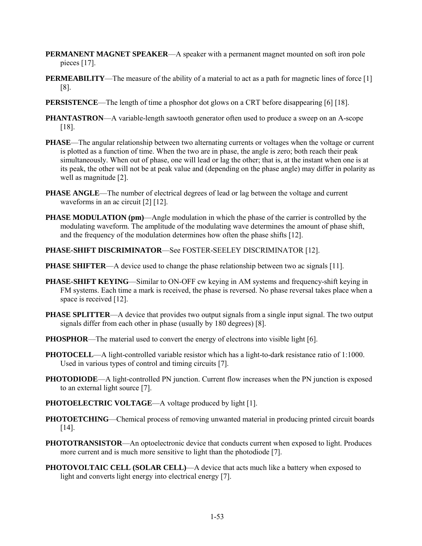- **PERMANENT MAGNET SPEAKER—A** speaker with a permanent magnet mounted on soft iron pole pieces [17].
- **PERMEABILITY—The measure of the ability of a material to act as a path for magnetic lines of force [1]** [8].
- **PERSISTENCE**—The length of time a phosphor dot glows on a CRT before disappearing [6] [18].
- **PHANTASTRON—A** variable-length sawtooth generator often used to produce a sweep on an A-scope [18].
- **PHASE**—The angular relationship between two alternating currents or voltages when the voltage or current is plotted as a function of time. When the two are in phase, the angle is zero; both reach their peak simultaneously. When out of phase, one will lead or lag the other; that is, at the instant when one is at its peak, the other will not be at peak value and (depending on the phase angle) may differ in polarity as well as magnitude [2].
- **PHASE ANGLE**—The number of electrical degrees of lead or lag between the voltage and current waveforms in an ac circuit [2] [12].
- **PHASE MODULATION (pm)—Angle modulation in which the phase of the carrier is controlled by the** modulating waveform. The amplitude of the modulating wave determines the amount of phase shift, and the frequency of the modulation determines how often the phase shifts [12].
- PHASE-SHIFT DISCRIMINATOR-See FOSTER-SEELEY DISCRIMINATOR [12].
- **PHASE SHIFTER—A** device used to change the phase relationship between two ac signals [11].
- **PHASE-SHIFT KEYING—Similar to ON-OFF cw keying in AM systems and frequency-shift keying in** FM systems. Each time a mark is received, the phase is reversed. No phase reversal takes place when a space is received [12].
- **PHASE SPLITTER—A** device that provides two output signals from a single input signal. The two output signals differ from each other in phase (usually by 180 degrees) [8].
- **PHOSPHOR**—The material used to convert the energy of electrons into visible light [6].
- **PHOTOCELL**—A light-controlled variable resistor which has a light-to-dark resistance ratio of 1:1000. Used in various types of control and timing circuits [7].
- **PHOTODIODE**—A light-controlled PN junction. Current flow increases when the PN junction is exposed to an external light source [7].
- **PHOTOELECTRIC VOLTAGE—A** voltage produced by light [1].
- **PHOTOETCHING—Chemical process of removing unwanted material in producing printed circuit boards** [14].
- **PHOTOTRANSISTOR**—An optoelectronic device that conducts current when exposed to light. Produces more current and is much more sensitive to light than the photodiode [7].
- **PHOTOVOLTAIC CELL (SOLAR CELL)—A device that acts much like a battery when exposed to** light and converts light energy into electrical energy [7].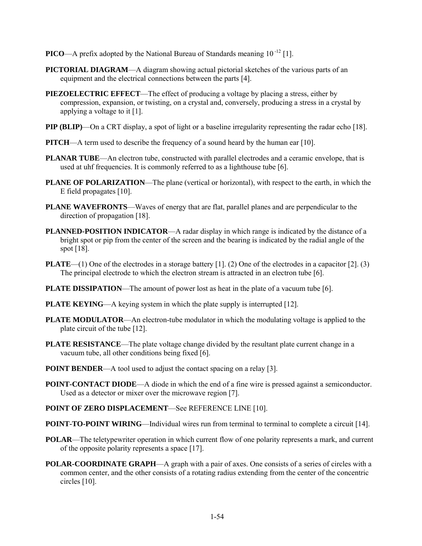- **PICO**—A prefix adopted by the National Bureau of Standards meaning  $10^{-12}$  [1].
- **PICTORIAL DIAGRAM—A** diagram showing actual pictorial sketches of the various parts of an equipment and the electrical connections between the parts [4].
- **PIEZOELECTRIC EFFECT—The effect of producing a voltage by placing a stress, either by** compression, expansion, or twisting, on a crystal and, conversely, producing a stress in a crystal by applying a voltage to it [1].
- **PIP (BLIP)—On a CRT display, a spot of light or a baseline irregularity representing the radar echo [18].**
- **PITCH**—A term used to describe the frequency of a sound heard by the human ear [10].
- **PLANAR TUBE—An electron tube, constructed with parallel electrodes and a ceramic envelope, that is** used at uhf frequencies. It is commonly referred to as a lighthouse tube [6].
- **PLANE OF POLARIZATION—The plane (vertical or horizontal), with respect to the earth, in which the** E field propagates [10].
- **PLANE WAVEFRONTS—Waves of energy that are flat, parallel planes and are perpendicular to the** direction of propagation [18].
- **PLANNED-POSITION INDICATOR—A** radar display in which range is indicated by the distance of a bright spot or pip from the center of the screen and the bearing is indicated by the radial angle of the spot [18].
- **PLATE** $(1)$  One of the electrodes in a storage battery [1]. (2) One of the electrodes in a capacitor [2]. (3) The principal electrode to which the electron stream is attracted in an electron tube [6].
- **PLATE DISSIPATION—The amount of power lost as heat in the plate of a vacuum tube [6].**
- **PLATE KEYING—A** keying system in which the plate supply is interrupted [12].
- **PLATE MODULATOR—An electron-tube modulator in which the modulating voltage is applied to the** plate circuit of the tube [12].
- **PLATE RESISTANCE**—The plate voltage change divided by the resultant plate current change in a vacuum tube, all other conditions being fixed [6].
- **POINT BENDER—A** tool used to adjust the contact spacing on a relay [3].
- **POINT-CONTACT DIODE—A** diode in which the end of a fine wire is pressed against a semiconductor. Used as a detector or mixer over the microwave region [7].
- **POINT OF ZERO DISPLACEMENT—See REFERENCE LINE [10].**
- **POINT-TO-POINT WIRING—Individual wires run from terminal to terminal to complete a circuit [14].**
- **POLAR**—The teletypewriter operation in which current flow of one polarity represents a mark, and current of the opposite polarity represents a space [17].
- **POLAR-COORDINATE GRAPH—A** graph with a pair of axes. One consists of a series of circles with a common center, and the other consists of a rotating radius extending from the center of the concentric circles [10].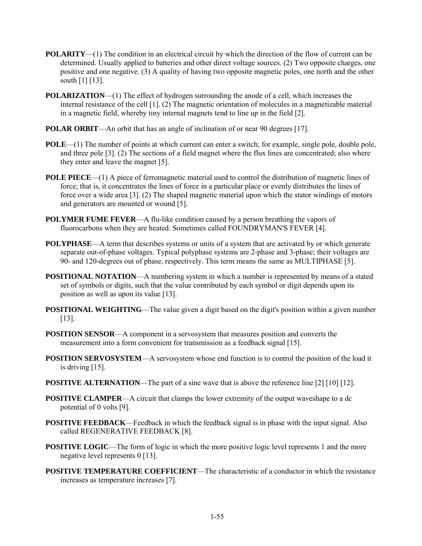- **POLARITY**—(1) The condition in an electrical circuit by which the direction of the flow of current can be determined. Usually applied to batteries and other direct voltage sources. (2) Two opposite charges, one positive and one negative. (3) A quality of having two opposite magnetic poles, one north and the other south [1] [13].
- **POLARIZATION**—(1) The effect of hydrogen surrounding the anode of a cell, which increases the internal resistance of the cell [1]. (2) The magnetic orientation of molecules in a magnetizable material in a magnetic field, whereby tiny internal magnets tend to line up in the field [2].
- **POLAR ORBIT**—An orbit that has an angle of inclination of or near 90 degrees [17].
- **POLE**<sup>(1)</sup> The number of points at which current can enter a switch; for example, single pole, double pole, and three pole [3]. (2) The sections of a field magnet where the flux lines are concentrated; also where they enter and leave the magnet [5].
- **POLE PIECE**—(1) A piece of ferromagnetic material used to control the distribution of magnetic lines of force; that is, it concentrates the lines of force in a particular place or evenly distributes the lines of force over a wide area [3]. (2) The shaped magnetic material upon which the stator windings of motors and generators are mounted or wound [5].
- **POLYMER FUME FEVER—A** flu-like condition caused by a person breathing the vapors of fluorocarbons when they are heated. Sometimes called FOUNDRYMAN'S FEVER [4].
- **POLYPHASE**—A term that describes systems or units of a system that are activated by or which generate separate out-of-phase voltages. Typical polyphase systems are 2-phase and 3-phase; their voltages are 90- and 120-degrees out of phase, respectively. This term means the same as MULTIPHASE [5].
- **POSITIONAL NOTATION**—A numbering system in which a number is represented by means of a stated set of symbols or digits, such that the value contributed by each symbol or digit depends upon its position as well as upon its value [13].
- **POSITIONAL WEIGHTING—The value given a digit based on the digit's position within a given number** [13].
- **POSITION SENSOR**—A component in a servosystem that measures position and converts the measurement into a form convenient for transmission as a feedback signal [15].
- **POSITION SERVOSYSTEM—A** servosystem whose end function is to control the position of the load it is driving [15].
- **POSITIVE ALTERNATION—The part of a sine wave that is above the reference line [2] [10] [12].**
- **POSITIVE CLAMPER—A** circuit that clamps the lower extremity of the output waveshape to a dc potential of 0 volts [9].
- **POSITIVE FEEDBACK—Feedback** in which the feedback signal is in phase with the input signal. Also called REGENERATIVE FEEDBACK [8].
- **POSITIVE LOGIC—The form of logic in which the more positive logic level represents 1 and the more** negative level represents 0 [13].
- **POSITIVE TEMPERATURE COEFFICIENT—The characteristic of a conductor in which the resistance** increases as temperature increases [7].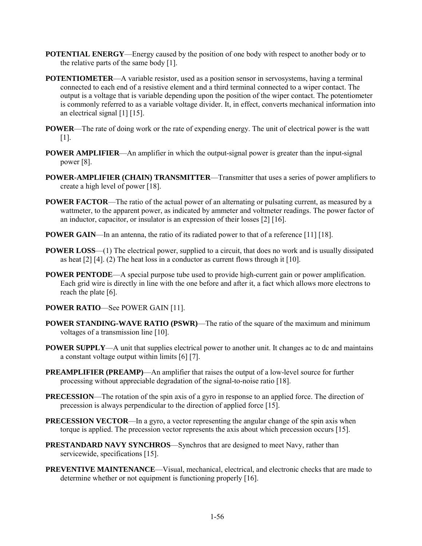- **POTENTIAL ENERGY—Energy caused by the position of one body with respect to another body or to** the relative parts of the same body [1].
- **POTENTIOMETER—A** variable resistor, used as a position sensor in servosystems, having a terminal connected to each end of a resistive element and a third terminal connected to a wiper contact. The output is a voltage that is variable depending upon the position of the wiper contact. The potentiometer is commonly referred to as a variable voltage divider. It, in effect, converts mechanical information into an electrical signal [1] [15].
- **POWER**—The rate of doing work or the rate of expending energy. The unit of electrical power is the watt  $\lceil 1 \rceil$ .
- **POWER AMPLIFIER—An amplifier in which the output-signal power is greater than the input-signal** power [8].
- **POWER-AMPLIFIER (CHAIN) TRANSMITTER—Transmitter that uses a series of power amplifiers to** create a high level of power [18].
- **POWER FACTOR—The ratio of the actual power of an alternating or pulsating current, as measured by a** wattmeter, to the apparent power, as indicated by ammeter and voltmeter readings. The power factor of an inductor, capacitor, or insulator is an expression of their losses [2] [16].
- **POWER GAIN—In an antenna, the ratio of its radiated power to that of a reference [11] [18].**
- **POWER LOSS**—(1) The electrical power, supplied to a circuit, that does no work and is usually dissipated as heat [2] [4]. (2) The heat loss in a conductor as current flows through it [10].
- **POWER PENTODE—A** special purpose tube used to provide high-current gain or power amplification. Each grid wire is directly in line with the one before and after it, a fact which allows more electrons to reach the plate [6].
- **POWER RATIO-See POWER GAIN [11].**
- **POWER STANDING-WAVE RATIO (PSWR)—The ratio of the square of the maximum and minimum** voltages of a transmission line [10].
- **POWER SUPPLY—A** unit that supplies electrical power to another unit. It changes ac to dc and maintains a constant voltage output within limits [6] [7].
- **PREAMPLIFIER (PREAMP)—An amplifier that raises the output of a low-level source for further** processing without appreciable degradation of the signal-to-noise ratio [18].
- **PRECESSION—The rotation of the spin axis of a gyro in response to an applied force. The direction of** precession is always perpendicular to the direction of applied force [15].
- **PRECESSION VECTOR—In a gyro, a vector representing the angular change of the spin axis when** torque is applied. The precession vector represents the axis about which precession occurs [15].
- **PRESTANDARD NAVY SYNCHROS**—Synchros that are designed to meet Navy, rather than servicewide, specifications [15].
- **PREVENTIVE MAINTENANCE—Visual, mechanical, electrical, and electronic checks that are made to** determine whether or not equipment is functioning properly [16].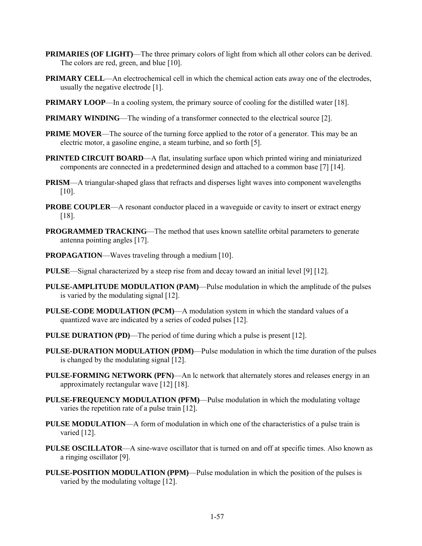- **PRIMARIES (OF LIGHT)—The three primary colors of light from which all other colors can be derived.** The colors are red, green, and blue [10].
- **PRIMARY CELL—An electrochemical cell in which the chemical action eats away one of the electrodes,** usually the negative electrode [1].
- **PRIMARY LOOP**—In a cooling system, the primary source of cooling for the distilled water [18].
- **PRIMARY WINDING—**The winding of a transformer connected to the electrical source [2].
- **PRIME MOVER**—The source of the turning force applied to the rotor of a generator. This may be an electric motor, a gasoline engine, a steam turbine, and so forth [5].
- **PRINTED CIRCUIT BOARD—A** flat, insulating surface upon which printed wiring and miniaturized components are connected in a predetermined design and attached to a common base [7] [14].
- **PRISM—A** triangular-shaped glass that refracts and disperses light waves into component wavelengths [10].
- **PROBE COUPLER—A** resonant conductor placed in a waveguide or cavity to insert or extract energy [18].
- **PROGRAMMED TRACKING—The method that uses known satellite orbital parameters to generate** antenna pointing angles [17].
- **PROPAGATION—Waves traveling through a medium [10].**
- **PULSE**—Signal characterized by a steep rise from and decay toward an initial level [9] [12].
- **PULSE-AMPLITUDE MODULATION (PAM)—Pulse modulation in which the amplitude of the pulses** is varied by the modulating signal [12].
- **PULSE-CODE MODULATION (PCM)—A modulation system in which the standard values of a** quantized wave are indicated by a series of coded pulses [12].
- **PULSE DURATION (PD)**—The period of time during which a pulse is present [12].
- PULSE-DURATION MODULATION (PDM)—Pulse modulation in which the time duration of the pulses is changed by the modulating signal [12].
- **PULSE-FORMING NETWORK (PFN)—An lc network that alternately stores and releases energy in an** approximately rectangular wave [12] [18].
- **PULSE-FREQUENCY MODULATION (PFM)—Pulse modulation in which the modulating voltage** varies the repetition rate of a pulse train [12].
- **PULSE MODULATION—A** form of modulation in which one of the characteristics of a pulse train is varied [12].
- **PULSE OSCILLATOR—A** sine-wave oscillator that is turned on and off at specific times. Also known as a ringing oscillator [9].
- **PULSE-POSITION MODULATION (PPM)—Pulse modulation in which the position of the pulses is** varied by the modulating voltage [12].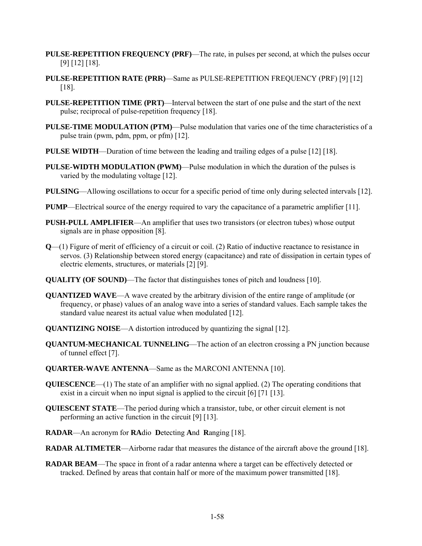- **PULSE-REPETITION FREQUENCY (PRF)—The rate, in pulses per second, at which the pulses occur** [9] [12] [18].
- **PULSE-REPETITION RATE (PRR)—Same as PULSE-REPETITION FREQUENCY (PRF) [9] [12]** [18].
- **PULSE-REPETITION TIME (PRT)—Interval between the start of one pulse and the start of the next** pulse; reciprocal of pulse-repetition frequency [18].
- **PULSE-TIME MODULATION (PTM)—Pulse modulation that varies one of the time characteristics of a** pulse train (pwm, pdm, ppm, or pfm) [12].
- **PULSE WIDTH**—Duration of time between the leading and trailing edges of a pulse [12] [18].
- **PULSE-WIDTH MODULATION (PWM)—Pulse modulation in which the duration of the pulses is** varied by the modulating voltage [12].
- **PULSING—Allowing oscillations to occur for a specific period of time only during selected intervals [12].**
- **PUMP**—Electrical source of the energy required to vary the capacitance of a parametric amplifier [11].
- **PUSH-PULL AMPLIFIER—An amplifier that uses two transistors (or electron tubes) whose output** signals are in phase opposition [8].
- **Q**—(1) Figure of merit of efficiency of a circuit or coil. (2) Ratio of inductive reactance to resistance in servos. (3) Relationship between stored energy (capacitance) and rate of dissipation in certain types of electric elements, structures, or materials [2] [9].
- **QUALITY (OF SOUND)—The factor that distinguishes tones of pitch and loudness [10].**
- **QUANTIZED WAVE—A** wave created by the arbitrary division of the entire range of amplitude (or frequency, or phase) values of an analog wave into a series of standard values. Each sample takes the standard value nearest its actual value when modulated [12].
- **QUANTIZING NOISE**—A distortion introduced by quantizing the signal [12].
- **QUANTUM-MECHANICAL TUNNELING—The action of an electron crossing a PN junction because** of tunnel effect [7].
- **QUARTER-WAVE ANTENNA—Same as the MARCONI ANTENNA [10].**
- **QUIESCENCE**—(1) The state of an amplifier with no signal applied. (2) The operating conditions that exist in a circuit when no input signal is applied to the circuit [6] [71 [13].
- **QUIESCENT STATE—The period during which a transistor, tube, or other circuit element is not** performing an active function in the circuit [9] [13].
- **RADAR**—An acronym for **RAdio Detecting And Ranging** [18].
- **RADAR ALTIMETER—Airborne radar that measures the distance of the aircraft above the ground [18].**
- **RADAR BEAM—The space in front of a radar antenna where a target can be effectively detected or** tracked. Defined by areas that contain half or more of the maximum power transmitted [18].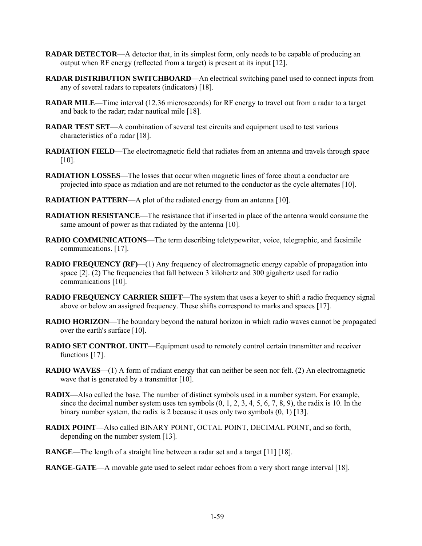- **RADAR DETECTOR—A** detector that, in its simplest form, only needs to be capable of producing an output when RF energy (reflected from a target) is present at its input [12].
- **RADAR DISTRIBUTION SWITCHBOARD—An electrical switching panel used to connect inputs from** any of several radars to repeaters (indicators) [18].
- **RADAR MILE**—Time interval (12.36 microseconds) for RF energy to travel out from a radar to a target and back to the radar; radar nautical mile [18].
- **RADAR TEST SET—A** combination of several test circuits and equipment used to test various characteristics of a radar [18].
- **RADIATION FIELD**—The electromagnetic field that radiates from an antenna and travels through space [10].
- **RADIATION LOSSES—The losses that occur when magnetic lines of force about a conductor are** projected into space as radiation and are not returned to the conductor as the cycle alternates [10].
- **RADIATION PATTERN—A** plot of the radiated energy from an antenna [10].
- **RADIATION RESISTANCE**—The resistance that if inserted in place of the antenna would consume the same amount of power as that radiated by the antenna [10].
- **RADIO COMMUNICATIONS**—The term describing teletypewriter, voice, telegraphic, and facsimile communications. [17].
- **RADIO FREQUENCY (RF)—(1)** Any frequency of electromagnetic energy capable of propagation into space [2]. (2) The frequencies that fall between 3 kilohertz and 300 gigahertz used for radio communications [10].
- **RADIO FREQUENCY CARRIER SHIFT—The system that uses a keyer to shift a radio frequency signal** above or below an assigned frequency. These shifts correspond to marks and spaces [17].
- **RADIO HORIZON—The boundary beyond the natural horizon in which radio waves cannot be propagated** over the earth's surface [10].
- **RADIO SET CONTROL UNIT—Equipment used to remotely control certain transmitter and receiver** functions [17].
- **RADIO WAVES**—(1) A form of radiant energy that can neither be seen nor felt. (2) An electromagnetic wave that is generated by a transmitter [10].
- **RADIX**—Also called the base. The number of distinct symbols used in a number system. For example, since the decimal number system uses ten symbols  $(0, 1, 2, 3, 4, 5, 6, 7, 8, 9)$ , the radix is 10. In the binary number system, the radix is 2 because it uses only two symbols (0, 1) [13].
- **RADIX POINT**—Also called BINARY POINT, OCTAL POINT, DECIMAL POINT, and so forth, depending on the number system [13].
- **RANGE**—The length of a straight line between a radar set and a target [11] [18].
- **RANGE-GATE—A** movable gate used to select radar echoes from a very short range interval [18].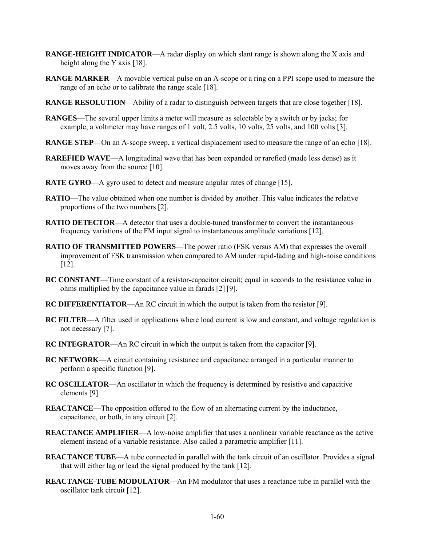- **RANGE-HEIGHT INDICATOR—A** radar display on which slant range is shown along the X axis and height along the Y axis [18].
- **RANGE MARKER**—A movable vertical pulse on an A-scope or a ring on a PPI scope used to measure the range of an echo or to calibrate the range scale [18].
- **RANGE RESOLUTION—Ability of a radar to distinguish between targets that are close together [18].**
- **RANGES**—The several upper limits a meter will measure as selectable by a switch or by jacks; for example, a voltmeter may have ranges of 1 volt, 2.5 volts, 10 volts, 25 volts, and 100 volts [3].
- **RANGE STEP**—On an A-scope sweep, a vertical displacement used to measure the range of an echo [18].
- **RAREFIED WAVE—A** longitudinal wave that has been expanded or rarefied (made less dense) as it moves away from the source [10].
- **RATE GYRO**—A gyro used to detect and measure angular rates of change [15].
- **RATIO**—The value obtained when one number is divided by another. This value indicates the relative proportions of the two numbers [2].
- **RATIO DETECTOR—A** detector that uses a double-tuned transformer to convert the instantaneous frequency variations of the FM input signal to instantaneous amplitude variations [12].
- **RATIO OF TRANSMITTED POWERS—The power ratio (FSK versus AM) that expresses the overall** improvement of FSK transmission when compared to AM under rapid-fading and high-noise conditions [12].
- **RC CONSTANT—Time constant of a resistor-capacitor circuit; equal in seconds to the resistance value in** ohms multiplied by the capacitance value in farads [2] [9].
- **RC DIFFERENTIATOR—An RC circuit in which the output is taken from the resistor [9].**
- **RC FILTER**—A filter used in applications where load current is low and constant, and voltage regulation is not necessary [7].
- **RC INTEGRATOR—An RC circuit in which the output is taken from the capacitor [9].**
- **RC NETWORK**—A circuit containing resistance and capacitance arranged in a particular manner to perform a specific function [9].
- **RC OSCILLATOR**—An oscillator in which the frequency is determined by resistive and capacitive elements [9].
- **REACTANCE**—The opposition offered to the flow of an alternating current by the inductance, capacitance, or both, in any circuit [2].
- **REACTANCE AMPLIFIER**—A low-noise amplifier that uses a nonlinear variable reactance as the active element instead of a variable resistance. Also called a parametric amplifier [11].
- **REACTANCE TUBE—A** tube connected in parallel with the tank circuit of an oscillator. Provides a signal that will either lag or lead the signal produced by the tank [12].
- **REACTANCE-TUBE MODULATOR—An FM modulator that uses a reactance tube in parallel with the** oscillator tank circuit [12].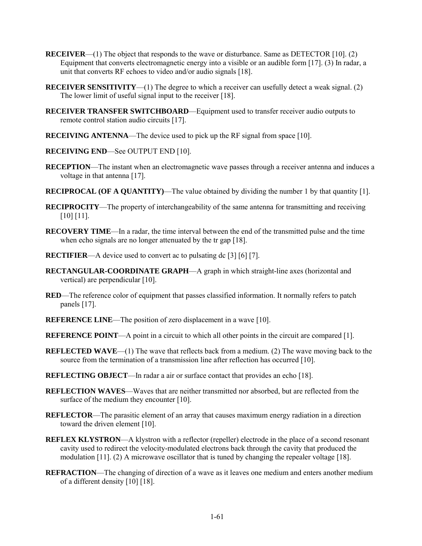- **RECEIVER**—(1) The object that responds to the wave or disturbance. Same as DETECTOR [10]. (2) Equipment that converts electromagnetic energy into a visible or an audible form [17]. (3) In radar, a unit that converts RF echoes to video and/or audio signals [18].
- **RECEIVER SENSITIVITY**—(1) The degree to which a receiver can usefully detect a weak signal. (2) The lower limit of useful signal input to the receiver [18].
- **RECEIVER TRANSFER SWITCHBOARD—Equipment used to transfer receiver audio outputs to** remote control station audio circuits [17].
- **RECEIVING ANTENNA**—The device used to pick up the RF signal from space [10].
- **RECEIVING END**—See OUTPUT END [10].
- **RECEPTION**—The instant when an electromagnetic wave passes through a receiver antenna and induces a voltage in that antenna [17].
- **RECIPROCAL (OF A QUANTITY)—The value obtained by dividing the number 1 by that quantity [1].**
- **RECIPROCITY**—The property of interchangeability of the same antenna for transmitting and receiving  $[10] [11]$ .
- **RECOVERY TIME**—In a radar, the time interval between the end of the transmitted pulse and the time when echo signals are no longer attenuated by the tr gap [18].
- **RECTIFIER**—A device used to convert ac to pulsating dc [3] [6] [7].
- **RECTANGULAR-COORDINATE GRAPH—A graph in which straight-line axes (horizontal and** vertical) are perpendicular [10].
- **RED**—The reference color of equipment that passes classified information. It normally refers to patch panels [17].
- **REFERENCE LINE—The position of zero displacement in a wave [10].**
- **REFERENCE POINT**—A point in a circuit to which all other points in the circuit are compared [1].
- **REFLECTED WAVE—(1)** The wave that reflects back from a medium. (2) The wave moving back to the source from the termination of a transmission line after reflection has occurred [10].
- **REFLECTING OBJECT**—In radar a air or surface contact that provides an echo [18].
- **REFLECTION WAVES—Waves that are neither transmitted nor absorbed, but are reflected from the** surface of the medium they encounter [10].
- **REFLECTOR**—The parasitic element of an array that causes maximum energy radiation in a direction toward the driven element [10].
- **REFLEX KLYSTRON—A** klystron with a reflector (repeller) electrode in the place of a second resonant cavity used to redirect the velocity-modulated electrons back through the cavity that produced the modulation [11]. (2) A microwave oscillator that is tuned by changing the repealer voltage [18].
- **REFRACTION—The changing of direction of a wave as it leaves one medium and enters another medium** of a different density [10] [18].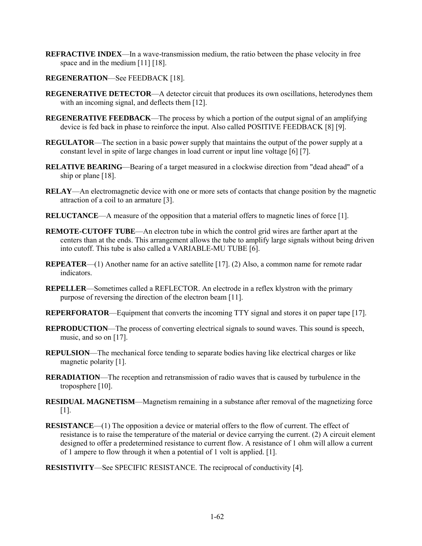- **REFRACTIVE INDEX—In a wave-transmission medium, the ratio between the phase velocity in free** space and in the medium [11] [18].
- **REGENERATION—See FEEDBACK [18].**
- **REGENERATIVE DETECTOR—A** detector circuit that produces its own oscillations, heterodynes them with an incoming signal, and deflects them [12].
- **REGENERATIVE FEEDBACK—The process by which a portion of the output signal of an amplifying** device is fed back in phase to reinforce the input. Also called POSITIVE FEEDBACK [8] [9].
- **REGULATOR**—The section in a basic power supply that maintains the output of the power supply at a constant level in spite of large changes in load current or input line voltage [6] [7].
- **RELATIVE BEARING**—Bearing of a target measured in a clockwise direction from "dead ahead" of a ship or plane [18].
- **RELAY**—An electromagnetic device with one or more sets of contacts that change position by the magnetic attraction of a coil to an armature [3].
- **RELUCTANCE**—A measure of the opposition that a material offers to magnetic lines of force [1].
- **REMOTE-CUTOFF TUBE**—An electron tube in which the control grid wires are farther apart at the centers than at the ends. This arrangement allows the tube to amplify large signals without being driven into cutoff. This tube is also called a VARIABLE-MU TUBE [6].
- **REPEATER** $(1)$  Another name for an active satellite [17]. (2) Also, a common name for remote radar indicators.
- **REPELLER**—Sometimes called a REFLECTOR. An electrode in a reflex klystron with the primary purpose of reversing the direction of the electron beam [11].
- **REPERFORATOR—Equipment that converts the incoming TTY signal and stores it on paper tape [17].**
- **REPRODUCTION—The process of converting electrical signals to sound waves. This sound is speech,** music, and so on [17].
- **REPULSION**—The mechanical force tending to separate bodies having like electrical charges or like magnetic polarity [1].
- **RERADIATION—**The reception and retransmission of radio waves that is caused by turbulence in the troposphere [10].
- **RESIDUAL MAGNETISM—Magnetism remaining in a substance after removal of the magnetizing force** [1].
- **RESISTANCE**—(1) The opposition a device or material offers to the flow of current. The effect of resistance is to raise the temperature of the material or device carrying the current. (2) A circuit element designed to offer a predetermined resistance to current flow. A resistance of 1 ohm will allow a current of 1 ampere to flow through it when a potential of 1 volt is applied. [1].

**RESISTIVITY—See SPECIFIC RESISTANCE. The reciprocal of conductivity [4].**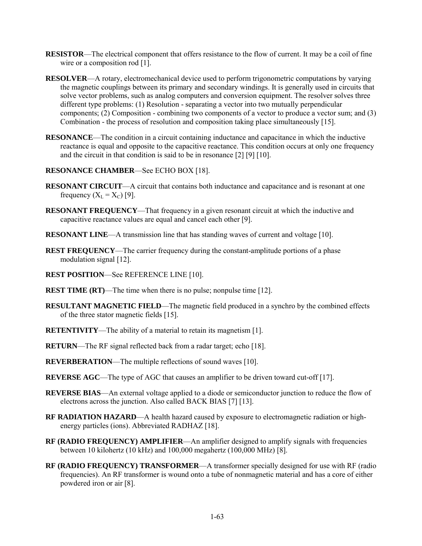- **RESISTOR**—The electrical component that offers resistance to the flow of current. It may be a coil of fine wire or a composition rod [1].
- **RESOLVER**—A rotary, electromechanical device used to perform trigonometric computations by varying the magnetic couplings between its primary and secondary windings. It is generally used in circuits that solve vector problems, such as analog computers and conversion equipment. The resolver solves three different type problems: (1) Resolution - separating a vector into two mutually perpendicular components; (2) Composition - combining two components of a vector to produce a vector sum; and (3) Combination - the process of resolution and composition taking place simultaneously [15].
- **RESONANCE**—The condition in a circuit containing inductance and capacitance in which the inductive reactance is equal and opposite to the capacitive reactance. This condition occurs at only one frequency and the circuit in that condition is said to be in resonance [2] [9] [10].
- **RESONANCE CHAMBER—See ECHO BOX [18].**
- **RESONANT CIRCUIT—A** circuit that contains both inductance and capacitance and is resonant at one frequency  $(X_L = X_C)$  [9].
- **RESONANT FREQUENCY—That frequency in a given resonant circuit at which the inductive and** capacitive reactance values are equal and cancel each other [9].
- **RESONANT LINE—A** transmission line that has standing waves of current and voltage [10].
- **REST FREQUENCY—The carrier frequency during the constant-amplitude portions of a phase** modulation signal [12].
- **REST POSITION—See REFERENCE LINE [10].**
- **REST TIME (RT)—The time when there is no pulse; nonpulse time [12].**
- **RESULTANT MAGNETIC FIELD—The magnetic field produced in a synchro by the combined effects** of the three stator magnetic fields [15].
- **RETENTIVITY—The ability of a material to retain its magnetism [1].**
- **RETURN—The RF** signal reflected back from a radar target; echo [18].
- **REVERBERATION—The multiple reflections of sound waves [10].**
- **REVERSE AGC—The type of AGC that causes an amplifier to be driven toward cut-off [17].**
- **REVERSE BIAS—An external voltage applied to a diode or semiconductor junction to reduce the flow of** electrons across the junction. Also called BACK BIAS [7] [13].
- **RF RADIATION HAZARD**—A health hazard caused by exposure to electromagnetic radiation or highenergy particles (ions). Abbreviated RADHAZ [18].
- **RF (RADIO FREQUENCY) AMPLIFIER—An amplifier designed to amplify signals with frequencies** between 10 kilohertz (10 kHz) and 100,000 megahertz (100,000 MHz) [8].
- **RF (RADIO FREQUENCY) TRANSFORMER—A transformer specially designed for use with RF (radio** frequencies). An RF transformer is wound onto a tube of nonmagnetic material and has a core of either powdered iron or air [8].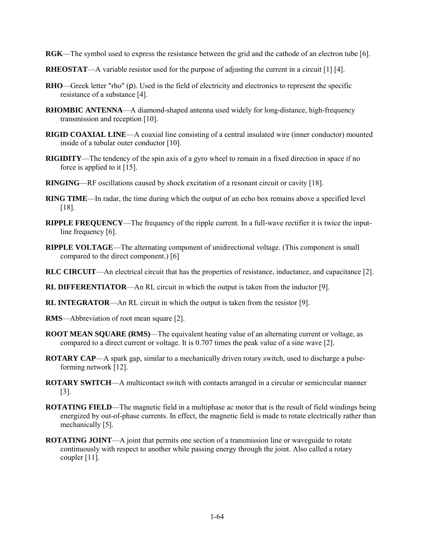- **RGK**—The symbol used to express the resistance between the grid and the cathode of an electron tube [6].
- **RHEOSTAT—A** variable resistor used for the purpose of adjusting the current in a circuit [1] [4].
- **RHO**—Greek letter "rho" (ρ). Used in the field of electricity and electronics to represent the specific resistance of a substance [4].
- **RHOMBIC ANTENNA**—A diamond-shaped antenna used widely for long-distance, high-frequency transmission and reception [10].
- **RIGID COAXIAL LINE—A** coaxial line consisting of a central insulated wire (inner conductor) mounted inside of a tubular outer conductor [10].
- **RIGIDITY**—The tendency of the spin axis of a gyro wheel to remain in a fixed direction in space if no force is applied to it [15].
- **RINGING**—RF oscillations caused by shock excitation of a resonant circuit or cavity [18].
- **RING TIME**—In radar, the time during which the output of an echo box remains above a specified level [18].
- **RIPPLE FREQUENCY—The frequency of the ripple current. In a full-wave rectifier it is twice the input**line frequency [6].
- **RIPPLE VOLTAGE—The alternating component of unidirectional voltage. (This component is small** compared to the direct component.) [6]
- **RLC CIRCUIT—An** electrical circuit that has the properties of resistance, inductance, and capacitance [2].
- **RL DIFFERENTIATOR—An RL circuit in which the output is taken from the inductor [9].**
- **RL INTEGRATOR**—An RL circuit in which the output is taken from the resistor [9].
- **RMS**—Abbreviation of root mean square [2].
- **ROOT MEAN SQUARE (RMS)—The equivalent heating value of an alternating current or voltage, as** compared to a direct current or voltage. It is 0.707 times the peak value of a sine wave [2].
- **ROTARY CAP—A** spark gap, similar to a mechanically driven rotary switch, used to discharge a pulseforming network [12].
- **ROTARY SWITCH**—A multicontact switch with contacts arranged in a circular or semicircular manner [3].
- **ROTATING FIELD—The magnetic field in a multiphase ac motor that is the result of field windings being** energized by out-of-phase currents. In effect, the magnetic field is made to rotate electrically rather than mechanically [5].
- **ROTATING JOINT**—A joint that permits one section of a transmission line or waveguide to rotate continuously with respect to another while passing energy through the joint. Also called a rotary coupler [11].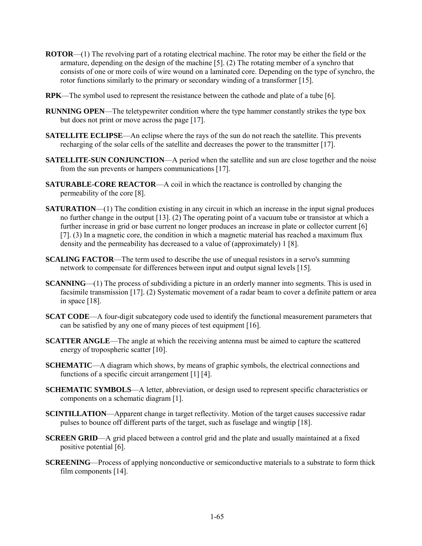- **ROTOR** $(1)$  The revolving part of a rotating electrical machine. The rotor may be either the field or the armature, depending on the design of the machine [5]. (2) The rotating member of a synchro that consists of one or more coils of wire wound on a laminated core. Depending on the type of synchro, the rotor functions similarly to the primary or secondary winding of a transformer [15].
- **RPK**—The symbol used to represent the resistance between the cathode and plate of a tube [6].
- **RUNNING OPEN—The teletypewriter condition where the type hammer constantly strikes the type box** but does not print or move across the page [17].
- **SATELLITE ECLIPSE**—An eclipse where the rays of the sun do not reach the satellite. This prevents recharging of the solar cells of the satellite and decreases the power to the transmitter [17].
- **SATELLITE-SUN CONJUNCTION—A** period when the satellite and sun are close together and the noise from the sun prevents or hampers communications [17].
- **SATURABLE-CORE REACTOR—A** coil in which the reactance is controlled by changing the permeability of the core [8].
- **SATURATION**—(1) The condition existing in any circuit in which an increase in the input signal produces no further change in the output [13]. (2) The operating point of a vacuum tube or transistor at which a further increase in grid or base current no longer produces an increase in plate or collector current [6] [7]. (3) In a magnetic core, the condition in which a magnetic material has reached a maximum flux density and the permeability has decreased to a value of (approximately) 1 [8].
- **SCALING FACTOR—The term used to describe the use of unequal resistors in a servo's summing** network to compensate for differences between input and output signal levels [15].
- **SCANNING**—(1) The process of subdividing a picture in an orderly manner into segments. This is used in facsimile transmission [17]. (2) Systematic movement of a radar beam to cover a definite pattern or area in space [18].
- **SCAT CODE—A** four-digit subcategory code used to identify the functional measurement parameters that can be satisfied by any one of many pieces of test equipment [16].
- **SCATTER ANGLE**—The angle at which the receiving antenna must be aimed to capture the scattered energy of tropospheric scatter [10].
- **SCHEMATIC**—A diagram which shows, by means of graphic symbols, the electrical connections and functions of a specific circuit arrangement [1] [4].
- **SCHEMATIC SYMBOLS—A** letter, abbreviation, or design used to represent specific characteristics or components on a schematic diagram [1].
- **SCINTILLATION—Apparent change in target reflectivity. Motion of the target causes successive radar** pulses to bounce off different parts of the target, such as fuselage and wingtip [18].
- **SCREEN GRID**—A grid placed between a control grid and the plate and usually maintained at a fixed positive potential [6].
- **SCREENING**—Process of applying nonconductive or semiconductive materials to a substrate to form thick film components [14].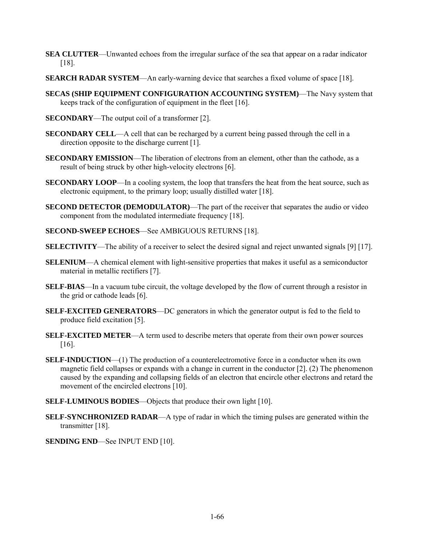- **SEA CLUTTER—Unwanted echoes from the irregular surface of the sea that appear on a radar indicator** [18].
- **SEARCH RADAR SYSTEM—An early-warning device that searches a fixed volume of space [18].**
- **SECAS (SHIP EQUIPMENT CONFIGURATION ACCOUNTING SYSTEM)—The Navy system that** keeps track of the configuration of equipment in the fleet [16].
- **SECONDARY**—The output coil of a transformer [2].
- **SECONDARY CELL**—A cell that can be recharged by a current being passed through the cell in a direction opposite to the discharge current [1].
- **SECONDARY EMISSION—The liberation of electrons from an element, other than the cathode, as a** result of being struck by other high-velocity electrons [6].
- **SECONDARY LOOP—In a cooling system, the loop that transfers the heat from the heat source, such as** electronic equipment, to the primary loop; usually distilled water [18].
- **SECOND DETECTOR (DEMODULATOR)—The part of the receiver that separates the audio or video** component from the modulated intermediate frequency [18].
- **SECOND-SWEEP ECHOES—See AMBIGUOUS RETURNS [18].**
- **SELECTIVITY—The ability of a receiver to select the desired signal and reject unwanted signals [9] [17].**
- **SELENIUM**—A chemical element with light-sensitive properties that makes it useful as a semiconductor material in metallic rectifiers [7].
- **SELF-BIAS**—In a vacuum tube circuit, the voltage developed by the flow of current through a resistor in the grid or cathode leads [6].
- **SELF-EXCITED GENERATORS**—DC generators in which the generator output is fed to the field to produce field excitation [5].
- **SELF-EXCITED METER—A** term used to describe meters that operate from their own power sources [16].
- **SELF-INDUCTION**—(1) The production of a counterelectromotive force in a conductor when its own magnetic field collapses or expands with a change in current in the conductor [2]. (2) The phenomenon caused by the expanding and collapsing fields of an electron that encircle other electrons and retard the movement of the encircled electrons [10].
- **SELF-LUMINOUS BODIES**—Objects that produce their own light [10].
- **SELF-SYNCHRONIZED RADAR—A** type of radar in which the timing pulses are generated within the transmitter [18].
- **SENDING END**—See INPUT END [10].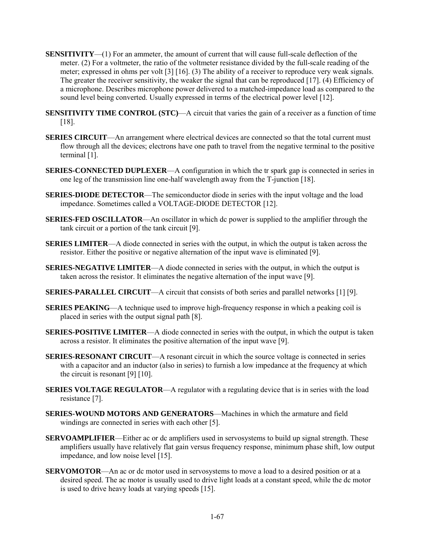- **SENSITIVITY** $(-1)$  For an ammeter, the amount of current that will cause full-scale deflection of the meter. (2) For a voltmeter, the ratio of the voltmeter resistance divided by the full-scale reading of the meter; expressed in ohms per volt [3] [16]. (3) The ability of a receiver to reproduce very weak signals. The greater the receiver sensitivity, the weaker the signal that can be reproduced [17]. (4) Efficiency of a microphone. Describes microphone power delivered to a matched-impedance load as compared to the sound level being converted. Usually expressed in terms of the electrical power level [12].
- **SENSITIVITY TIME CONTROL (STC)—A circuit that varies the gain of a receiver as a function of time** [18].
- **SERIES CIRCUIT—An arrangement where electrical devices are connected so that the total current must** flow through all the devices; electrons have one path to travel from the negative terminal to the positive terminal [1].
- **SERIES-CONNECTED DUPLEXER—A** configuration in which the tr spark gap is connected in series in one leg of the transmission line one-half wavelength away from the T-junction [18].
- **SERIES-DIODE DETECTOR—The semiconductor diode in series with the input voltage and the load** impedance. Sometimes called a VOLTAGE-DIODE DETECTOR [12].
- **SERIES-FED OSCILLATOR—An oscillator in which dc power is supplied to the amplifier through the** tank circuit or a portion of the tank circuit [9].
- **SERIES LIMITER—A** diode connected in series with the output, in which the output is taken across the resistor. Either the positive or negative alternation of the input wave is eliminated [9].
- **SERIES-NEGATIVE LIMITER—A** diode connected in series with the output, in which the output is taken across the resistor. It eliminates the negative alternation of the input wave [9].
- **SERIES-PARALLEL CIRCUIT—A** circuit that consists of both series and parallel networks [1] [9].
- **SERIES PEAKING—A** technique used to improve high-frequency response in which a peaking coil is placed in series with the output signal path [8].
- **SERIES-POSITIVE LIMITER—A** diode connected in series with the output, in which the output is taken across a resistor. It eliminates the positive alternation of the input wave [9].
- **SERIES-RESONANT CIRCUIT—A resonant circuit in which the source voltage is connected in series** with a capacitor and an inductor (also in series) to furnish a low impedance at the frequency at which the circuit is resonant [9] [10].
- **SERIES VOLTAGE REGULATOR—A** regulator with a regulating device that is in series with the load resistance [7].
- **SERIES-WOUND MOTORS AND GENERATORS—Machines in which the armature and field** windings are connected in series with each other [5].
- **SERVOAMPLIFIER—Either ac or dc amplifiers used in servosystems to build up signal strength. These** amplifiers usually have relatively flat gain versus frequency response, minimum phase shift, low output impedance, and low noise level [15].
- **SERVOMOTOR**—An ac or dc motor used in servosystems to move a load to a desired position or at a desired speed. The ac motor is usually used to drive light loads at a constant speed, while the dc motor is used to drive heavy loads at varying speeds [15].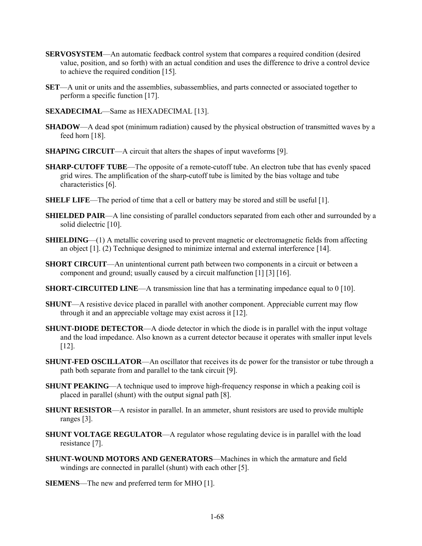- **SERVOSYSTEM—An automatic feedback control system that compares a required condition (desired** value, position, and so forth) with an actual condition and uses the difference to drive a control device to achieve the required condition [15].
- **SET**—A unit or units and the assemblies, subassemblies, and parts connected or associated together to perform a specific function [17].
- **SEXADECIMAL—Same as HEXADECIMAL [13].**
- **SHADOW**—A dead spot (minimum radiation) caused by the physical obstruction of transmitted waves by a feed horn [18].
- **SHAPING CIRCUIT—A** circuit that alters the shapes of input waveforms [9].
- **SHARP-CUTOFF TUBE—The opposite of a remote-cutoff tube. An electron tube that has evenly spaced** grid wires. The amplification of the sharp-cutoff tube is limited by the bias voltage and tube characteristics [6].
- **SHELF LIFE—The period of time that a cell or battery may be stored and still be useful [1].**
- **SHIELDED PAIR**—A line consisting of parallel conductors separated from each other and surrounded by a solid dielectric [10].
- **SHIELDING** $\left(1\right)$  A metallic covering used to prevent magnetic or electromagnetic fields from affecting an object [1]. (2) Technique designed to minimize internal and external interference [14].
- **SHORT CIRCUIT**—An unintentional current path between two components in a circuit or between a component and ground; usually caused by a circuit malfunction [1] [3] [16].
- **SHORT-CIRCUITED LINE—A** transmission line that has a terminating impedance equal to 0 [10].
- **SHUNT**—A resistive device placed in parallel with another component. Appreciable current may flow through it and an appreciable voltage may exist across it [12].
- **SHUNT-DIODE DETECTOR—A** diode detector in which the diode is in parallel with the input voltage and the load impedance. Also known as a current detector because it operates with smaller input levels [12].
- **SHUNT-FED OSCILLATOR—An oscillator that receives its dc power for the transistor or tube through a** path both separate from and parallel to the tank circuit [9].
- **SHUNT PEAKING**—A technique used to improve high-frequency response in which a peaking coil is placed in parallel (shunt) with the output signal path [8].
- **SHUNT RESISTOR—A** resistor in parallel. In an ammeter, shunt resistors are used to provide multiple ranges [3].
- **SHUNT VOLTAGE REGULATOR—A** regulator whose regulating device is in parallel with the load resistance [7].
- **SHUNT-WOUND MOTORS AND GENERATORS—Machines in which the armature and field** windings are connected in parallel (shunt) with each other [5].
- **SIEMENS**—The new and preferred term for MHO [1].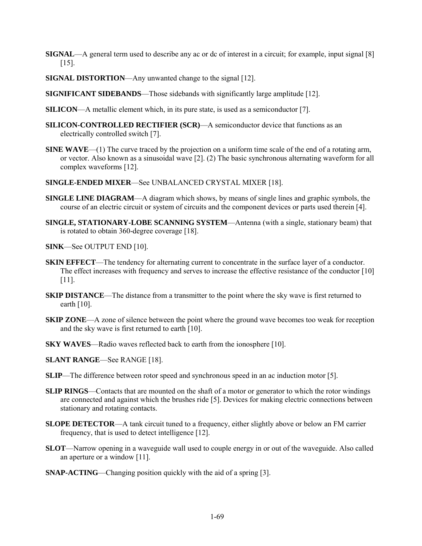- **SIGNAL**—A general term used to describe any ac or dc of interest in a circuit; for example, input signal [8] [15].
- **SIGNAL DISTORTION—Any unwanted change to the signal [12].**
- **SIGNIFICANT SIDEBANDS**—Those sidebands with significantly large amplitude [12].
- **SILICON**—A metallic element which, in its pure state, is used as a semiconductor [7].
- **SILICON-CONTROLLED RECTIFIER (SCR)—A semiconductor device that functions as an** electrically controlled switch [7].
- **SINE WAVE** $\rightarrow$ (1) The curve traced by the projection on a uniform time scale of the end of a rotating arm, or vector. Also known as a sinusoidal wave [2]. (2) The basic synchronous alternating waveform for all complex waveforms [12].
- **SINGLE-ENDED MIXER—See UNBALANCED CRYSTAL MIXER [18].**
- **SINGLE LINE DIAGRAM—A** diagram which shows, by means of single lines and graphic symbols, the course of an electric circuit or system of circuits and the component devices or parts used therein [4].
- **SINGLE, STATIONARY-LOBE SCANNING SYSTEM—Antenna (with a single, stationary beam) that** is rotated to obtain 360-degree coverage [18].
- **SINK**—See OUTPUT END [10].
- **SKIN EFFECT—The tendency for alternating current to concentrate in the surface layer of a conductor.** The effect increases with frequency and serves to increase the effective resistance of the conductor [10] [11].
- **SKIP DISTANCE**—The distance from a transmitter to the point where the sky wave is first returned to earth [10].
- **SKIP ZONE**—A zone of silence between the point where the ground wave becomes too weak for reception and the sky wave is first returned to earth [10].
- **SKY WAVES—Radio waves reflected back to earth from the ionosphere [10].**

**SLANT RANGE—See RANGE [18].** 

- **SLIP**—The difference between rotor speed and synchronous speed in an ac induction motor [5].
- **SLIP RINGS**—Contacts that are mounted on the shaft of a motor or generator to which the rotor windings are connected and against which the brushes ride [5]. Devices for making electric connections between stationary and rotating contacts.
- **SLOPE DETECTOR—A** tank circuit tuned to a frequency, either slightly above or below an FM carrier frequency, that is used to detect intelligence [12].
- **SLOT**—Narrow opening in a waveguide wall used to couple energy in or out of the waveguide. Also called an aperture or a window [11].
- **SNAP-ACTING—Changing position quickly with the aid of a spring [3].**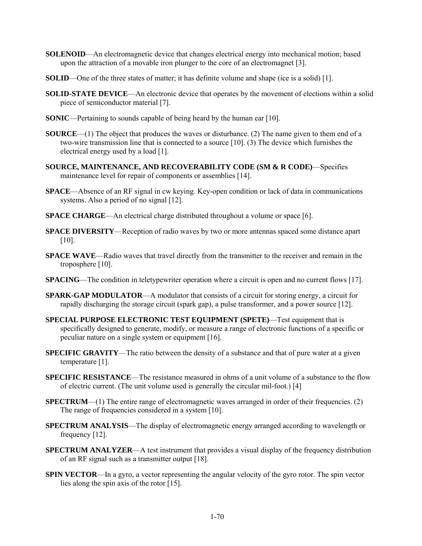- **SOLENOID**—An electromagnetic device that changes electrical energy into mechanical motion; based upon the attraction of a movable iron plunger to the core of an electromagnet [3].
- **SOLID**—One of the three states of matter; it has definite volume and shape (ice is a solid) [1].
- **SOLID-STATE DEVICE—An electronic device that operates by the movement of elections within a solid** piece of semiconductor material [7].
- **SONIC**—Pertaining to sounds capable of being heard by the human ear [10].
- **SOURCE**—(1) The object that produces the waves or disturbance. (2) The name given to them end of a two-wire transmission line that is connected to a source [10]. (3) The device which furnishes the electrical energy used by a load [1].
- **SOURCE, MAINTENANCE, AND RECOVERABILITY CODE (SM & R CODE)—Specifies** maintenance level for repair of components or assemblies [14].
- **SPACE**—Absence of an RF signal in cw keying. Key-open condition or lack of data in communications systems. Also a period of no signal [12].
- **SPACE CHARGE**—An electrical charge distributed throughout a volume or space [6].
- **SPACE DIVERSITY—Reception of radio waves by two or more antennas spaced some distance apart** [10].
- **SPACE WAVE—Radio waves that travel directly from the transmitter to the receiver and remain in the** troposphere [10].
- **SPACING**—The condition in teletypewriter operation where a circuit is open and no current flows [17].
- **SPARK-GAP MODULATOR—A** modulator that consists of a circuit for storing energy, a circuit for rapidly discharging the storage circuit (spark gap), a pulse transformer, and a power source [12].
- **SPECIAL PURPOSE ELECTRONIC TEST EQUIPMENT (SPETE)—Test equipment that is** specifically designed to generate, modify, or measure a range of electronic functions of a specific or peculiar nature on a single system or equipment [16].
- **SPECIFIC GRAVITY—The ratio between the density of a substance and that of pure water at a given** temperature [1].
- **SPECIFIC RESISTANCE—The resistance measured in ohms of a unit volume of a substance to the flow** of electric current. (The unit volume used is generally the circular mil-foot.) [4]
- **SPECTRUM** $(1)$  The entire range of electromagnetic waves arranged in order of their frequencies. (2) The range of frequencies considered in a system [10].
- **SPECTRUM ANALYSIS**—The display of electromagnetic energy arranged according to wavelength or frequency [12].
- **SPECTRUM ANALYZER—A** test instrument that provides a visual display of the frequency distribution of an RF signal such as a transmitter output [18].
- **SPIN VECTOR**—In a gyro, a vector representing the angular velocity of the gyro rotor. The spin vector lies along the spin axis of the rotor [15].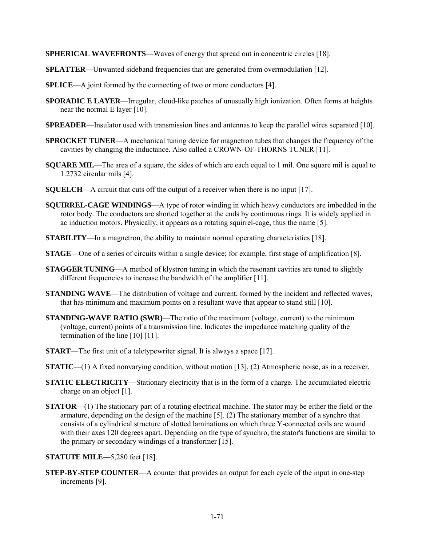**SPHERICAL WAVEFRONTS—Waves of energy that spread out in concentric circles [18].** 

- **SPLATTER—Unwanted sideband frequencies that are generated from overmodulation [12].**
- **SPLICE**—A joint formed by the connecting of two or more conductors [4].
- **SPORADIC E LAYER—Irregular, cloud-like patches of unusually high ionization. Often forms at heights** near the normal E layer [10].
- **SPREADER**—Insulator used with transmission lines and antennas to keep the parallel wires separated [10].
- **SPROCKET TUNER—A** mechanical tuning device for magnetron tubes that changes the frequency of the cavities by changing the inductance. Also called a CROWN-OF-THORNS TUNER [11].
- **SOUARE MIL**—The area of a square, the sides of which are each equal to 1 mil. One square mil is equal to 1.2732 circular mils [4].
- **SQUELCH**—A circuit that cuts off the output of a receiver when there is no input [17].
- **SQUIRREL-CAGE WINDINGS**—A type of rotor winding in which heavy conductors are imbedded in the rotor body. The conductors are shorted together at the ends by continuous rings. It is widely applied in ac induction motors. Physically, it appears as a rotating squirrel-cage, thus the name [5].
- **STABILITY**—In a magnetron, the ability to maintain normal operating characteristics [18].
- **STAGE**—One of a series of circuits within a single device; for example, first stage of amplification [8].
- **STAGGER TUNING—A** method of klystron tuning in which the resonant cavities are tuned to slightly different frequencies to increase the bandwidth of the amplifier [11].
- **STANDING WAVE—The distribution of voltage and current, formed by the incident and reflected waves,** that has minimum and maximum points on a resultant wave that appear to stand still [10].
- **STANDING-WAVE RATIO (SWR)—The ratio of the maximum (voltage, current) to the minimum** (voltage, current) points of a transmission line. Indicates the impedance matching quality of the termination of the line [10] [11].
- **START**—The first unit of a teletypewriter signal. It is always a space [17].
- **STATIC** $-(1)$  A fixed nonvarying condition, without motion [13]. (2) Atmospheric noise, as in a receiver.
- **STATIC ELECTRICITY—Stationary electricity that is in the form of a charge. The accumulated electric** charge on an object [1].
- **STATOR**<sup>(1)</sup> The stationary part of a rotating electrical machine. The stator may be either the field or the armature, depending on the design of the machine [5]. (2) The stationary member of a synchro that consists of a cylindrical structure of slotted laminations on which three Y-connected coils are wound with their axes 120 degrees apart. Depending on the type of synchro, the stator's functions are similar to the primary or secondary windings of a transformer  $[15]$ .

## **STATUTE MILE—**5,280 feet [18].

**STEP-BY-STEP COUNTER—A** counter that provides an output for each cycle of the input in one-step increments [9].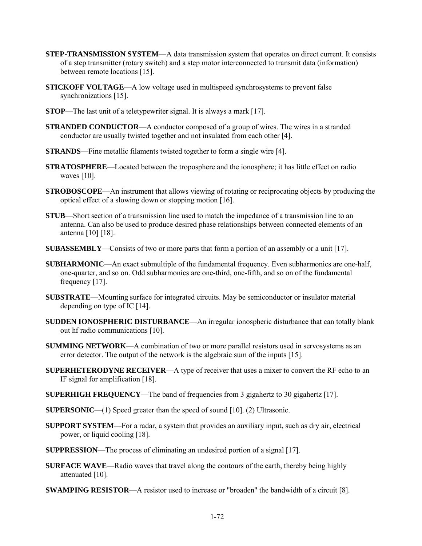- **STEP-TRANSMISSION SYSTEM—A** data transmission system that operates on direct current. It consists of a step transmitter (rotary switch) and a step motor interconnected to transmit data (information) between remote locations [15].
- **STICKOFF VOLTAGE**—A low voltage used in multispeed synchrosystems to prevent false synchronizations [15].
- **STOP**—The last unit of a teletypewriter signal. It is always a mark [17].
- **STRANDED CONDUCTOR—A** conductor composed of a group of wires. The wires in a stranded conductor are usually twisted together and not insulated from each other [4].
- **STRANDS**—Fine metallic filaments twisted together to form a single wire [4].
- **STRATOSPHERE**—Located between the troposphere and the ionosphere; it has little effect on radio waves [10].
- **STROBOSCOPE**—An instrument that allows viewing of rotating or reciprocating objects by producing the optical effect of a slowing down or stopping motion [16].
- **STUB**—Short section of a transmission line used to match the impedance of a transmission line to an antenna. Can also be used to produce desired phase relationships between connected elements of an antenna [10] [18].
- **SUBASSEMBLY—Consists of two or more parts that form a portion of an assembly or a unit [17].**
- **SUBHARMONIC—An exact submultiple of the fundamental frequency. Even subharmonics are one-half,** one-quarter, and so on. Odd subharmonics are one-third, one-fifth, and so on of the fundamental frequency [17].
- **SUBSTRATE—Mounting surface for integrated circuits. May be semiconductor or insulator material** depending on type of IC [14].
- **SUDDEN IONOSPHERIC DISTURBANCE**—An irregular ionospheric disturbance that can totally blank out hf radio communications [10].
- **SUMMING NETWORK—A** combination of two or more parallel resistors used in servosystems as an error detector. The output of the network is the algebraic sum of the inputs [15].
- **SUPERHETERODYNE RECEIVER—A** type of receiver that uses a mixer to convert the RF echo to an IF signal for amplification [18].
- **SUPERHIGH FREQUENCY—The band of frequencies from 3 gigahertz to 30 gigahertz [17].**
- **SUPERSONIC**—(1) Speed greater than the speed of sound [10]. (2) Ultrasonic.
- **SUPPORT SYSTEM—For a radar, a system that provides an auxiliary input, such as dry air, electrical** power, or liquid cooling [18].
- **SUPPRESSION**—The process of eliminating an undesired portion of a signal [17].
- **SURFACE WAVE—Radio waves that travel along the contours of the earth, thereby being highly** attenuated [10].
- **SWAMPING RESISTOR—A** resistor used to increase or "broaden" the bandwidth of a circuit [8].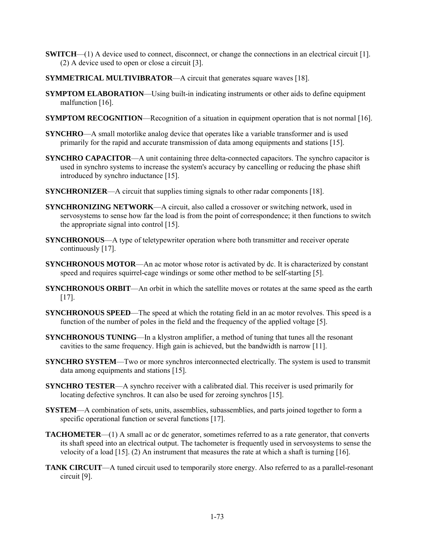- **SWITCH**—(1) A device used to connect, disconnect, or change the connections in an electrical circuit [1]. (2) A device used to open or close a circuit [3].
- **SYMMETRICAL MULTIVIBRATOR—A** circuit that generates square waves [18].
- **SYMPTOM ELABORATION—Using built-in indicating instruments or other aids to define equipment** malfunction [16].
- **SYMPTOM RECOGNITION—Recognition of a situation in equipment operation that is not normal [16].**
- **SYNCHRO**—A small motorlike analog device that operates like a variable transformer and is used primarily for the rapid and accurate transmission of data among equipments and stations [15].
- **SYNCHRO CAPACITOR—A** unit containing three delta-connected capacitors. The synchro capacitor is used in synchro systems to increase the system's accuracy by cancelling or reducing the phase shift introduced by synchro inductance [15].
- **SYNCHRONIZER—A** circuit that supplies timing signals to other radar components [18].
- **SYNCHRONIZING NETWORK—A** circuit, also called a crossover or switching network, used in servosystems to sense how far the load is from the point of correspondence; it then functions to switch the appropriate signal into control [15].
- **SYNCHRONOUS—A** type of teletypewriter operation where both transmitter and receiver operate continuously [17].
- **SYNCHRONOUS MOTOR—An ac motor whose rotor is activated by dc. It is characterized by constant** speed and requires squirrel-cage windings or some other method to be self-starting [5].
- **SYNCHRONOUS ORBIT—An** orbit in which the satellite moves or rotates at the same speed as the earth  $[17]$ .
- **SYNCHRONOUS SPEED**—The speed at which the rotating field in an ac motor revolves. This speed is a function of the number of poles in the field and the frequency of the applied voltage [5].
- **SYNCHRONOUS TUNING—In a klystron amplifier, a method of tuning that tunes all the resonant** cavities to the same frequency. High gain is achieved, but the bandwidth is narrow [11].
- **SYNCHRO SYSTEM—Two or more synchros interconnected electrically. The system is used to transmit** data among equipments and stations [15].
- **SYNCHRO TESTER—A** synchro receiver with a calibrated dial. This receiver is used primarily for locating defective synchros. It can also be used for zeroing synchros [15].
- **SYSTEM**—A combination of sets, units, assemblies, subassemblies, and parts joined together to form a specific operational function or several functions [17].
- **TACHOMETER** $(1)$  A small ac or dc generator, sometimes referred to as a rate generator, that converts its shaft speed into an electrical output. The tachometer is frequently used in servosystems to sense the velocity of a load [15]. (2) An instrument that measures the rate at which a shaft is turning [16].
- **TANK CIRCUIT—A** tuned circuit used to temporarily store energy. Also referred to as a parallel-resonant circuit [9].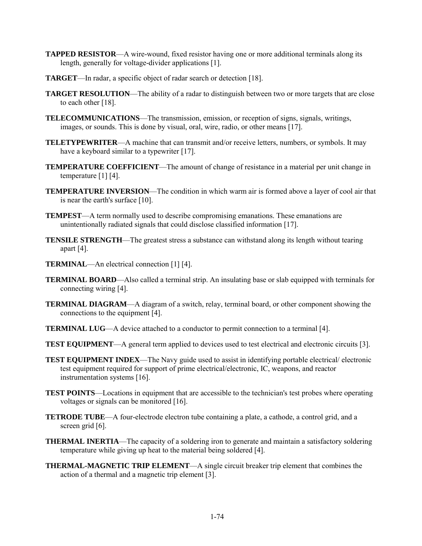- **TAPPED RESISTOR—A** wire-wound, fixed resistor having one or more additional terminals along its length, generally for voltage-divider applications [1].
- **TARGET**—In radar, a specific object of radar search or detection [18].
- **TARGET RESOLUTION—The ability of a radar to distinguish between two or more targets that are close** to each other [18].
- **TELECOMMUNICATIONS—The transmission, emission, or reception of signs, signals, writings,** images, or sounds. This is done by visual, oral, wire, radio, or other means [17].
- TELETYPEWRITER—A machine that can transmit and/or receive letters, numbers, or symbols. It may have a keyboard similar to a typewriter [17].
- **TEMPERATURE COEFFICIENT—The amount of change of resistance in a material per unit change in** temperature [1] [4].
- **TEMPERATURE INVERSION—The condition in which warm air is formed above a layer of cool air that** is near the earth's surface [10].
- **TEMPEST**—A term normally used to describe compromising emanations. These emanations are unintentionally radiated signals that could disclose classified information [17].
- **TENSILE STRENGTH—The greatest stress a substance can withstand along its length without tearing** apart [4].
- **TERMINAL**—An electrical connection [1] [4].
- **TERMINAL BOARD—Also called a terminal strip. An insulating base or slab equipped with terminals for** connecting wiring [4].
- **TERMINAL DIAGRAM—A** diagram of a switch, relay, terminal board, or other component showing the connections to the equipment [4].
- **TERMINAL LUG**—A device attached to a conductor to permit connection to a terminal [4].
- **TEST EQUIPMENT—A** general term applied to devices used to test electrical and electronic circuits [3].
- **TEST EQUIPMENT INDEX—The Navy guide used to assist in identifying portable electrical/ electronic** test equipment required for support of prime electrical/electronic, IC, weapons, and reactor instrumentation systems [16].
- **TEST POINTS—Locations in equipment that are accessible to the technician's test probes where operating** voltages or signals can be monitored [16].
- **TETRODE TUBE**—A four-electrode electron tube containing a plate, a cathode, a control grid, and a screen grid [6].
- **THERMAL INERTIA—The capacity of a soldering iron to generate and maintain a satisfactory soldering** temperature while giving up heat to the material being soldered [4].
- **THERMAL-MAGNETIC TRIP ELEMENT**—A single circuit breaker trip element that combines the action of a thermal and a magnetic trip element [3].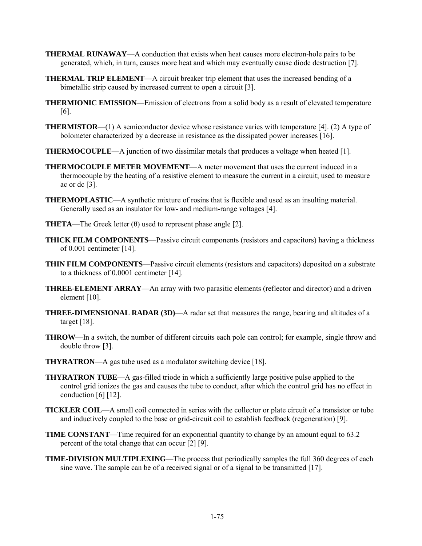- **THERMAL RUNAWAY—A** conduction that exists when heat causes more electron-hole pairs to be generated, which, in turn, causes more heat and which may eventually cause diode destruction [7].
- **THERMAL TRIP ELEMENT—A** circuit breaker trip element that uses the increased bending of a bimetallic strip caused by increased current to open a circuit [3].
- **THERMIONIC EMISSION—Emission of electrons from a solid body as a result of elevated temperature** [6].
- **THERMISTOR**<sup>(1)</sup> A semiconductor device whose resistance varies with temperature [4]. (2) A type of bolometer characterized by a decrease in resistance as the dissipated power increases [16].
- **THERMOCOUPLE—A** junction of two dissimilar metals that produces a voltage when heated [1].
- **THERMOCOUPLE METER MOVEMENT**—A meter movement that uses the current induced in a thermocouple by the heating of a resistive element to measure the current in a circuit; used to measure ac or dc [3].
- **THERMOPLASTIC—A** synthetic mixture of rosins that is flexible and used as an insulting material. Generally used as an insulator for low- and medium-range voltages [4].
- **THETA—The Greek letter (** $\theta$ **) used to represent phase angle [2].**
- **THICK FILM COMPONENTS—Passive circuit components (resistors and capacitors) having a thickness** of 0.001 centimeter [14].
- **THIN FILM COMPONENTS—Passive circuit elements (resistors and capacitors) deposited on a substrate** to a thickness of 0.0001 centimeter [14].
- **THREE-ELEMENT ARRAY—An array with two parasitic elements (reflector and director) and a driven** element [10].
- **THREE-DIMENSIONAL RADAR (3D)—A radar set that measures the range, bearing and altitudes of a** target [18].
- **THROW**—In a switch, the number of different circuits each pole can control; for example, single throw and double throw [3].
- **THYRATRON—A** gas tube used as a modulator switching device [18].
- **THYRATRON TUBE—A** gas-filled triode in which a sufficiently large positive pulse applied to the control grid ionizes the gas and causes the tube to conduct, after which the control grid has no effect in conduction [6] [12].
- **TICKLER COIL—A** small coil connected in series with the collector or plate circuit of a transistor or tube and inductively coupled to the base or grid-circuit coil to establish feedback (regeneration) [9].
- **TIME CONSTANT**—Time required for an exponential quantity to change by an amount equal to 63.2 percent of the total change that can occur [2] [9].
- **TIME-DIVISION MULTIPLEXING—The process that periodically samples the full 360 degrees of each** sine wave. The sample can be of a received signal or of a signal to be transmitted [17].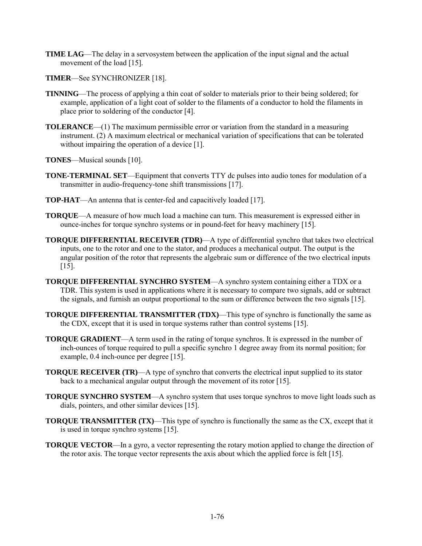- **TIME LAG—The delay in a servosystem between the application of the input signal and the actual** movement of the load [15].
- **TIMER**—See SYNCHRONIZER [18].
- **TINNING**—The process of applying a thin coat of solder to materials prior to their being soldered; for example, application of a light coat of solder to the filaments of a conductor to hold the filaments in place prior to soldering of the conductor [4].
- **TOLERANCE** (1) The maximum permissible error or variation from the standard in a measuring instrument. (2) A maximum electrical or mechanical variation of specifications that can be tolerated without impairing the operation of a device [1].
- **TONES**—Musical sounds [10].
- **TONE-TERMINAL SET—Equipment that converts TTY dc pulses into audio tones for modulation of a** transmitter in audio-frequency-tone shift transmissions [17].
- **TOP-HAT—An antenna that is center-fed and capacitively loaded [17].**
- **TORQUE**—A measure of how much load a machine can turn. This measurement is expressed either in ounce-inches for torque synchro systems or in pound-feet for heavy machinery [15].
- **TORQUE DIFFERENTIAL RECEIVER (TDR)—A type of differential synchro that takes two electrical** inputs, one to the rotor and one to the stator, and produces a mechanical output. The output is the angular position of the rotor that represents the algebraic sum or difference of the two electrical inputs [15].
- **TORQUE DIFFERENTIAL SYNCHRO SYSTEM—A** synchro system containing either a TDX or a TDR. This system is used in applications where it is necessary to compare two signals, add or subtract the signals, and furnish an output proportional to the sum or difference between the two signals [15].
- **TORQUE DIFFERENTIAL TRANSMITTER (TDX)—This type of synchro is functionally the same as** the CDX, except that it is used in torque systems rather than control systems [15].
- **TORQUE GRADIENT—A** term used in the rating of torque synchros. It is expressed in the number of inch-ounces of torque required to pull a specific synchro 1 degree away from its normal position; for example, 0.4 inch-ounce per degree [15].
- **TORQUE RECEIVER (TR)—A type of synchro that converts the electrical input supplied to its stator** back to a mechanical angular output through the movement of its rotor [15].
- **TORQUE SYNCHRO SYSTEM—A** synchro system that uses torque synchros to move light loads such as dials, pointers, and other similar devices [15].
- **TORQUE TRANSMITTER (TX)—This type of synchro is functionally the same as the CX, except that it** is used in torque synchro systems [15].
- **TORQUE VECTOR—In a gyro, a vector representing the rotary motion applied to change the direction of** the rotor axis. The torque vector represents the axis about which the applied force is felt [15].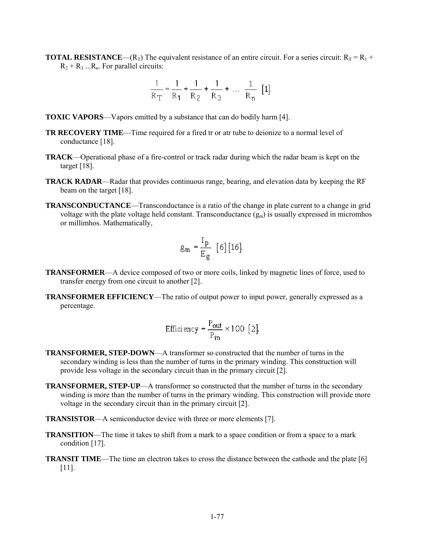**TOTAL RESISTANCE**—(R<sub>T</sub>) The equivalent resistance of an entire circuit. For a series circuit:  $R_T = R_1 +$  $R_2 + R_3$  ... $R_n$ . For parallel circuits:

$$
\frac{1}{R_{\rm T}} = \frac{1}{R_1} + \frac{1}{R_2} + \frac{1}{R_3} + \dots \frac{1}{R_{\rm n}} \quad [1]
$$

- **TOXIC VAPORS**—Vapors emitted by a substance that can do bodily harm [4].
- **TR RECOVERY TIME**—Time required for a fired tr or atr tube to deionize to a normal level of conductance [18].
- **TRACK**—Operational phase of a fire-control or track radar during which the radar beam is kept on the target [18].
- **TRACK RADAR**—Radar that provides continuous range, bearing, and elevation data by keeping the RF beam on the target [18].
- **TRANSCONDUCTANCE**—Transconductance is a ratio of the change in plate current to a change in grid voltage with the plate voltage held constant. Transconductance  $(g_m)$  is usually expressed in micromhos or millimhos. Mathematically,

$$
g_m = \frac{1_p}{E_g} \left[ 6 \right] [16].
$$

- **TRANSFORMER**—A device composed of two or more coils, linked by magnetic lines of force, used to transfer energy from one circuit to another [2].
- **TRANSFORMER EFFICIENCY—The ratio of output power to input power, generally expressed as a** percentage.

Efficiency = 
$$
\frac{P_{out}}{P_{in}} \times 100
$$
 [2].

- **TRANSFORMER, STEP-DOWN—A transformer so constructed that the number of turns in the** secondary winding is less than the number of turns in the primary winding. This construction will provide less voltage in the secondary circuit than in the primary circuit [2].
- **TRANSFORMER, STEP-UP—A transformer so constructed that the number of turns in the secondary** winding is more than the number of turns in the primary winding. This construction will provide more voltage in the secondary circuit than in the primary circuit [2].
- **TRANSISTOR**—A semiconductor device with three or more elements [7].
- **TRANSITION—The time it takes to shift from a mark to a space condition or from a space to a mark** condition [17].
- **TRANSIT TIME**—The time an electron takes to cross the distance between the cathode and the plate [6] [11].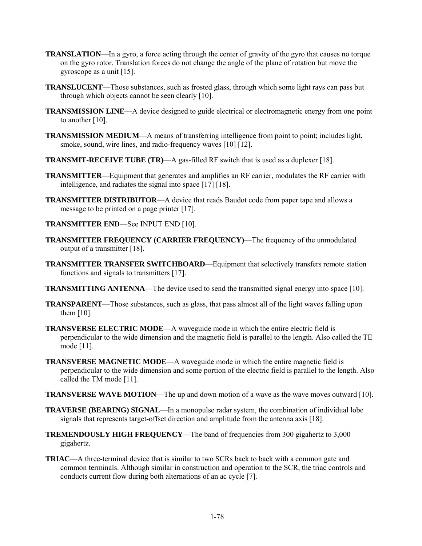- **TRANSLATION—I**n a gyro, a force acting through the center of gravity of the gyro that causes no torque on the gyro rotor. Translation forces do not change the angle of the plane of rotation but move the gyroscope as a unit [15].
- **TRANSLUCENT**—Those substances, such as frosted glass, through which some light rays can pass but through which objects cannot be seen clearly [10].
- **TRANSMISSION LINE—A** device designed to guide electrical or electromagnetic energy from one point to another [10].
- **TRANSMISSION MEDIUM—A** means of transferring intelligence from point to point; includes light, smoke, sound, wire lines, and radio-frequency waves [10] [12].
- **TRANSMIT-RECEIVE TUBE (TR)—A gas-filled RF switch that is used as a duplexer [18].**
- **TRANSMITTER**—Equipment that generates and amplifies an RF carrier, modulates the RF carrier with intelligence, and radiates the signal into space [17] [18].
- **TRANSMITTER DISTRIBUTOR—A** device that reads Baudot code from paper tape and allows a message to be printed on a page printer [17].
- **TRANSMITTER END**—See INPUT END [10].
- **TRANSMITTER FREQUENCY (CARRIER FREQUENCY)—The frequency of the unmodulated** output of a transmitter [18].
- **TRANSMITTER TRANSFER SWITCHBOARD—Equipment that selectively transfers remote station** functions and signals to transmitters [17].
- **TRANSMITTING ANTENNA—**The device used to send the transmitted signal energy into space [10].
- **TRANSPARENT—Those substances, such as glass, that pass almost all of the light waves falling upon** them [10].
- **TRANSVERSE ELECTRIC MODE—A** waveguide mode in which the entire electric field is perpendicular to the wide dimension and the magnetic field is parallel to the length. Also called the TE mode [11].
- **TRANSVERSE MAGNETIC MODE—A** waveguide mode in which the entire magnetic field is perpendicular to the wide dimension and some portion of the electric field is parallel to the length. Also called the TM mode [11].
- **TRANSVERSE WAVE MOTION—The up and down motion of a wave as the wave moves outward [10].**
- **TRAVERSE (BEARING) SIGNAL—In a monopulse radar system, the combination of individual lobe** signals that represents target-offset direction and amplitude from the antenna axis [18].
- **TREMENDOUSLY HIGH FREQUENCY—The band of frequencies from 300 gigahertz to 3,000** gigahertz.
- **TRIAC**—A three-terminal device that is similar to two SCRs back to back with a common gate and common terminals. Although similar in construction and operation to the SCR, the triac controls and conducts current flow during both alternations of an ac cycle [7].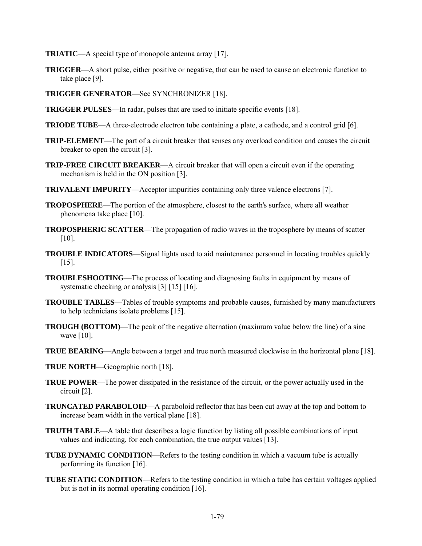**TRIATIC—A** special type of monopole antenna array [17].

- **TRIGGER**—A short pulse, either positive or negative, that can be used to cause an electronic function to take place [9].
- **TRIGGER GENERATOR—See SYNCHRONIZER [18].**
- **TRIGGER PULSES**—In radar, pulses that are used to initiate specific events [18].
- **TRIODE TUBE**—A three-electrode electron tube containing a plate, a cathode, and a control grid [6].
- **TRIP-ELEMENT—The part of a circuit breaker that senses any overload condition and causes the circuit** breaker to open the circuit [3].
- **TRIP-FREE CIRCUIT BREAKER—A** circuit breaker that will open a circuit even if the operating mechanism is held in the ON position [3].
- **TRIVALENT IMPURITY—Acceptor impurities containing only three valence electrons [7].**
- **TROPOSPHERE**—The portion of the atmosphere, closest to the earth's surface, where all weather phenomena take place [10].
- **TROPOSPHERIC SCATTER—**The propagation of radio waves in the troposphere by means of scatter [10].
- **TROUBLE INDICATORS**—Signal lights used to aid maintenance personnel in locating troubles quickly [15].
- **TROUBLESHOOTING—The process of locating and diagnosing faults in equipment by means of** systematic checking or analysis [3] [15] [16].
- **TROUBLE TABLES—Tables of trouble symptoms and probable causes, furnished by many manufacturers** to help technicians isolate problems [15].
- **TROUGH (BOTTOM)—The peak of the negative alternation (maximum value below the line) of a sine** wave [10].
- **TRUE BEARING—Angle between a target and true north measured clockwise in the horizontal plane [18].**
- **TRUE NORTH—Geographic north [18].**
- **TRUE POWER—The power dissipated in the resistance of the circuit, or the power actually used in the** circuit [2].
- **TRUNCATED PARABOLOID—A** paraboloid reflector that has been cut away at the top and bottom to increase beam width in the vertical plane [18].
- **TRUTH TABLE—A** table that describes a logic function by listing all possible combinations of input values and indicating, for each combination, the true output values [13].
- **TUBE DYNAMIC CONDITION—Refers to the testing condition in which a vacuum tube is actually** performing its function [16].
- **TUBE STATIC CONDITION—Refers to the testing condition in which a tube has certain voltages applied** but is not in its normal operating condition [16].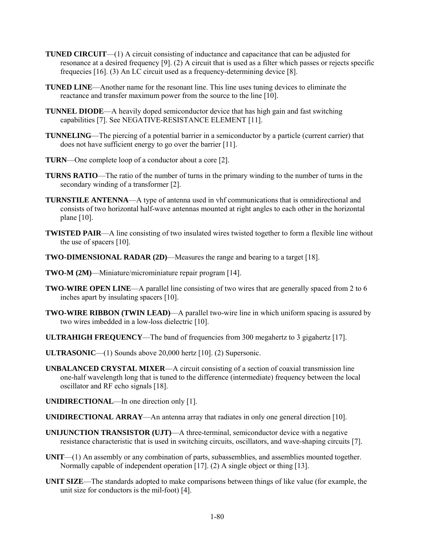- **TUNED CIRCUIT**—(1) A circuit consisting of inductance and capacitance that can be adjusted for resonance at a desired frequency [9]. (2) A circuit that is used as a filter which passes or rejects specific frequecies [16]. (3) An LC circuit used as a frequency-determining device [8].
- **TUNED LINE**—Another name for the resonant line. This line uses tuning devices to eliminate the reactance and transfer maximum power from the source to the line [10].
- **TUNNEL DIODE—A** heavily doped semiconductor device that has high gain and fast switching capabilities [7]. See NEGATIVE-RESISTANCE ELEMENT [11].
- **TUNNELING**—The piercing of a potential barrier in a semiconductor by a particle (current carrier) that does not have sufficient energy to go over the barrier [11].
- **TURN**—One complete loop of a conductor about a core [2].
- **TURNS RATIO**—The ratio of the number of turns in the primary winding to the number of turns in the secondary winding of a transformer [2].
- **TURNSTILE ANTENNA—A** type of antenna used in vhf communications that is omnidirectional and consists of two horizontal half-wave antennas mounted at right angles to each other in the horizontal plane [10].
- **TWISTED PAIR—A** line consisting of two insulated wires twisted together to form a flexible line without the use of spacers [10].
- **TWO-DIMENSIONAL RADAR (2D)—Measures the range and bearing to a target [18].**
- **TWO-M (2M)—Miniature/microminiature repair program [14].**
- **TWO-WIRE OPEN LINE—A** parallel line consisting of two wires that are generally spaced from 2 to 6 inches apart by insulating spacers [10].
- **TWO-WIRE RIBBON (TWIN LEAD)—A parallel two-wire line in which uniform spacing is assured by** two wires imbedded in a low-loss dielectric [10].
- **ULTRAHIGH FREQUENCY—The band of frequencies from 300 megahertz to 3 gigahertz [17].**
- **ULTRASONIC** $-$ (1) Sounds above 20,000 hertz [10]. (2) Supersonic.
- **UNBALANCED CRYSTAL MIXER—A** circuit consisting of a section of coaxial transmission line one-half wavelength long that is tuned to the difference (intermediate) frequency between the local oscillator and RF echo signals [18].
- **UNIDIRECTIONAL**—In one direction only [1].
- **UNIDIRECTIONAL ARRAY—An antenna array that radiates in only one general direction [10].**
- **UNIJUNCTION TRANSISTOR (UJT)—A three-terminal, semiconductor device with a negative** resistance characteristic that is used in switching circuits, oscillators, and wave-shaping circuits [7].
- UNIT—(1) An assembly or any combination of parts, subassemblies, and assemblies mounted together. Normally capable of independent operation [17]. (2) A single object or thing [13].
- **UNIT SIZE**—The standards adopted to make comparisons between things of like value (for example, the unit size for conductors is the mil-foot) [4].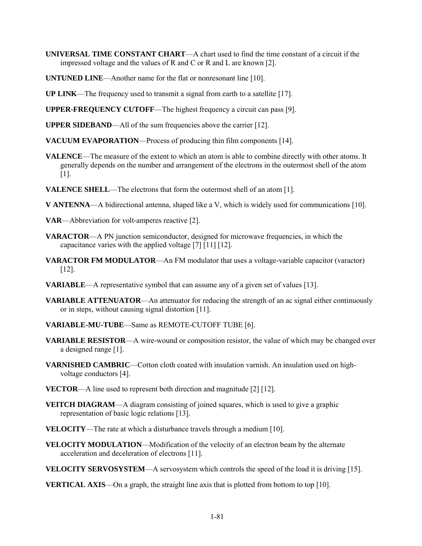- **UNIVERSAL TIME CONSTANT CHART—A** chart used to find the time constant of a circuit if the impressed voltage and the values of R and C or R and L are known [2].
- **UNTUNED LINE—Another name for the flat or nonresonant line [10].**
- **UP LINK**—The frequency used to transmit a signal from earth to a satellite  $[17]$ .
- **UPPER-FREQUENCY CUTOFF—The highest frequency a circuit can pass [9].**
- **UPPER SIDEBAND—All of the sum frequencies above the carrier [12].**
- **VACUUM EVAPORATION—Process of producing thin film components [14].**
- **VALENCE**—The measure of the extent to which an atom is able to combine directly with other atoms. It generally depends on the number and arrangement of the electrons in the outermost shell of the atom [1].
- **VALENCE SHELL**—The electrons that form the outermost shell of an atom [1].
- **V ANTENNA—A** bidirectional antenna, shaped like a V, which is widely used for communications [10].
- **VAR**—Abbreviation for volt-amperes reactive [2].
- **VARACTOR**—A PN junction semiconductor, designed for microwave frequencies, in which the capacitance varies with the applied voltage [7] [11] [12].
- **VARACTOR FM MODULATOR—An FM modulator that uses a voltage-variable capacitor (varactor)** [12].
- **VARIABLE**—A representative symbol that can assume any of a given set of values [13].
- **VARIABLE ATTENUATOR—An attenuator for reducing the strength of an ac signal either continuously** or in steps, without causing signal distortion [11].
- VARIABLE-MU-TUBE-Same as REMOTE-CUTOFF TUBE [6].
- **VARIABLE RESISTOR—A** wire-wound or composition resistor, the value of which may be changed over a designed range [1].
- **VARNISHED CAMBRIC**—Cotton cloth coated with insulation varnish. An insulation used on highvoltage conductors [4].
- **VECTOR**—A line used to represent both direction and magnitude [2] [12].
- **VEITCH DIAGRAM—A** diagram consisting of joined squares, which is used to give a graphic representation of basic logic relations [13].
- **VELOCITY**—The rate at which a disturbance travels through a medium [10].
- **VELOCITY MODULATION—Modification of the velocity of an electron beam by the alternate** acceleration and deceleration of electrons [11].
- **VELOCITY SERVOSYSTEM—A** servosystem which controls the speed of the load it is driving [15].
- **VERTICAL AXIS**—On a graph, the straight line axis that is plotted from bottom to top [10].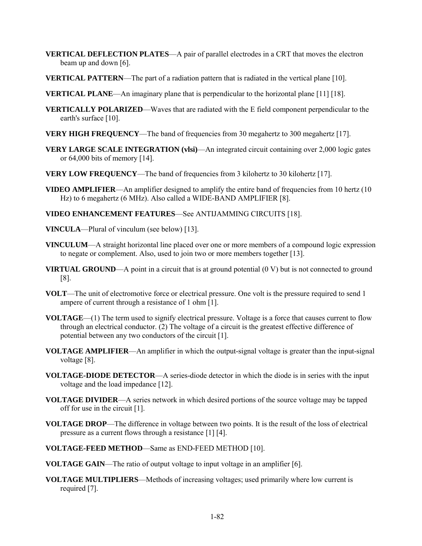- **VERTICAL DEFLECTION PLATES—A** pair of parallel electrodes in a CRT that moves the electron beam up and down [6].
- **VERTICAL PATTERN—**The part of a radiation pattern that is radiated in the vertical plane [10].
- **VERTICAL PLANE—An imaginary plane that is perpendicular to the horizontal plane [11] [18].**
- **VERTICALLY POLARIZED—Waves that are radiated with the E field component perpendicular to the** earth's surface [10].
- **VERY HIGH FREQUENCY—The band of frequencies from 30 megahertz to 300 megahertz [17].**
- **VERY LARGE SCALE INTEGRATION (vlsi)—An integrated circuit containing over 2,000 logic gates** or 64,000 bits of memory [14].
- **VERY LOW FREQUENCY—The band of frequencies from 3 kilohertz to 30 kilohertz [17].**
- **VIDEO AMPLIFIER**—An amplifier designed to amplify the entire band of frequencies from 10 hertz (10) Hz) to 6 megahertz (6 MHz). Also called a WIDE-BAND AMPLIFIER [8].
- **VIDEO ENHANCEMENT FEATURES—See ANTIJAMMING CIRCUITS [18].**
- **VINCULA—Plural of vinculum (see below) [13].**
- **VINCULUM**—A straight horizontal line placed over one or more members of a compound logic expression to negate or complement. Also, used to join two or more members together [13].
- **VIRTUAL GROUND**—A point in a circuit that is at ground potential  $(0 V)$  but is not connected to ground [8].
- **VOLT—The unit of electromotive force or electrical pressure. One volt is the pressure required to send 1** ampere of current through a resistance of 1 ohm [1].
- **VOLTAGE**—(1) The term used to signify electrical pressure. Voltage is a force that causes current to flow through an electrical conductor. (2) The voltage of a circuit is the greatest effective difference of potential between any two conductors of the circuit [1].
- **VOLTAGE AMPLIFIER—An amplifier in which the output-signal voltage is greater than the input-signal** voltage [8].
- **VOLTAGE-DIODE DETECTOR—A** series-diode detector in which the diode is in series with the input voltage and the load impedance [12].
- **VOLTAGE DIVIDER—A** series network in which desired portions of the source voltage may be tapped off for use in the circuit [1].
- **VOLTAGE DROP—The difference in voltage between two points. It is the result of the loss of electrical** pressure as a current flows through a resistance [1] [4].
- **VOLTAGE-FEED METHOD-Same as END-FEED METHOD [10].**
- **VOLTAGE GAIN—The ratio of output voltage to input voltage in an amplifier [6].**
- **VOLTAGE MULTIPLIERS—Methods of increasing voltages; used primarily where low current is** required [7].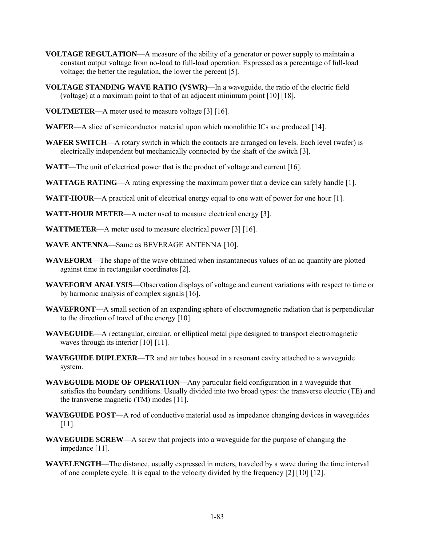- **VOLTAGE REGULATION—A** measure of the ability of a generator or power supply to maintain a constant output voltage from no-load to full-load operation. Expressed as a percentage of full-load voltage; the better the regulation, the lower the percent [5].
- **VOLTAGE STANDING WAVE RATIO (VSWR)—In a waveguide, the ratio of the electric field** (voltage) at a maximum point to that of an adjacent minimum point [10] [18].
- **VOLTMETER—A** meter used to measure voltage [3] [16].
- **WAFER**—A slice of semiconductor material upon which monolithic ICs are produced [14].
- **WAFER SWITCH—A** rotary switch in which the contacts are arranged on levels. Each level (wafer) is electrically independent but mechanically connected by the shaft of the switch [3].
- **WATT**—The unit of electrical power that is the product of voltage and current [16].
- **WATTAGE RATING—A** rating expressing the maximum power that a device can safely handle [1].
- **WATT-HOUR—A** practical unit of electrical energy equal to one watt of power for one hour [1].
- **WATT-HOUR METER—A** meter used to measure electrical energy [3].
- **WATTMETER—A** meter used to measure electrical power [3] [16].
- **WAVE ANTENNA—Same as BEVERAGE ANTENNA [10].**
- **WAVEFORM**—The shape of the wave obtained when instantaneous values of an ac quantity are plotted against time in rectangular coordinates [2].
- **WAVEFORM ANALYSIS**—Observation displays of voltage and current variations with respect to time or by harmonic analysis of complex signals [16].
- **WAVEFRONT—A** small section of an expanding sphere of electromagnetic radiation that is perpendicular to the direction of travel of the energy [10].
- WAVEGUIDE—A rectangular, circular, or elliptical metal pipe designed to transport electromagnetic waves through its interior [10] [11].
- **WAVEGUIDE DUPLEXER—TR** and atr tubes housed in a resonant cavity attached to a waveguide system.
- **WAVEGUIDE MODE OF OPERATION—Any particular field configuration in a waveguide that** satisfies the boundary conditions. Usually divided into two broad types: the transverse electric (TE) and the transverse magnetic (TM) modes [11].
- **WAVEGUIDE POST—A** rod of conductive material used as impedance changing devices in waveguides [11].
- **WAVEGUIDE SCREW—A** screw that projects into a waveguide for the purpose of changing the impedance [11].
- **WAVELENGTH**—The distance, usually expressed in meters, traveled by a wave during the time interval of one complete cycle. It is equal to the velocity divided by the frequency [2] [10] [12].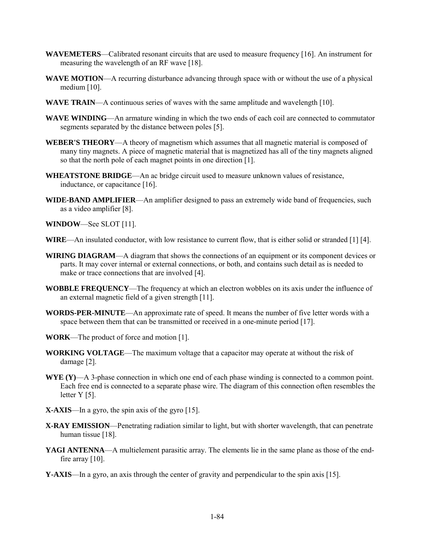- **WAVEMETERS**—Calibrated resonant circuits that are used to measure frequency [16]. An instrument for measuring the wavelength of an RF wave [18].
- **WAVE MOTION—A** recurring disturbance advancing through space with or without the use of a physical medium [10].
- **WAVE TRAIN**—A continuous series of waves with the same amplitude and wavelength [10].
- **WAVE WINDING**—An armature winding in which the two ends of each coil are connected to commutator segments separated by the distance between poles [5].
- **WEBER'S THEORY—A** theory of magnetism which assumes that all magnetic material is composed of many tiny magnets. A piece of magnetic material that is magnetized has all of the tiny magnets aligned so that the north pole of each magnet points in one direction [1].
- **WHEATSTONE BRIDGE—An ac bridge circuit used to measure unknown values of resistance,** inductance, or capacitance [16].
- **WIDE-BAND AMPLIFIER—**An amplifier designed to pass an extremely wide band of frequencies, such as a video amplifier [8].

**WINDOW**—See SLOT [11].

- **WIRE**—An insulated conductor, with low resistance to current flow, that is either solid or stranded  $[1]$  [4].
- **WIRING DIAGRAM—A** diagram that shows the connections of an equipment or its component devices or parts. It may cover internal or external connections, or both, and contains such detail as is needed to make or trace connections that are involved [4].
- **WOBBLE FREQUENCY—The frequency at which an electron wobbles on its axis under the influence of** an external magnetic field of a given strength [11].
- **WORDS-PER-MINUTE**—An approximate rate of speed. It means the number of five letter words with a space between them that can be transmitted or received in a one-minute period [17].
- **WORK**—The product of force and motion [1].
- **WORKING VOLTAGE**—The maximum voltage that a capacitor may operate at without the risk of damage [2].
- **WYE (Y)** $-A$  3-phase connection in which one end of each phase winding is connected to a common point. Each free end is connected to a separate phase wire. The diagram of this connection often resembles the letter Y [5].
- **X-AXIS**—In a gyro, the spin axis of the gyro  $[15]$ .
- **X-RAY EMISSION—Penetrating radiation similar to light, but with shorter wavelength, that can penetrate** human tissue [18].
- YAGI ANTENNA—A multielement parasitic array. The elements lie in the same plane as those of the endfire array [10].
- **Y-AXIS**—In a gyro, an axis through the center of gravity and perpendicular to the spin axis [15].